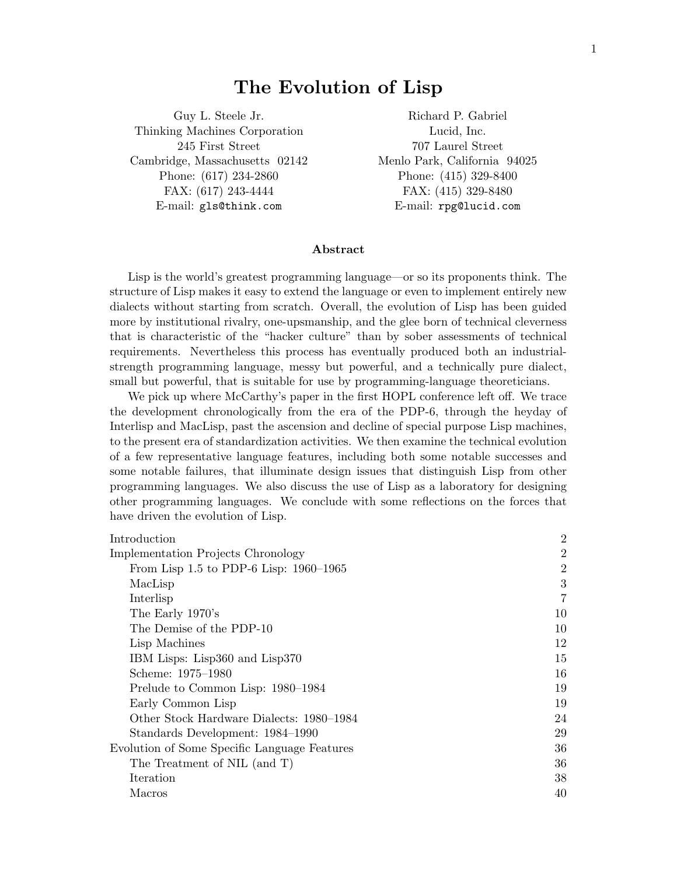# **The Evolution of Lisp**

Guy L. Steele Jr. Thinking Machines Corporation 245 First Street Cambridge, Massachusetts 02142 Phone: (617) 234-2860 FAX: (617) 243-4444 E-mail: gls@think.com

Richard P. Gabriel Lucid, Inc. 707 Laurel Street Menlo Park, California 94025 Phone: (415) 329-8400 FAX: (415) 329-8480 E-mail: rpg@lucid.com

## **Abstract**

Lisp is the world's greatest programming language—or so its proponents think. The structure of Lisp makes it easy to extend the language or even to implement entirely new dialects without starting from scratch. Overall, the evolution of Lisp has been guided more by institutional rivalry, one-upsmanship, and the glee born of technical cleverness that is characteristic of the "hacker culture" than by sober assessments of technical requirements. Nevertheless this process has eventually produced both an industrialstrength programming language, messy but powerful, and a technically pure dialect, small but powerful, that is suitable for use by programming-language theoreticians.

We pick up where McCarthy's paper in the first HOPL conference left off. We trace the development chronologically from the era of the PDP-6, through the heyday of Interlisp and MacLisp, past the ascension and decline of special purpose Lisp machines, to the present era of standardization activities. We then examine the technical evolution of a few representative language features, including both some notable successes and some notable failures, that illuminate design issues that distinguish Lisp from other programming languages. We also discuss the use of Lisp as a laboratory for designing other programming languages. We conclude with some reflections on the forces that have driven the evolution of Lisp.

| Introduction                                 | $\overline{2}$ |
|----------------------------------------------|----------------|
| <b>Implementation Projects Chronology</b>    | 2              |
| From Lisp 1.5 to PDP-6 Lisp: $1960-1965$     | 2              |
| MacLisp                                      | 3              |
| Interlisp                                    | 7              |
| The Early 1970's                             | 10             |
| The Demise of the PDP-10                     | 10             |
| Lisp Machines                                | 12             |
| IBM Lisps: Lisp360 and Lisp370               | 15             |
| Scheme: 1975–1980                            | 16             |
| Prelude to Common Lisp: 1980-1984            | 19             |
| Early Common Lisp                            | 19             |
| Other Stock Hardware Dialects: 1980–1984     | 24             |
| Standards Development: 1984–1990             | 29             |
| Evolution of Some Specific Language Features | 36             |
| The Treatment of NIL (and T)                 | 36             |
| Iteration                                    | 38             |
| Macros                                       | 40             |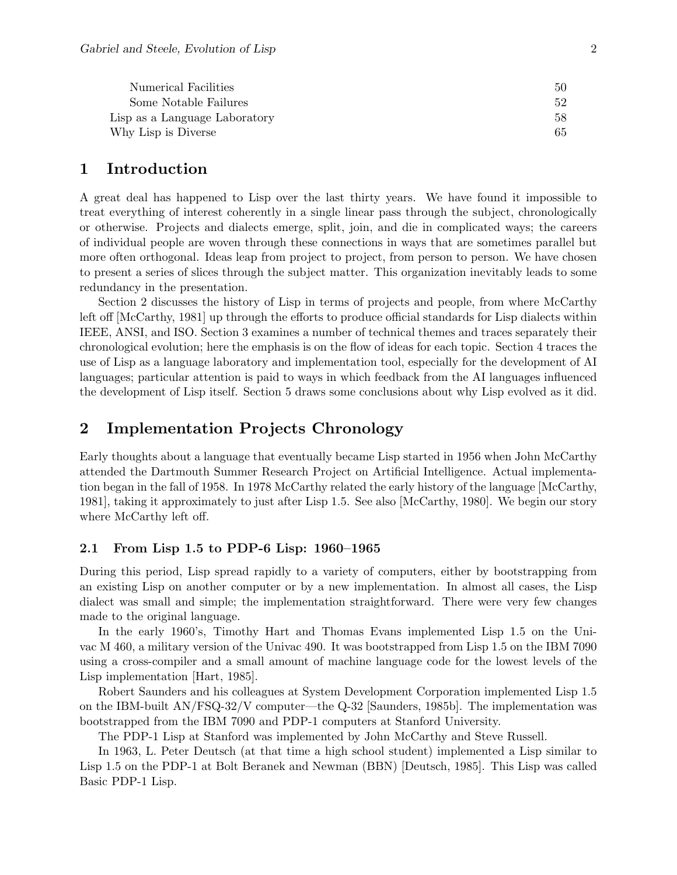| Numerical Facilities          | 50 |
|-------------------------------|----|
| Some Notable Failures         | 52 |
| Lisp as a Language Laboratory | 58 |
| Why Lisp is Diverse           | 65 |

## **1 Introduction**

A great deal has happened to Lisp over the last thirty years. We have found it impossible to treat everything of interest coherently in a single linear pass through the subject, chronologically or otherwise. Projects and dialects emerge, split, join, and die in complicated ways; the careers of individual people are woven through these connections in ways that are sometimes parallel but more often orthogonal. Ideas leap from project to project, from person to person. We have chosen to present a series of slices through the subject matter. This organization inevitably leads to some redundancy in the presentation.

Section 2 discusses the history of Lisp in terms of projects and people, from where McCarthy left off [McCarthy, 1981] up through the efforts to produce official standards for Lisp dialects within IEEE, ANSI, and ISO. Section 3 examines a number of technical themes and traces separately their chronological evolution; here the emphasis is on the flow of ideas for each topic. Section 4 traces the use of Lisp as a language laboratory and implementation tool, especially for the development of AI languages; particular attention is paid to ways in which feedback from the AI languages influenced the development of Lisp itself. Section 5 draws some conclusions about why Lisp evolved as it did.

## **2 Implementation Projects Chronology**

Early thoughts about a language that eventually became Lisp started in 1956 when John McCarthy attended the Dartmouth Summer Research Project on Artificial Intelligence. Actual implementation began in the fall of 1958. In 1978 McCarthy related the early history of the language [McCarthy, 1981], taking it approximately to just after Lisp 1.5. See also [McCarthy, 1980]. We begin our story where McCarthy left off.

## **2.1 From Lisp 1.5 to PDP-6 Lisp: 1960–1965**

During this period, Lisp spread rapidly to a variety of computers, either by bootstrapping from an existing Lisp on another computer or by a new implementation. In almost all cases, the Lisp dialect was small and simple; the implementation straightforward. There were very few changes made to the original language.

In the early 1960's, Timothy Hart and Thomas Evans implemented Lisp 1.5 on the Univac M 460, a military version of the Univac 490. It was bootstrapped from Lisp 1.5 on the IBM 7090 using a cross-compiler and a small amount of machine language code for the lowest levels of the Lisp implementation [Hart, 1985].

Robert Saunders and his colleagues at System Development Corporation implemented Lisp 1.5 on the IBM-built AN/FSQ-32/V computer—the Q-32 [Saunders, 1985b]. The implementation was bootstrapped from the IBM 7090 and PDP-1 computers at Stanford University.

The PDP-1 Lisp at Stanford was implemented by John McCarthy and Steve Russell.

In 1963, L. Peter Deutsch (at that time a high school student) implemented a Lisp similar to Lisp 1.5 on the PDP-1 at Bolt Beranek and Newman (BBN) [Deutsch, 1985]. This Lisp was called Basic PDP-1 Lisp.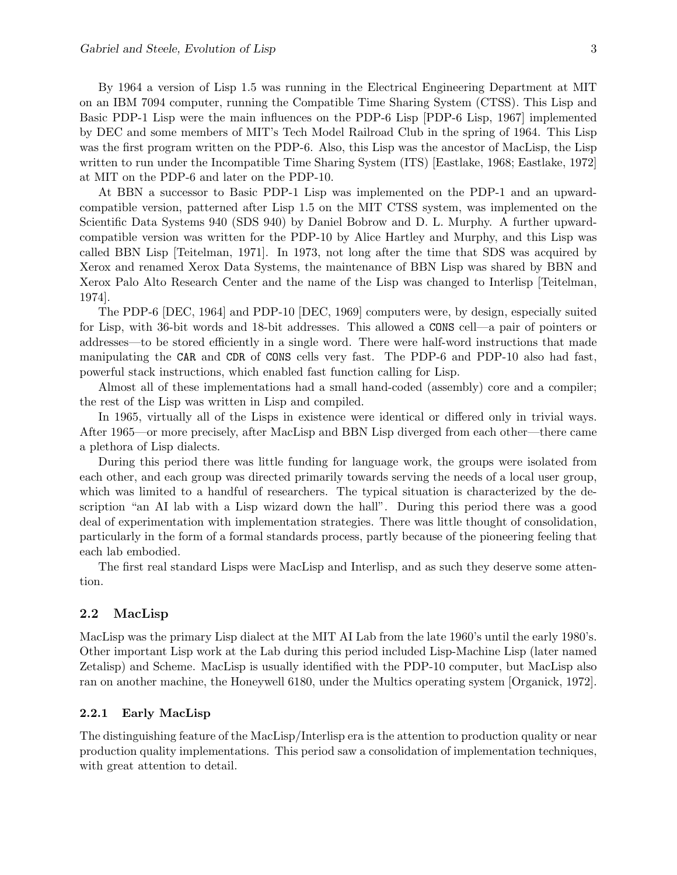By 1964 a version of Lisp 1.5 was running in the Electrical Engineering Department at MIT on an IBM 7094 computer, running the Compatible Time Sharing System (CTSS). This Lisp and Basic PDP-1 Lisp were the main influences on the PDP-6 Lisp [PDP-6 Lisp, 1967] implemented by DEC and some members of MIT's Tech Model Railroad Club in the spring of 1964. This Lisp was the first program written on the PDP-6. Also, this Lisp was the ancestor of MacLisp, the Lisp written to run under the Incompatible Time Sharing System (ITS) [Eastlake, 1968; Eastlake, 1972] at MIT on the PDP-6 and later on the PDP-10.

At BBN a successor to Basic PDP-1 Lisp was implemented on the PDP-1 and an upwardcompatible version, patterned after Lisp 1.5 on the MIT CTSS system, was implemented on the Scientific Data Systems 940 (SDS 940) by Daniel Bobrow and D. L. Murphy. A further upwardcompatible version was written for the PDP-10 by Alice Hartley and Murphy, and this Lisp was called BBN Lisp [Teitelman, 1971]. In 1973, not long after the time that SDS was acquired by Xerox and renamed Xerox Data Systems, the maintenance of BBN Lisp was shared by BBN and Xerox Palo Alto Research Center and the name of the Lisp was changed to Interlisp [Teitelman, 1974].

The PDP-6 [DEC, 1964] and PDP-10 [DEC, 1969] computers were, by design, especially suited for Lisp, with 36-bit words and 18-bit addresses. This allowed a CONS cell—a pair of pointers or addresses—to be stored efficiently in a single word. There were half-word instructions that made manipulating the CAR and CDR of CONS cells very fast. The PDP-6 and PDP-10 also had fast, powerful stack instructions, which enabled fast function calling for Lisp.

Almost all of these implementations had a small hand-coded (assembly) core and a compiler; the rest of the Lisp was written in Lisp and compiled.

In 1965, virtually all of the Lisps in existence were identical or differed only in trivial ways. After 1965—or more precisely, after MacLisp and BBN Lisp diverged from each other—there came a plethora of Lisp dialects.

During this period there was little funding for language work, the groups were isolated from each other, and each group was directed primarily towards serving the needs of a local user group, which was limited to a handful of researchers. The typical situation is characterized by the description "an AI lab with a Lisp wizard down the hall". During this period there was a good deal of experimentation with implementation strategies. There was little thought of consolidation, particularly in the form of a formal standards process, partly because of the pioneering feeling that each labembodied.

The first real standard Lisps were MacLisp and Interlisp, and as such they deserve some attention.

## **2.2 MacLisp**

MacLisp was the primary Lisp dialect at the MIT AI Lab from the late 1960's until the early 1980's. Other important Lisp work at the Labduring this period included Lisp-Machine Lisp (later named Zetalisp) and Scheme. MacLisp is usually identified with the PDP-10 computer, but MacLisp also ran on another machine, the Honeywell 6180, under the Multics operating system [Organick, 1972].

## **2.2.1 Early MacLisp**

The distinguishing feature of the MacLisp/Interlisp era is the attention to production quality or near production quality implementations. This period saw a consolidation of implementation techniques, with great attention to detail.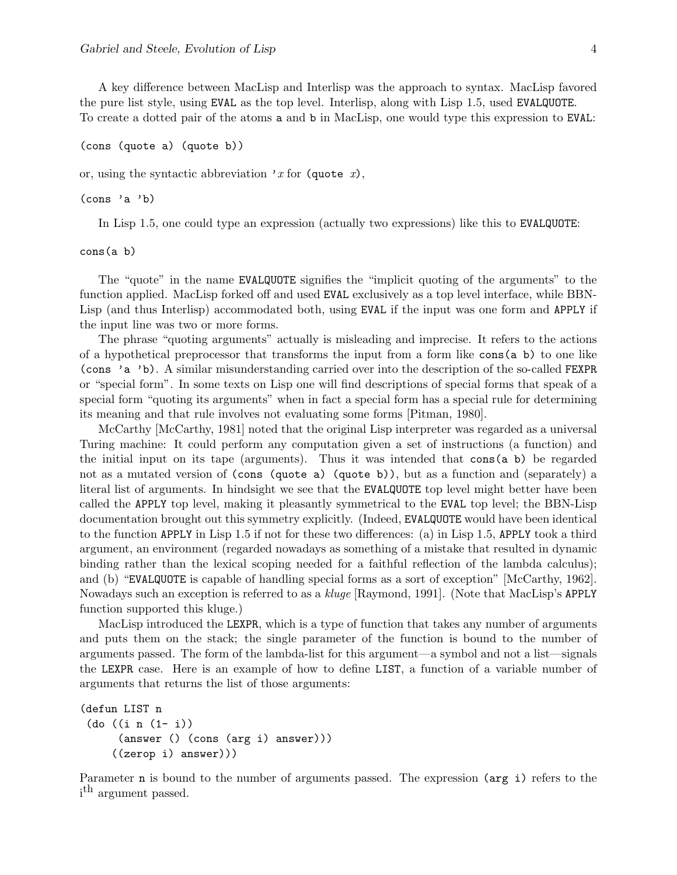A key difference between MacLisp and Interlisp was the approach to syntax. MacLisp favored the pure list style, using EVAL as the top level. Interlisp, along with Lisp 1.5, used EVALQUOTE. To create a dotted pair of the atoms a and b in MacLisp, one would type this expression to EVAL:

```
(cons (quote a) (quote b))
```
or, using the syntactic abbreviation  $x$  for (quote x),

#### (cons 'a'b)

In Lisp 1.5, one could type an expression (actually two expressions) like this to **EVALQUOTE**:

 $cons(a b)$ 

The "quote" in the name EVALQUOTE signifies the "implicit quoting of the arguments" to the function applied. MacLisp forked off and used EVAL exclusively as a top level interface, while BBN-Lisp (and thus Interlisp) accommodated both, using EVAL if the input was one form and APPLY if the input line was two or more forms.

The phrase "quoting arguments" actually is misleading and imprecise. It refers to the actions of a hypothetical preprocessor that transforms the input from a form like  $\cos(a b)$  to one like (cons 'a'b). A similar misunderstanding carried over into the description of the so-called FEXPR or "special form". In some texts on Lisp one will find descriptions of special forms that speak of a special form "quoting its arguments" when in fact a special form has a special rule for determining its meaning and that rule involves not evaluating some forms [Pitman, 1980].

McCarthy [McCarthy, 1981] noted that the original Lisp interpreter was regarded as a universal Turing machine: It could perform any computation given a set of instructions (a function) and the initial input on its tape (arguments). Thus it was intended that  $\cos(a b)$  be regarded not as a mutated version of (cons (quote a) (quote b)), but as a function and (separately) a literal list of arguments. In hindsight we see that the EVALQUOTE top level might better have been called the APPLY top level, making it pleasantly symmetrical to the EVAL top level; the BBN-Lisp documentation brought out this symmetry explicitly. (Indeed, EVALQUOTE would have been identical to the function APPLY in Lisp 1.5 if not for these two differences: (a) in Lisp 1.5, APPLY took a third argument, an environment (regarded nowadays as something of a mistake that resulted in dynamic binding rather than the lexical scoping needed for a faithful reflection of the lambda calculus); and (b) "EVALQUOTE is capable of handling special forms as a sort of exception" [McCarthy, 1962]. Nowadays such an exception is referred to as a kluge [Raymond, 1991]. (Note that MacLisp's APPLY function supported this kluge.)

MacLisp introduced the LEXPR, which is a type of function that takes any number of arguments and puts them on the stack; the single parameter of the function is bound to the number of arguments passed. The form of the lambda-list for this argument—a symbol and not a list—signals the LEXPR case. Here is an example of how to define LIST, a function of a variable number of arguments that returns the list of those arguments:

```
(defun LIST n
 (do ((i n (1- i))
      (answer () (cons (arg i) answer)))
     ((zerop i) answer)))
```
Parameter **n** is bound to the number of arguments passed. The expression ( $\arg$  i) refers to the i<sup>th</sup> argument passed.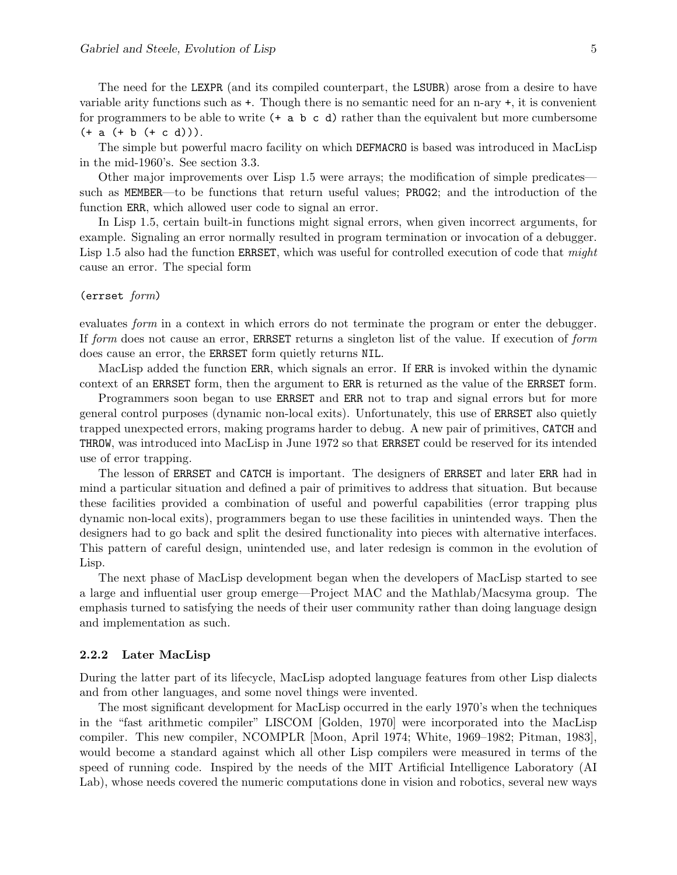The need for the LEXPR (and its compiled counterpart, the LSUBR) arose from a desire to have variable arity functions such as +. Though there is no semantic need for an n-ary +, it is convenient for programmers to be able to write  $(+)$  a b c d) rather than the equivalent but more cumbersome  $(+ a (+ b (+ c d))).$ 

The simple but powerful macro facility on which DEFMACRO is based was introduced in MacLisp in the mid-1960's. See section 3.3.

Other major improvements over Lisp 1.5 were arrays; the modification of simple predicates such as MEMBER—to be functions that return useful values; PROG2; and the introduction of the function ERR, which allowed user code to signal an error.

In Lisp 1.5, certain built-in functions might signal errors, when given incorrect arguments, for example. Signaling an error normally resulted in program termination or invocation of a debugger. Lisp 1.5 also had the function ERRSET, which was useful for controlled execution of code that *might* cause an error. The special form

#### (errset form)

evaluates *form* in a context in which errors do not terminate the program or enter the debugger. If form does not cause an error, ERRSET returns a singleton list of the value. If execution of form does cause an error, the ERRSET form quietly returns NIL.

MacLisp added the function ERR, which signals an error. If ERR is invoked within the dynamic context of an ERRSET form, then the argument to ERR is returned as the value of the ERRSET form.

Programmers soon began to use ERRSET and ERR not to trap and signal errors but for more general control purposes (dynamic non-local exits). Unfortunately, this use of ERRSET also quietly trapped unexpected errors, making programs harder to debug. A new pair of primitives, CATCH and THROW, was introduced into MacLisp in June 1972 so that ERRSET could be reserved for its intended use of error trapping.

The lesson of ERRSET and CATCH is important. The designers of ERRSET and later ERR had in mind a particular situation and defined a pair of primitives to address that situation. But because these facilities provided a combination of useful and powerful capabilities (error trapping plus dynamic non-local exits), programmers began to use these facilities in unintended ways. Then the designers had to go back and split the desired functionality into pieces with alternative interfaces. This pattern of careful design, unintended use, and later redesign is common in the evolution of Lisp.

The next phase of MacLisp development began when the developers of MacLisp started to see a large and influential user group emerge—Project MAC and the Mathlab/Macsyma group. The emphasis turned to satisfying the needs of their user community rather than doing language design and implementation as such.

#### **2.2.2 Later MacLisp**

During the latter part of its lifecycle, MacLisp adopted language features from other Lisp dialects and from other languages, and some novel things were invented.

The most significant development for MacLisp occurred in the early 1970's when the techniques in the "fast arithmetic compiler" LISCOM [Golden, 1970] were incorporated into the MacLisp compiler. This new compiler, NCOMPLR [Moon, April 1974; White, 1969–1982; Pitman, 1983], would become a standard against which all other Lisp compilers were measured in terms of the speed of running code. Inspired by the needs of the MIT Artificial Intelligence Laboratory (AI Lab), whose needs covered the numeric computations done in vision and robotics, several new ways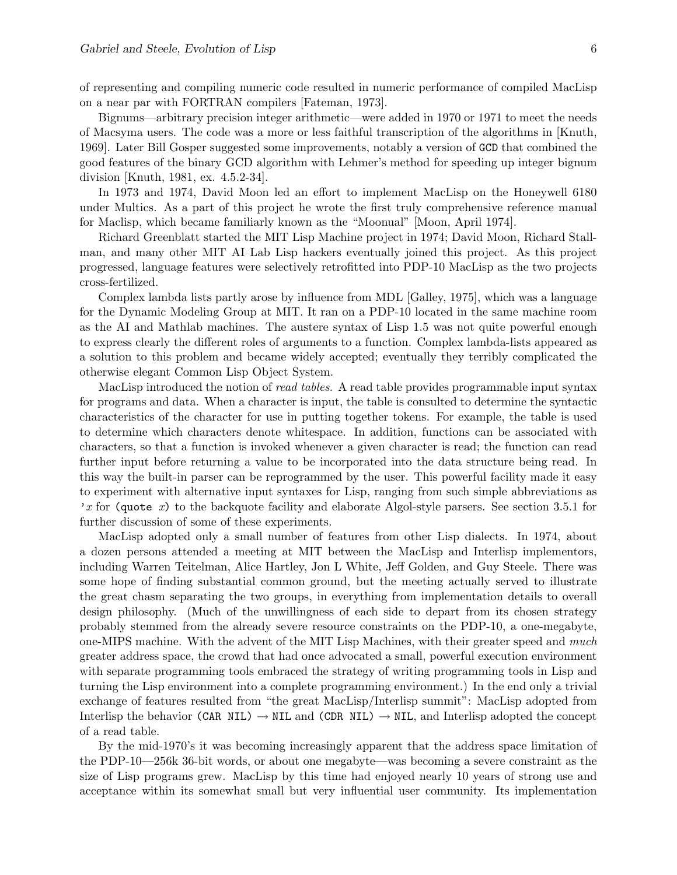of representing and compiling numeric code resulted in numeric performance of compiled MacLisp on a near par with FORTRAN compilers [Fateman, 1973].

Bignums—arbitrary precision integer arithmetic—were added in 1970 or 1971 to meet the needs of Macsyma users. The code was a more or less faithful transcription of the algorithms in [Knuth, 1969]. Later Bill Gosper suggested some improvements, notably a version of GCD that combined the good features of the binary GCD algorithm with Lehmer's method for speeding up integer bignum division [Knuth, 1981, ex. 4.5.2-34].

In 1973 and 1974, David Moon led an effort to implement MacLisp on the Honeywell 6180 under Multics. As a part of this project he wrote the first truly comprehensive reference manual for Maclisp, which became familiarly known as the "Moonual" [Moon, April 1974].

Richard Greenblatt started the MIT Lisp Machine project in 1974; David Moon, Richard Stallman, and many other MIT AI LabLisp hackers eventually joined this project. As this project progressed, language features were selectively retrofitted into PDP-10 MacLisp as the two projects cross-fertilized.

Complex lambda lists partly arose by influence from MDL [Galley, 1975], which was a language for the Dynamic Modeling Group at MIT. It ran on a PDP-10 located in the same machine room as the AI and Mathlab machines. The austere syntax of Lisp 1.5 was not quite powerful enough to express clearly the different roles of arguments to a function. Complex lambda-lists appeared as a solution to this problem and became widely accepted; eventually they terribly complicated the otherwise elegant Common Lisp Object System.

MacLisp introduced the notion of *read tables*. A read table provides programmable input syntax for programs and data. When a character is input, the table is consulted to determine the syntactic characteristics of the character for use in putting together tokens. For example, the table is used to determine which characters denote whitespace. In addition, functions can be associated with characters, so that a function is invoked whenever a given character is read; the function can read further input before returning a value to be incorporated into the data structure being read. In this way the built-in parser can be reprogrammed by the user. This powerful facility made it easy to experiment with alternative input syntaxes for Lisp, ranging from such simple abbreviations as  $x$  for (quote x) to the backquote facility and elaborate Algol-style parsers. See section 3.5.1 for further discussion of some of these experiments.

MacLisp adopted only a small number of features from other Lisp dialects. In 1974, about a dozen persons attended a meeting at MIT between the MacLisp and Interlisp implementors, including Warren Teitelman, Alice Hartley, Jon L White, Jeff Golden, and Guy Steele. There was some hope of finding substantial common ground, but the meeting actually served to illustrate the great chasm separating the two groups, in everything from implementation details to overall design philosophy. (Much of the unwillingness of each side to depart from its chosen strategy probably stemmed from the already severe resource constraints on the PDP-10, a one-megabyte, one-MIPS machine. With the advent of the MIT Lisp Machines, with their greater speed and much greater address space, the crowd that had once advocated a small, powerful execution environment with separate programming tools embraced the strategy of writing programming tools in Lisp and turning the Lisp environment into a complete programming environment.) In the end only a trivial exchange of features resulted from "the great MacLisp/Interlisp summit": MacLisp adopted from Interlisp the behavior (CAR NIL)  $\rightarrow$  NIL and (CDR NIL)  $\rightarrow$  NIL, and Interlisp adopted the concept of a read table.

By the mid-1970's it was becoming increasingly apparent that the address space limitation of the PDP-10—256k 36-bit words, or about one megabyte—was becoming a severe constraint as the size of Lisp programs grew. MacLisp by this time had enjoyed nearly 10 years of strong use and acceptance within its somewhat small but very influential user community. Its implementation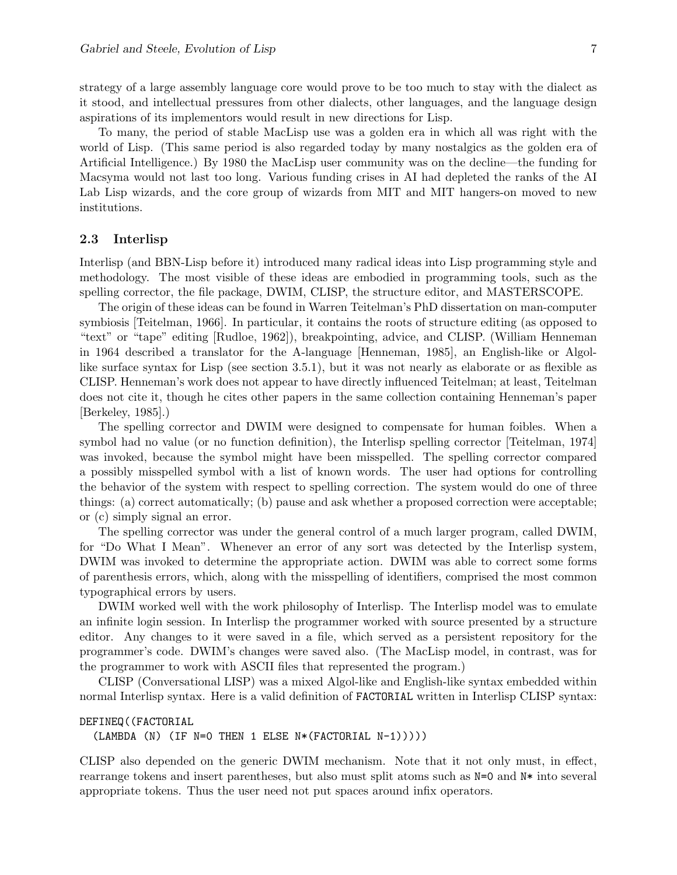strategy of a large assembly language core would prove to be too much to stay with the dialect as it stood, and intellectual pressures from other dialects, other languages, and the language design aspirations of its implementors would result in new directions for Lisp.

To many, the period of stable MacLisp use was a golden era in which all was right with the world of Lisp. (This same period is also regarded today by many nostalgics as the golden era of Artificial Intelligence.) By 1980 the MacLisp user community was on the decline—the funding for Macsyma would not last too long. Various funding crises in AI had depleted the ranks of the AI Lab Lisp wizards, and the core group of wizards from MIT and MIT hangers-on moved to new institutions.

## **2.3 Interlisp**

Interlisp (and BBN-Lisp before it) introduced many radical ideas into Lisp programming style and methodology. The most visible of these ideas are embodied in programming tools, such as the spelling corrector, the file package, DWIM, CLISP, the structure editor, and MASTERSCOPE.

The origin of these ideas can be found in Warren Teitelman's PhD dissertation on man-computer symbiosis [Teitelman, 1966]. In particular, it contains the roots of structure editing (as opposed to "text" or "tape" editing [Rudloe, 1962]), breakpointing, advice, and CLISP. (William Henneman in 1964 described a translator for the A-language [Henneman, 1985], an English-like or Algollike surface syntax for Lisp (see section 3.5.1), but it was not nearly as elaborate or as flexible as CLISP. Henneman's work does not appear to have directly influenced Teitelman; at least, Teitelman does not cite it, though he cites other papers in the same collection containing Henneman's paper [Berkeley, 1985].)

The spelling corrector and DWIM were designed to compensate for human foibles. When a symbol had no value (or no function definition), the Interlisp spelling corrector [Teitelman, 1974] was invoked, because the symbol might have been misspelled. The spelling corrector compared a possibly misspelled symbol with a list of known words. The user had options for controlling the behavior of the system with respect to spelling correction. The system would do one of three things: (a) correct automatically; (b) pause and ask whether a proposed correction were acceptable; or (c) simply signal an error.

The spelling corrector was under the general control of a much larger program, called DWIM, for "Do What I Mean". Whenever an error of any sort was detected by the Interlisp system, DWIM was invoked to determine the appropriate action. DWIM was able to correct some forms of parenthesis errors, which, along with the misspelling of identifiers, comprised the most common typographical errors by users.

DWIM worked well with the work philosophy of Interlisp. The Interlisp model was to emulate an infinite login session. In Interlisp the programmer worked with source presented by a structure editor. Any changes to it were saved in a file, which served as a persistent repository for the programmer's code. DWIM's changes were saved also. (The MacLisp model, in contrast, was for the programmer to work with ASCII files that represented the program.)

CLISP (Conversational LISP) was a mixed Algol-like and English-like syntax embedded within normal Interlisp syntax. Here is a valid definition of **FACTORIAL** written in Interlisp CLISP syntax:

#### DEFINEQ((FACTORIAL

(LAMBDA (N) (IF N=0 THEN 1 ELSE N\*(FACTORIAL N-1)))))

CLISP also depended on the generic DWIM mechanism. Note that it not only must, in effect, rearrange tokens and insert parentheses, but also must split atoms such as N=0 and N\* into several appropriate tokens. Thus the user need not put spaces around infix operators.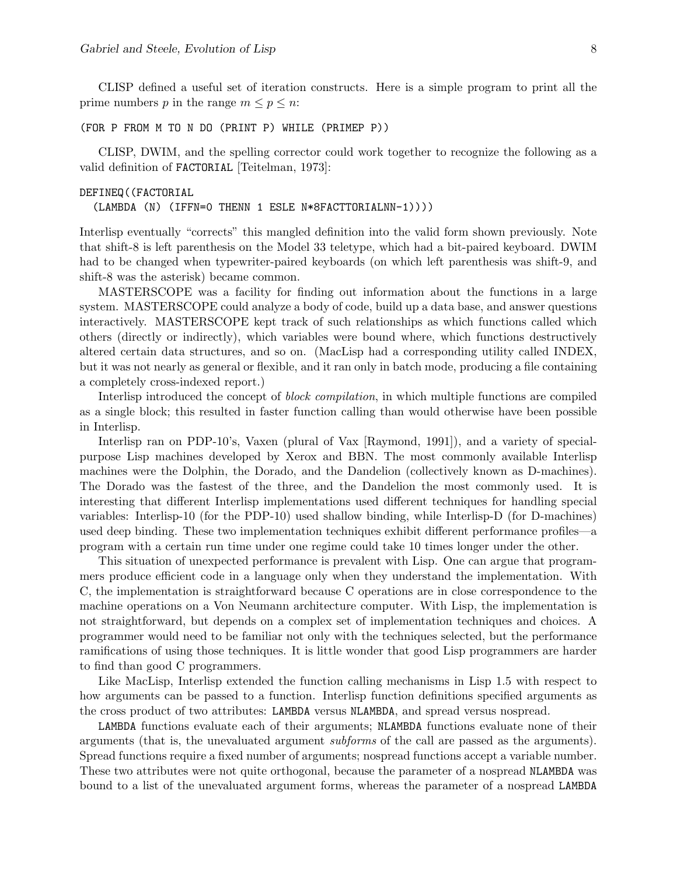CLISP defined a useful set of iteration constructs. Here is a simple program to print all the prime numbers *p* in the range  $m \leq p \leq n$ :

(FOR P FROM M TO N DO (PRINT P) WHILE (PRIMEP P))

CLISP, DWIM, and the spelling corrector could work together to recognize the following as a valid definition of FACTORIAL [Teitelman, 1973]:

#### DEFINEQ((FACTORIAL

(LAMBDA (N) (IFFN=0 THENN 1 ESLE N\*8FACTTORIALNN-1))))

Interlisp eventually "corrects" this mangled definition into the valid form shown previously. Note that shift-8 is left parenthesis on the Model 33 teletype, which had a bit-paired keyboard. DWIM had to be changed when typewriter-paired keyboards (on which left parenthesis was shift-9, and shift-8 was the asterisk) became common.

MASTERSCOPE was a facility for finding out information about the functions in a large system. MASTERSCOPE could analyze a body of code, build up a data base, and answer questions interactively. MASTERSCOPE kept track of such relationships as which functions called which others (directly or indirectly), which variables were bound where, which functions destructively altered certain data structures, and so on. (MacLisp had a corresponding utility called INDEX, but it was not nearly as general or flexible, and it ran only in batch mode, producing a file containing a completely cross-indexed report.)

Interlisp introduced the concept of *block compilation*, in which multiple functions are compiled as a single block; this resulted in faster function calling than would otherwise have been possible in Interlisp.

Interlisp ran on PDP-10's, Vaxen (plural of Vax [Raymond, 1991]), and a variety of specialpurpose Lisp machines developed by Xerox and BBN. The most commonly available Interlisp machines were the Dolphin, the Dorado, and the Dandelion (collectively known as D-machines). The Dorado was the fastest of the three, and the Dandelion the most commonly used. It is interesting that different Interlisp implementations used different techniques for handling special variables: Interlisp-10 (for the PDP-10) used shallow binding, while Interlisp-D (for D-machines) used deep binding. These two implementation techniques exhibit different performance profiles—a program with a certain run time under one regime could take 10 times longer under the other.

This situation of unexpected performance is prevalent with Lisp. One can argue that programmers produce efficient code in a language only when they understand the implementation. With C, the implementation is straightforward because C operations are in close correspondence to the machine operations on a Von Neumann architecture computer. With Lisp, the implementation is not straightforward, but depends on a complex set of implementation techniques and choices. A programmer would need to be familiar not only with the techniques selected, but the performance ramifications of using those techniques. It is little wonder that good Lisp programmers are harder to find than good C programmers.

Like MacLisp, Interlisp extended the function calling mechanisms in Lisp 1.5 with respect to how arguments can be passed to a function. Interlisp function definitions specified arguments as the cross product of two attributes: LAMBDA versus NLAMBDA, and spread versus nospread.

LAMBDA functions evaluate each of their arguments; NLAMBDA functions evaluate none of their arguments (that is, the unevaluated argument subforms of the call are passed as the arguments). Spread functions require a fixed number of arguments; nospread functions accept a variable number. These two attributes were not quite orthogonal, because the parameter of a nospread NLAMBDA was bound to a list of the unevaluated argument forms, whereas the parameter of a nospread LAMBDA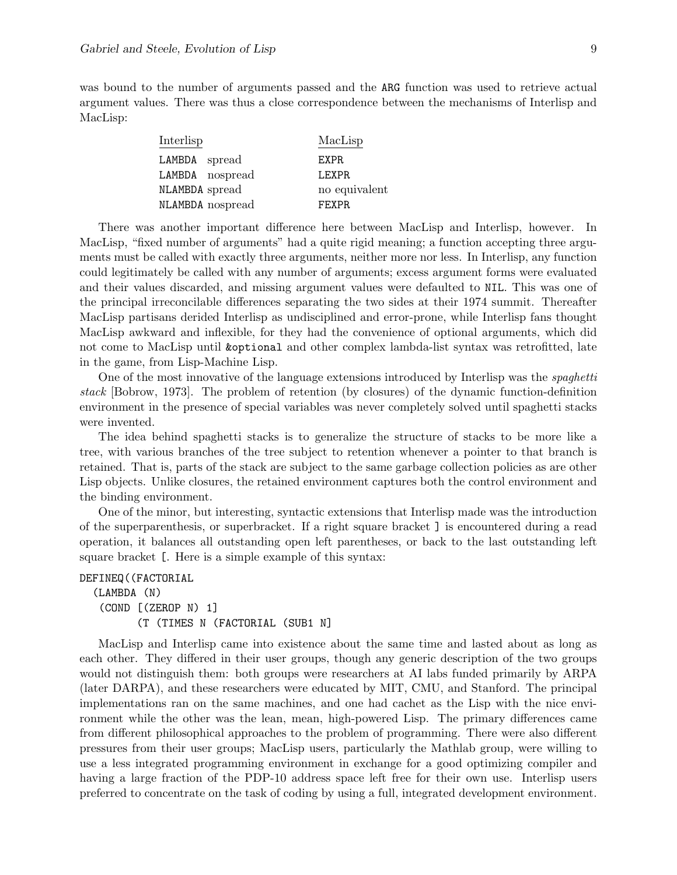was bound to the number of arguments passed and the ARG function was used to retrieve actual argument values. There was thus a close correspondence between the mechanisms of Interlisp and MacLisp:

| Interlisp        | MacLisp       |
|------------------|---------------|
| LAMBDA spread    | EXPR.         |
| LAMBDA nospread  | LEXPR         |
| NLAMBDA spread   | no equivalent |
| NLAMBDA nospread | FF.XPR        |

There was another important difference here between MacLisp and Interlisp, however. In MacLisp, "fixed number of arguments" had a quite rigid meaning; a function accepting three arguments must be called with exactly three arguments, neither more nor less. In Interlisp, any function could legitimately be called with any number of arguments; excess argument forms were evaluated and their values discarded, and missing argument values were defaulted to NIL. This was one of the principal irreconcilable differences separating the two sides at their 1974 summit. Thereafter MacLisp partisans derided Interlisp as undisciplined and error-prone, while Interlisp fans thought MacLisp awkward and inflexible, for they had the convenience of optional arguments, which did not come to MacLisp until &optional and other complex lambda-list syntax was retrofitted, late in the game, from Lisp-Machine Lisp.

One of the most innovative of the language extensions introduced by Interlisp was the spaghetti stack [Bobrow, 1973]. The problem of retention (by closures) of the dynamic function-definition environment in the presence of special variables was never completely solved until spaghetti stacks were invented.

The idea behind spaghetti stacks is to generalize the structure of stacks to be more like a tree, with various branches of the tree subject to retention whenever a pointer to that branch is retained. That is, parts of the stack are subject to the same garbage collection policies as are other Lisp objects. Unlike closures, the retained environment captures both the control environment and the binding environment.

One of the minor, but interesting, syntactic extensions that Interlisp made was the introduction of the superparenthesis, or superbracket. If a right square bracket ] is encountered during a read operation, it balances all outstanding open left parentheses, or back to the last outstanding left square bracket [. Here is a simple example of this syntax:

```
DEFINEQ((FACTORIAL
  (LAMBDA (N)
   (COND [(ZEROP N) 1]
         (T (TIMES N (FACTORIAL (SUB1 N]
```
MacLisp and Interlisp came into existence about the same time and lasted about as long as each other. They differed in their user groups, though any generic description of the two groups would not distinguish them: both groups were researchers at AI labs funded primarily by ARPA (later DARPA), and these researchers were educated by MIT, CMU, and Stanford. The principal implementations ran on the same machines, and one had cachet as the Lisp with the nice environment while the other was the lean, mean, high-powered Lisp. The primary differences came from different philosophical approaches to the problem of programming. There were also different pressures from their user groups; MacLisp users, particularly the Mathlabgroup, were willing to use a less integrated programming environment in exchange for a good optimizing compiler and having a large fraction of the PDP-10 address space left free for their own use. Interlisp users preferred to concentrate on the task of coding by using a full, integrated development environment.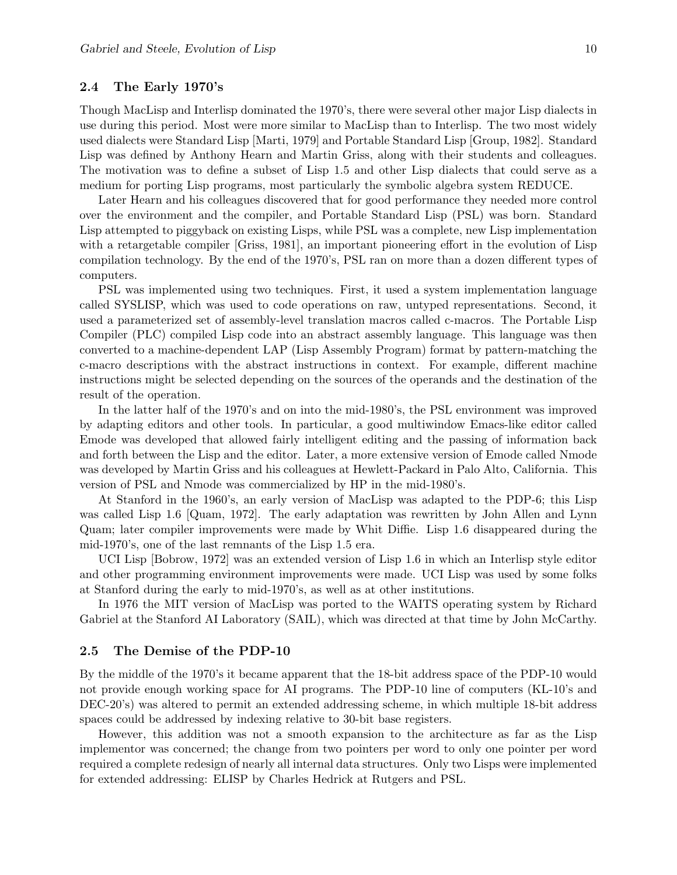#### **2.4 The Early 1970's**

Though MacLisp and Interlisp dominated the 1970's, there were several other major Lisp dialects in use during this period. Most were more similar to MacLisp than to Interlisp. The two most widely used dialects were Standard Lisp [Marti, 1979] and Portable Standard Lisp [Group, 1982]. Standard Lisp was defined by Anthony Hearn and Martin Griss, along with their students and colleagues. The motivation was to define a subset of Lisp 1.5 and other Lisp dialects that could serve as a medium for porting Lisp programs, most particularly the symbolic algebra system REDUCE.

Later Hearn and his colleagues discovered that for good performance they needed more control over the environment and the compiler, and Portable Standard Lisp (PSL) was born. Standard Lisp attempted to piggyback on existing Lisps, while PSL was a complete, new Lisp implementation with a retargetable compiler [Griss, 1981], an important pioneering effort in the evolution of Lisp compilation technology. By the end of the 1970's, PSL ran on more than a dozen different types of computers.

PSL was implemented using two techniques. First, it used a system implementation language called SYSLISP, which was used to code operations on raw, untyped representations. Second, it used a parameterized set of assembly-level translation macros called c-macros. The Portable Lisp Compiler (PLC) compiled Lisp code into an abstract assembly language. This language was then converted to a machine-dependent LAP (Lisp Assembly Program) format by pattern-matching the c-macro descriptions with the abstract instructions in context. For example, different machine instructions might be selected depending on the sources of the operands and the destination of the result of the operation.

In the latter half of the 1970's and on into the mid-1980's, the PSL environment was improved by adapting editors and other tools. In particular, a good multiwindow Emacs-like editor called Emode was developed that allowed fairly intelligent editing and the passing of information back and forth between the Lisp and the editor. Later, a more extensive version of Emode called Nmode was developed by Martin Griss and his colleagues at Hewlett-Packard in Palo Alto, California. This version of PSL and Nmode was commercialized by HP in the mid-1980's.

At Stanford in the 1960's, an early version of MacLisp was adapted to the PDP-6; this Lisp was called Lisp 1.6 [Quam, 1972]. The early adaptation was rewritten by John Allen and Lynn Quam; later compiler improvements were made by Whit Diffie. Lisp 1.6 disappeared during the mid-1970's, one of the last remnants of the Lisp 1.5 era.

UCI Lisp [Bobrow, 1972] was an extended version of Lisp 1.6 in which an Interlisp style editor and other programming environment improvements were made. UCI Lisp was used by some folks at Stanford during the early to mid-1970's, as well as at other institutions.

In 1976 the MIT version of MacLisp was ported to the WAITS operating system by Richard Gabriel at the Stanford AI Laboratory (SAIL), which was directed at that time by John McCarthy.

### **2.5 The Demise of the PDP-10**

By the middle of the 1970's it became apparent that the 18-bit address space of the PDP-10 would not provide enough working space for AI programs. The PDP-10 line of computers (KL-10's and DEC-20's) was altered to permit an extended addressing scheme, in which multiple 18-bit address spaces could be addressed by indexing relative to 30-bit base registers.

However, this addition was not a smooth expansion to the architecture as far as the Lisp implementor was concerned; the change from two pointers per word to only one pointer per word required a complete redesign of nearly all internal data structures. Only two Lisps were implemented for extended addressing: ELISP by Charles Hedrick at Rutgers and PSL.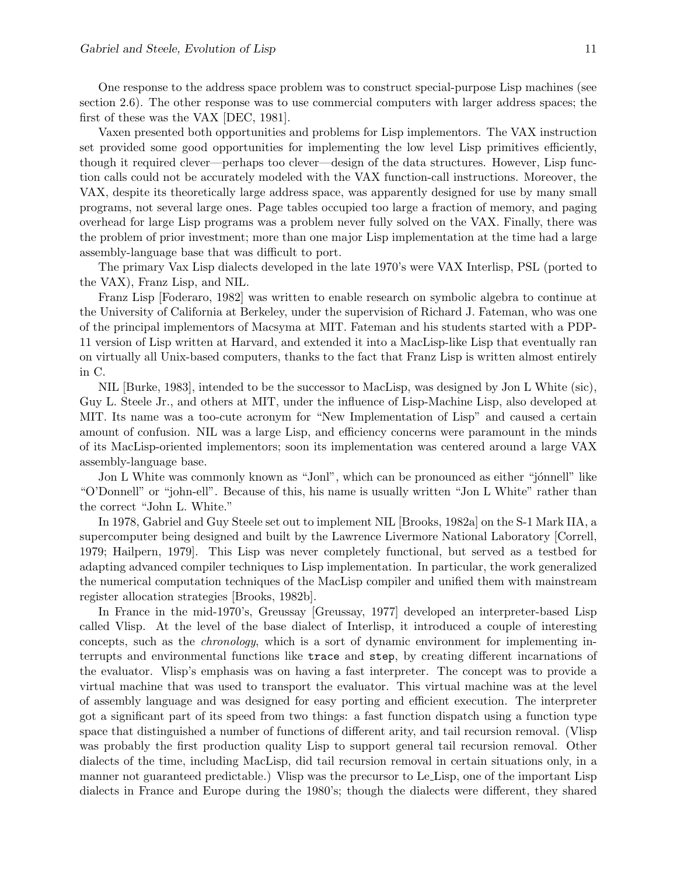One response to the address space problem was to construct special-purpose Lisp machines (see section 2.6). The other response was to use commercial computers with larger address spaces; the first of these was the VAX [DEC, 1981].

Vaxen presented both opportunities and problems for Lisp implementors. The VAX instruction set provided some good opportunities for implementing the low level Lisp primitives efficiently, though it required clever—perhaps too clever—design of the data structures. However, Lisp function calls could not be accurately modeled with the VAX function-call instructions. Moreover, the VAX, despite its theoretically large address space, was apparently designed for use by many small programs, not several large ones. Page tables occupied too large a fraction of memory, and paging overhead for large Lisp programs was a problem never fully solved on the VAX. Finally, there was the problem of prior investment; more than one major Lisp implementation at the time had a large assembly-language base that was difficult to port.

The primary Vax Lisp dialects developed in the late 1970's were VAX Interlisp, PSL (ported to the VAX), Franz Lisp, and NIL.

Franz Lisp [Foderaro, 1982] was written to enable research on symbolic algebra to continue at the University of California at Berkeley, under the supervision of Richard J. Fateman, who was one of the principal implementors of Macsyma at MIT. Fateman and his students started with a PDP-11 version of Lisp written at Harvard, and extended it into a MacLisp-like Lisp that eventually ran on virtually all Unix-based computers, thanks to the fact that Franz Lisp is written almost entirely in C.

NIL [Burke, 1983], intended to be the successor to MacLisp, was designed by Jon L White (sic), Guy L. Steele Jr., and others at MIT, under the influence of Lisp-Machine Lisp, also developed at MIT. Its name was a too-cute acronym for "New Implementation of Lisp" and caused a certain amount of confusion. NIL was a large Lisp, and efficiency concerns were paramount in the minds of its MacLisp-oriented implementors; soon its implementation was centered around a large VAX assembly-language base.

Jon L White was commonly known as "Jonl", which can be pronounced as either "jonnell" like "O'Donnell" or "john-ell". Because of this, his name is usually written "Jon L White" rather than the correct "John L. White."

In 1978, Gabriel and Guy Steele set out to implement NIL [Brooks, 1982a] on the S-1 Mark IIA, a supercomputer being designed and built by the Lawrence Livermore National Laboratory [Correll, 1979; Hailpern, 1979]. This Lisp was never completely functional, but served as a testbed for adapting advanced compiler techniques to Lisp implementation. In particular, the work generalized the numerical computation techniques of the MacLisp compiler and unified them with mainstream register allocation strategies [Brooks, 1982b].

In France in the mid-1970's, Greussay [Greussay, 1977] developed an interpreter-based Lisp called Vlisp. At the level of the base dialect of Interlisp, it introduced a couple of interesting concepts, such as the chronology, which is a sort of dynamic environment for implementing interrupts and environmental functions like trace and step, by creating different incarnations of the evaluator. Vlisp's emphasis was on having a fast interpreter. The concept was to provide a virtual machine that was used to transport the evaluator. This virtual machine was at the level of assembly language and was designed for easy porting and efficient execution. The interpreter got a significant part of its speed from two things: a fast function dispatch using a function type space that distinguished a number of functions of different arity, and tail recursion removal. (Vlisp was probably the first production quality Lisp to support general tail recursion removal. Other dialects of the time, including MacLisp, did tail recursion removal in certain situations only, in a manner not guaranteed predictable.) Vlisp was the precursor to Le Lisp, one of the important Lisp dialects in France and Europe during the 1980's; though the dialects were different, they shared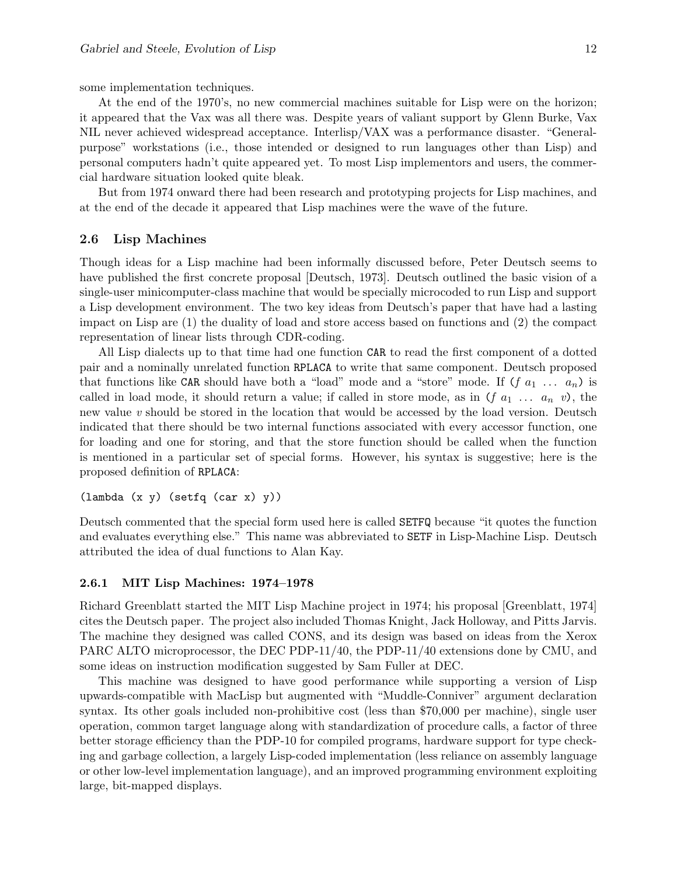some implementation techniques.

At the end of the 1970's, no new commercial machines suitable for Lisp were on the horizon; it appeared that the Vax was all there was. Despite years of valiant support by Glenn Burke, Vax NIL never achieved widespread acceptance. Interlisp/VAX was a performance disaster. "Generalpurpose" workstations (i.e., those intended or designed to run languages other than Lisp) and personal computers hadn't quite appeared yet. To most Lisp implementors and users, the commercial hardware situation looked quite bleak.

But from 1974 onward there had been research and prototyping projects for Lisp machines, and at the end of the decade it appeared that Lisp machines were the wave of the future.

## **2.6 Lisp Machines**

Though ideas for a Lisp machine had been informally discussed before, Peter Deutsch seems to have published the first concrete proposal [Deutsch, 1973]. Deutsch outlined the basic vision of a single-user minicomputer-class machine that would be specially microcoded to run Lisp and support a Lisp development environment. The two key ideas from Deutsch's paper that have had a lasting impact on Lisp are (1) the duality of load and store access based on functions and (2) the compact representation of linear lists through CDR-coding.

All Lisp dialects up to that time had one function CAR to read the first component of a dotted pair and a nominally unrelated function RPLACA to write that same component. Deutsch proposed that functions like CAR should have both a "load" mode and a "store" mode. If  $(f \ a_1 \ \ldots \ a_n)$  is called in load mode, it should return a value; if called in store mode, as in  $(f\ a_1 \ \ldots \ a_n\ v)$ , the new value  $v$  should be stored in the location that would be accessed by the load version. Deutsch indicated that there should be two internal functions associated with every accessor function, one for loading and one for storing, and that the store function should be called when the function is mentioned in a particular set of special forms. However, his syntax is suggestive; here is the proposed definition of RPLACA:

```
(\text{lambda } (x y) (\text{setfq} (car x) y))
```
Deutsch commented that the special form used here is called SETFQ because "it quotes the function and evaluates everything else." This name was abbreviated to SETF in Lisp-Machine Lisp. Deutsch attributed the idea of dual functions to Alan Kay.

### **2.6.1 MIT Lisp Machines: 1974–1978**

Richard Greenblatt started the MIT Lisp Machine project in 1974; his proposal [Greenblatt, 1974] cites the Deutsch paper. The project also included Thomas Knight, Jack Holloway, and Pitts Jarvis. The machine they designed was called CONS, and its design was based on ideas from the Xerox PARC ALTO microprocessor, the DEC PDP-11/40, the PDP-11/40 extensions done by CMU, and some ideas on instruction modification suggested by Sam Fuller at DEC.

This machine was designed to have good performance while supporting a version of Lisp upwards-compatible with MacLisp but augmented with "Muddle-Conniver" argument declaration syntax. Its other goals included non-prohibitive cost (less than \$70,000 per machine), single user operation, common target language along with standardization of procedure calls, a factor of three better storage efficiency than the PDP-10 for compiled programs, hardware support for type checking and garbage collection, a largely Lisp-coded implementation (less reliance on assembly language or other low-level implementation language), and an improved programming environment exploiting large, bit-mapped displays.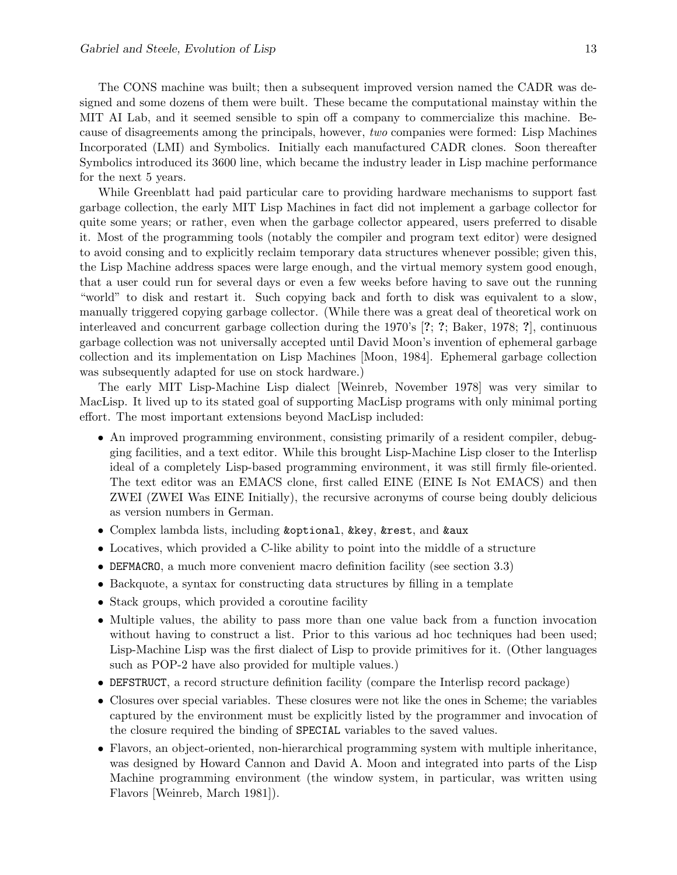The CONS machine was built; then a subsequent improved version named the CADR was designed and some dozens of them were built. These became the computational mainstay within the MIT AI Lab, and it seemed sensible to spin off a company to commercialize this machine. Because of disagreements among the principals, however, two companies were formed: Lisp Machines Incorporated (LMI) and Symbolics. Initially each manufactured CADR clones. Soon thereafter Symbolics introduced its 3600 line, which became the industry leader in Lisp machine performance for the next 5 years.

While Greenblatt had paid particular care to providing hardware mechanisms to support fast garbage collection, the early MIT Lisp Machines in fact did not implement a garbage collector for quite some years; or rather, even when the garbage collector appeared, users preferred to disable it. Most of the programming tools (notably the compiler and program text editor) were designed to avoid consing and to explicitly reclaim temporary data structures whenever possible; given this, the Lisp Machine address spaces were large enough, and the virtual memory system good enough, that a user could run for several days or even a few weeks before having to save out the running "world" to disk and restart it. Such copying back and forth to disk was equivalent to a slow, manually triggered copying garbage collector. (While there was a great deal of theoretical work on interleaved and concurrent garbage collection during the 1970's [**?**; **?**; Baker, 1978; **?**], continuous garbage collection was not universally accepted until David Moon's invention of ephemeral garbage collection and its implementation on Lisp Machines [Moon, 1984]. Ephemeral garbage collection was subsequently adapted for use on stock hardware.)

The early MIT Lisp-Machine Lisp dialect [Weinreb, November 1978] was very similar to MacLisp. It lived up to its stated goal of supporting MacLisp programs with only minimal porting effort. The most important extensions beyond MacLisp included:

- An improved programming environment, consisting primarily of a resident compiler, debugging facilities, and a text editor. While this brought Lisp-Machine Lisp closer to the Interlisp ideal of a completely Lisp-based programming environment, it was still firmly file-oriented. The text editor was an EMACS clone, first called EINE (EINE Is Not EMACS) and then ZWEI (ZWEI Was EINE Initially), the recursive acronyms of course being doubly delicious as version numbers in German.
- Complex lambda lists, including &optional, &key, &rest, and &aux
- Locatives, which provided a C-like ability to point into the middle of a structure
- DEFMACRO, a much more convenient macro definition facility (see section 3.3)
- Backquote, a syntax for constructing data structures by filling in a template
- Stack groups, which provided a coroutine facility
- Multiple values, the ability to pass more than one value back from a function invocation without having to construct a list. Prior to this various ad hoc techniques had been used; Lisp-Machine Lisp was the first dialect of Lisp to provide primitives for it. (Other languages such as POP-2 have also provided for multiple values.)
- DEFSTRUCT, a record structure definition facility (compare the Interlisp record package)
- Closures over special variables. These closures were not like the ones in Scheme; the variables captured by the environment must be explicitly listed by the programmer and invocation of the closure required the binding of SPECIAL variables to the saved values.
- Flavors, an object-oriented, non-hierarchical programming system with multiple inheritance, was designed by Howard Cannon and David A. Moon and integrated into parts of the Lisp Machine programming environment (the window system, in particular, was written using Flavors [Weinreb, March 1981]).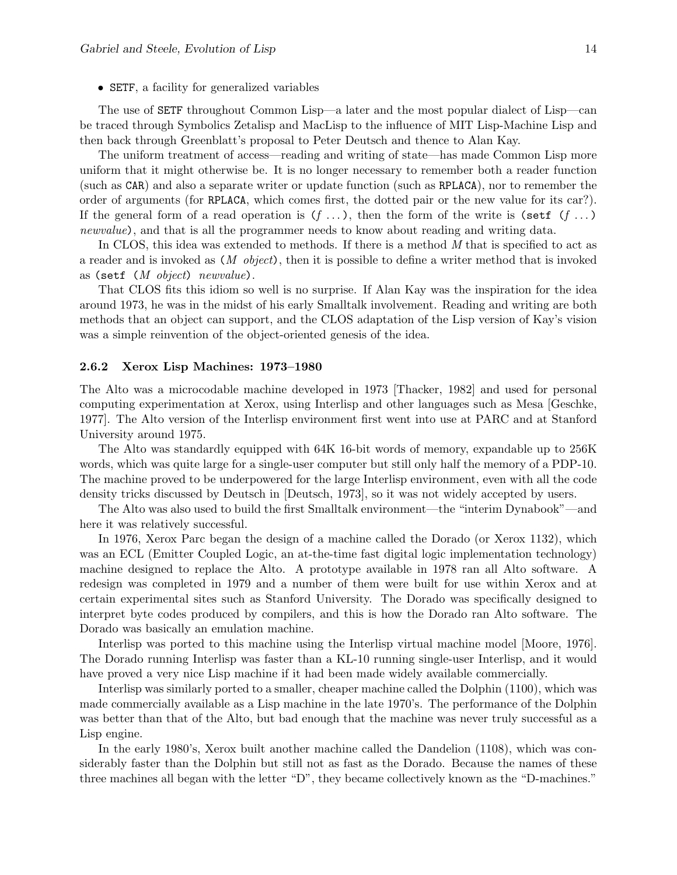• SETF, a facility for generalized variables

The use of SETF throughout Common Lisp—a later and the most popular dialect of Lisp—can be traced through Symbolics Zetalisp and MacLisp to the influence of MIT Lisp-Machine Lisp and then back through Greenblatt's proposal to Peter Deutsch and thence to Alan Kay.

The uniform treatment of access—reading and writing of state—has made Common Lisp more uniform that it might otherwise be. It is no longer necessary to remember both a reader function (such as CAR) and also a separate writer or update function (such as RPLACA), nor to remember the order of arguments (for RPLACA, which comes first, the dotted pair or the new value for its car?). If the general form of a read operation is  $(f \ldots)$ , then the form of the write is (setf  $(f \ldots)$ ) newvalue), and that is all the programmer needs to know about reading and writing data.

In CLOS, this idea was extended to methods. If there is a method M that is specified to act as a reader and is invoked as (M object), then it is possible to define a writer method that is invoked as (setf (M object) newvalue).

That CLOS fits this idiom so well is no surprise. If Alan Kay was the inspiration for the idea around 1973, he was in the midst of his early Smalltalk involvement. Reading and writing are both methods that an object can support, and the CLOS adaptation of the Lisp version of Kay's vision was a simple reinvention of the object-oriented genesis of the idea.

#### **2.6.2 Xerox Lisp Machines: 1973–1980**

The Alto was a microcodable machine developed in 1973 [Thacker, 1982] and used for personal computing experimentation at Xerox, using Interlisp and other languages such as Mesa [Geschke, 1977]. The Alto version of the Interlisp environment first went into use at PARC and at Stanford University around 1975.

The Alto was standardly equipped with 64K 16-bit words of memory, expandable up to 256K words, which was quite large for a single-user computer but still only half the memory of a PDP-10. The machine proved to be underpowered for the large Interlisp environment, even with all the code density tricks discussed by Deutsch in [Deutsch, 1973], so it was not widely accepted by users.

The Alto was also used to build the first Smalltalk environment—the "interim Dynabook"—and here it was relatively successful.

In 1976, Xerox Parc began the design of a machine called the Dorado (or Xerox 1132), which was an ECL (Emitter Coupled Logic, an at-the-time fast digital logic implementation technology) machine designed to replace the Alto. A prototype available in 1978 ran all Alto software. A redesign was completed in 1979 and a number of them were built for use within Xerox and at certain experimental sites such as Stanford University. The Dorado was specifically designed to interpret byte codes produced by compilers, and this is how the Dorado ran Alto software. The Dorado was basically an emulation machine.

Interlisp was ported to this machine using the Interlisp virtual machine model [Moore, 1976]. The Dorado running Interlisp was faster than a KL-10 running single-user Interlisp, and it would have proved a very nice Lisp machine if it had been made widely available commercially.

Interlisp was similarly ported to a smaller, cheaper machine called the Dolphin (1100), which was made commercially available as a Lisp machine in the late 1970's. The performance of the Dolphin was better than that of the Alto, but bad enough that the machine was never truly successful as a Lisp engine.

In the early 1980's, Xerox built another machine called the Dandelion (1108), which was considerably faster than the Dolphin but still not as fast as the Dorado. Because the names of these three machines all began with the letter "D", they became collectively known as the "D-machines."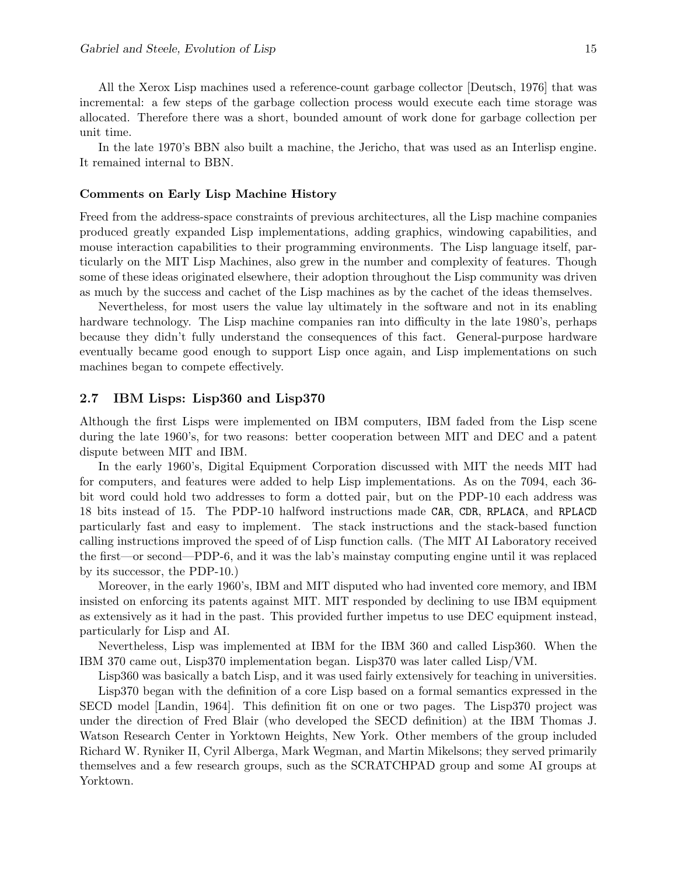In the late 1970's BBN also built a machine, the Jericho, that was used as an Interlisp engine. It remained internal to BBN.

#### **Comments on Early Lisp Machine History**

Freed from the address-space constraints of previous architectures, all the Lisp machine companies produced greatly expanded Lisp implementations, adding graphics, windowing capabilities, and mouse interaction capabilities to their programming environments. The Lisp language itself, particularly on the MIT Lisp Machines, also grew in the number and complexity of features. Though some of these ideas originated elsewhere, their adoption throughout the Lisp community was driven as much by the success and cachet of the Lisp machines as by the cachet of the ideas themselves.

Nevertheless, for most users the value lay ultimately in the software and not in its enabling hardware technology. The Lisp machine companies ran into difficulty in the late 1980's, perhaps because they didn't fully understand the consequences of this fact. General-purpose hardware eventually became good enough to support Lisp once again, and Lisp implementations on such machines began to compete effectively.

## **2.7 IBM Lisps: Lisp360 and Lisp370**

Although the first Lisps were implemented on IBM computers, IBM faded from the Lisp scene during the late 1960's, for two reasons: better cooperation between MIT and DEC and a patent dispute between MIT and IBM.

In the early 1960's, Digital Equipment Corporation discussed with MIT the needs MIT had for computers, and features were added to help Lisp implementations. As on the 7094, each 36 bit word could hold two addresses to form a dotted pair, but on the PDP-10 each address was 18 bits instead of 15. The PDP-10 halfword instructions made CAR, CDR, RPLACA, and RPLACD particularly fast and easy to implement. The stack instructions and the stack-based function calling instructions improved the speed of of Lisp function calls. (The MIT AI Laboratory received the first—or second—PDP-6, and it was the lab's mainstay computing engine until it was replaced by its successor, the PDP-10.)

Moreover, in the early 1960's, IBM and MIT disputed who had invented core memory, and IBM insisted on enforcing its patents against MIT. MIT responded by declining to use IBM equipment as extensively as it had in the past. This provided further impetus to use DEC equipment instead, particularly for Lisp and AI.

Nevertheless, Lisp was implemented at IBM for the IBM 360 and called Lisp360. When the IBM 370 came out, Lisp370 implementation began. Lisp370 was later called Lisp/VM.

Lisp360 was basically a batch Lisp, and it was used fairly extensively for teaching in universities.

Lisp370 began with the definition of a core Lisp based on a formal semantics expressed in the SECD model [Landin, 1964]. This definition fit on one or two pages. The Lisp370 project was under the direction of Fred Blair (who developed the SECD definition) at the IBM Thomas J. Watson Research Center in Yorktown Heights, New York. Other members of the group included Richard W. Ryniker II, Cyril Alberga, Mark Wegman, and Martin Mikelsons; they served primarily themselves and a few research groups, such as the SCRATCHPAD group and some AI groups at Yorktown.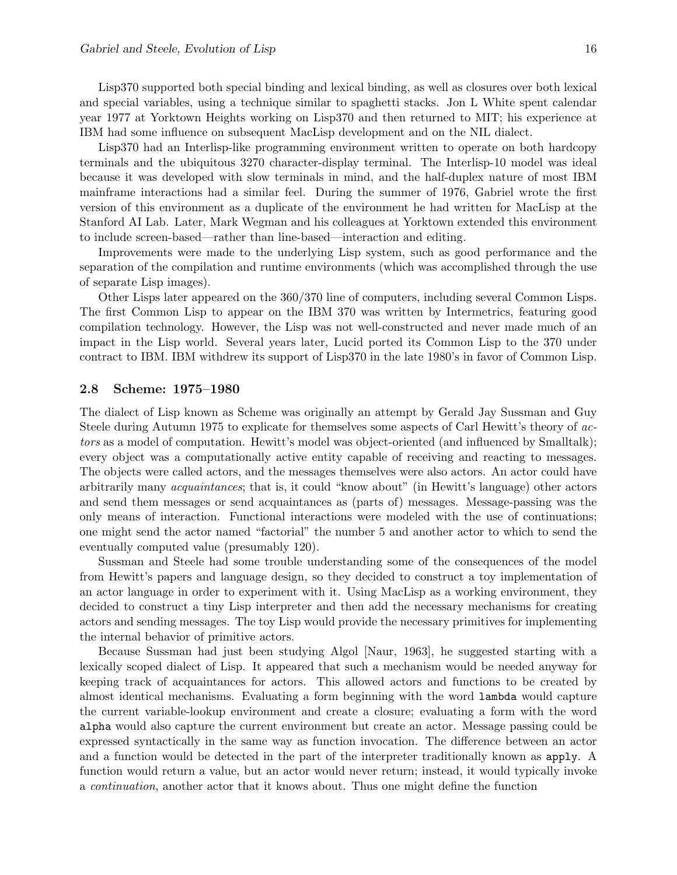Lisp370 supported both special binding and lexical binding, as well as closures over both lexical and special variables, using a technique similar to spaghetti stacks. Jon L White spent calendar year 1977 at Yorktown Heights working on Lisp370 and then returned to MIT; his experience at IBM had some influence on subsequent MacLisp development and on the NIL dialect.

Lisp370 had an Interlisp-like programming environment written to operate on both hardcopy terminals and the ubiquitous 3270 character-display terminal. The Interlisp-10 model was ideal because it was developed with slow terminals in mind, and the half-duplex nature of most IBM mainframe interactions had a similar feel. During the summer of 1976, Gabriel wrote the first version of this environment as a duplicate of the environment he had written for MacLisp at the Stanford AI Lab. Later, Mark Wegman and his colleagues at Yorktown extended this environment to include screen-based—rather than line-based—interaction and editing.

Improvements were made to the underlying Lisp system, such as good performance and the separation of the compilation and runtime environments (which was accomplished through the use of separate Lisp images).

Other Lisps later appeared on the 360/370 line of computers, including several Common Lisps. The first Common Lisp to appear on the IBM 370 was written by Intermetrics, featuring good compilation technology. However, the Lisp was not well-constructed and never made much of an impact in the Lisp world. Several years later, Lucid ported its Common Lisp to the 370 under contract to IBM. IBM withdrew its support of Lisp370 in the late 1980's in favor of Common Lisp.

## **2.8 Scheme: 1975–1980**

The dialect of Lisp known as Scheme was originally an attempt by Gerald Jay Sussman and Guy Steele during Autumn 1975 to explicate for themselves some aspects of Carl Hewitt's theory of actors as a model of computation. Hewitt's model was object-oriented (and influenced by Smalltalk); every object was a computationally active entity capable of receiving and reacting to messages. The objects were called actors, and the messages themselves were also actors. An actor could have arbitrarily many acquaintances; that is, it could "know about" (in Hewitt's language) other actors and send them messages or send acquaintances as (parts of) messages. Message-passing was the only means of interaction. Functional interactions were modeled with the use of continuations; one might send the actor named "factorial" the number 5 and another actor to which to send the eventually computed value (presumably 120).

Sussman and Steele had some trouble understanding some of the consequences of the model from Hewitt's papers and language design, so they decided to construct a toy implementation of an actor language in order to experiment with it. Using MacLisp as a working environment, they decided to construct a tiny Lisp interpreter and then add the necessary mechanisms for creating actors and sending messages. The toy Lisp would provide the necessary primitives for implementing the internal behavior of primitive actors.

Because Sussman had just been studying Algol [Naur, 1963], he suggested starting with a lexically scoped dialect of Lisp. It appeared that such a mechanism would be needed anyway for keeping track of acquaintances for actors. This allowed actors and functions to be created by almost identical mechanisms. Evaluating a form beginning with the word lambda would capture the current variable-lookup environment and create a closure; evaluating a form with the word alpha would also capture the current environment but create an actor. Message passing could be expressed syntactically in the same way as function invocation. The difference between an actor and a function would be detected in the part of the interpreter traditionally known as apply. A function would return a value, but an actor would never return; instead, it would typically invoke a continuation, another actor that it knows about. Thus one might define the function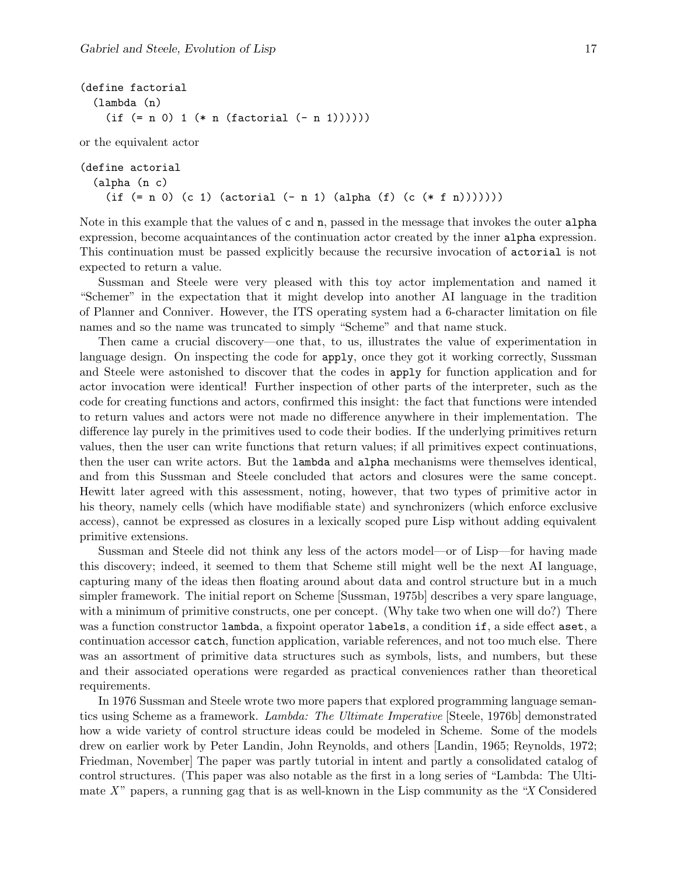```
(define factorial
 (lambda (n)
    (if (= n 0) 1 (* n (factorial (- n 1)))))
```
or the equivalent actor

```
(define actorial
 (alpha (n c)
    (if (= n 0) (c 1) (actorial (- n 1) (alpha (f) (c (* f n)))))))
```
Note in this example that the values of  $c$  and  $n$ , passed in the message that invokes the outer alpha expression, become acquaintances of the continuation actor created by the inner alpha expression. This continuation must be passed explicitly because the recursive invocation of actorial is not expected to return a value.

Sussman and Steele were very pleased with this toy actor implementation and named it "Schemer" in the expectation that it might develop into another AI language in the tradition of Planner and Conniver. However, the ITS operating system had a 6-character limitation on file names and so the name was truncated to simply "Scheme" and that name stuck.

Then came a crucial discovery—one that, to us, illustrates the value of experimentation in language design. On inspecting the code for apply, once they got it working correctly, Sussman and Steele were astonished to discover that the codes in apply for function application and for actor invocation were identical! Further inspection of other parts of the interpreter, such as the code for creating functions and actors, confirmed this insight: the fact that functions were intended to return values and actors were not made no difference anywhere in their implementation. The difference lay purely in the primitives used to code their bodies. If the underlying primitives return values, then the user can write functions that return values; if all primitives expect continuations, then the user can write actors. But the lambda and alpha mechanisms were themselves identical, and from this Sussman and Steele concluded that actors and closures were the same concept. Hewitt later agreed with this assessment, noting, however, that two types of primitive actor in his theory, namely cells (which have modifiable state) and synchronizers (which enforce exclusive access), cannot be expressed as closures in a lexically scoped pure Lisp without adding equivalent primitive extensions.

Sussman and Steele did not think any less of the actors model—or of Lisp—for having made this discovery; indeed, it seemed to them that Scheme still might well be the next AI language, capturing many of the ideas then floating around about data and control structure but in a much simpler framework. The initial report on Scheme [Sussman, 1975b] describes a very spare language, with a minimum of primitive constructs, one per concept. (Why take two when one will do?) There was a function constructor lambda, a fixpoint operator labels, a condition if, a side effect aset, a continuation accessor catch, function application, variable references, and not too much else. There was an assortment of primitive data structures such as symbols, lists, and numbers, but these and their associated operations were regarded as practical conveniences rather than theoretical requirements.

In 1976 Sussman and Steele wrote two more papers that explored programming language semantics using Scheme as a framework. Lambda: The Ultimate Imperative [Steele, 1976b] demonstrated how a wide variety of control structure ideas could be modeled in Scheme. Some of the models drew on earlier work by Peter Landin, John Reynolds, and others [Landin, 1965; Reynolds, 1972; Friedman, November] The paper was partly tutorial in intent and partly a consolidated catalog of control structures. (This paper was also notable as the first in a long series of "Lambda: The Ultimate  $X$ " papers, a running gag that is as well-known in the Lisp community as the "X Considered"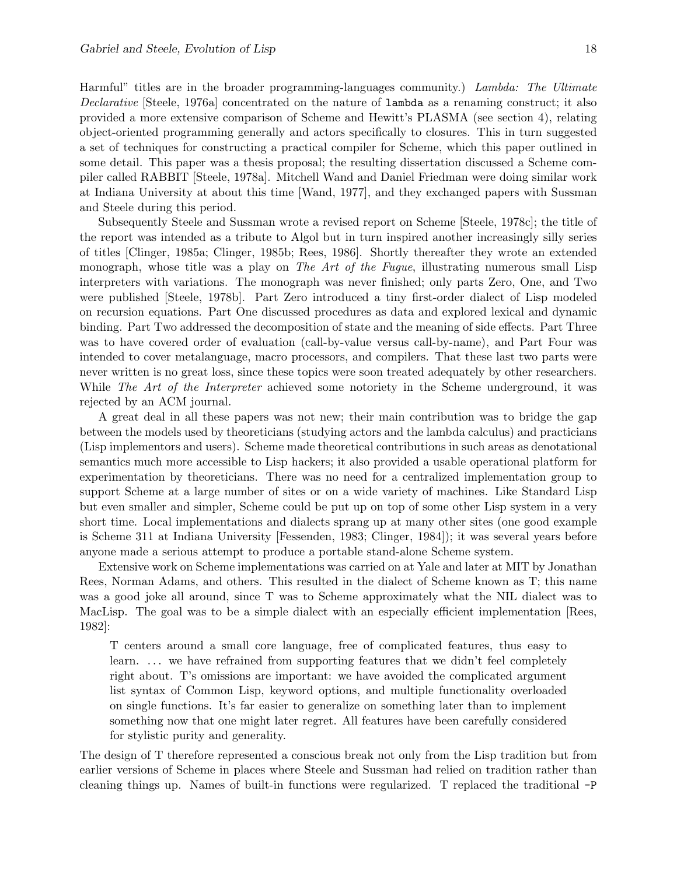Harmful" titles are in the broader programming-languages community.) Lambda: The Ultimate Declarative [Steele, 1976a] concentrated on the nature of lambda as a renaming construct; it also provided a more extensive comparison of Scheme and Hewitt's PLASMA (see section 4), relating object-oriented programming generally and actors specifically to closures. This in turn suggested a set of techniques for constructing a practical compiler for Scheme, which this paper outlined in some detail. This paper was a thesis proposal; the resulting dissertation discussed a Scheme compiler called RABBIT [Steele, 1978a]. Mitchell Wand and Daniel Friedman were doing similar work at Indiana University at about this time [Wand, 1977], and they exchanged papers with Sussman and Steele during this period.

Subsequently Steele and Sussman wrote a revised report on Scheme [Steele, 1978c]; the title of the report was intended as a tribute to Algol but in turn inspired another increasingly silly series of titles [Clinger, 1985a; Clinger, 1985b; Rees, 1986]. Shortly thereafter they wrote an extended monograph, whose title was a play on The Art of the Fugue, illustrating numerous small Lisp interpreters with variations. The monograph was never finished; only parts Zero, One, and Two were published [Steele, 1978b]. Part Zero introduced a tiny first-order dialect of Lisp modeled on recursion equations. Part One discussed procedures as data and explored lexical and dynamic binding. Part Two addressed the decomposition of state and the meaning of side effects. Part Three was to have covered order of evaluation (call-by-value versus call-by-name), and Part Four was intended to cover metalanguage, macro processors, and compilers. That these last two parts were never written is no great loss, since these topics were soon treated adequately by other researchers. While The Art of the Interpreter achieved some notoriety in the Scheme underground, it was rejected by an ACM journal.

A great deal in all these papers was not new; their main contribution was to bridge the gap between the models used by theoreticians (studying actors and the lambda calculus) and practicians (Lisp implementors and users). Scheme made theoretical contributions in such areas as denotational semantics much more accessible to Lisp hackers; it also provided a usable operational platform for experimentation by theoreticians. There was no need for a centralized implementation group to support Scheme at a large number of sites or on a wide variety of machines. Like Standard Lisp but even smaller and simpler, Scheme could be put up on top of some other Lisp system in a very short time. Local implementations and dialects sprang up at many other sites (one good example is Scheme 311 at Indiana University [Fessenden, 1983; Clinger, 1984]); it was several years before anyone made a serious attempt to produce a portable stand-alone Scheme system.

Extensive work on Scheme implementations was carried on at Yale and later at MIT by Jonathan Rees, Norman Adams, and others. This resulted in the dialect of Scheme known as T; this name was a good joke all around, since T was to Scheme approximately what the NIL dialect was to MacLisp. The goal was to be a simple dialect with an especially efficient implementation Rees, 1982]:

T centers around a small core language, free of complicated features, thus easy to learn. *...* we have refrained from supporting features that we didn't feel completely right about. T's omissions are important: we have avoided the complicated argument list syntax of Common Lisp, keyword options, and multiple functionality overloaded on single functions. It's far easier to generalize on something later than to implement something now that one might later regret. All features have been carefully considered for stylistic purity and generality.

The design of T therefore represented a conscious break not only from the Lisp tradition but from earlier versions of Scheme in places where Steele and Sussman had relied on tradition rather than cleaning things up. Names of built-in functions were regularized. T replaced the traditional -P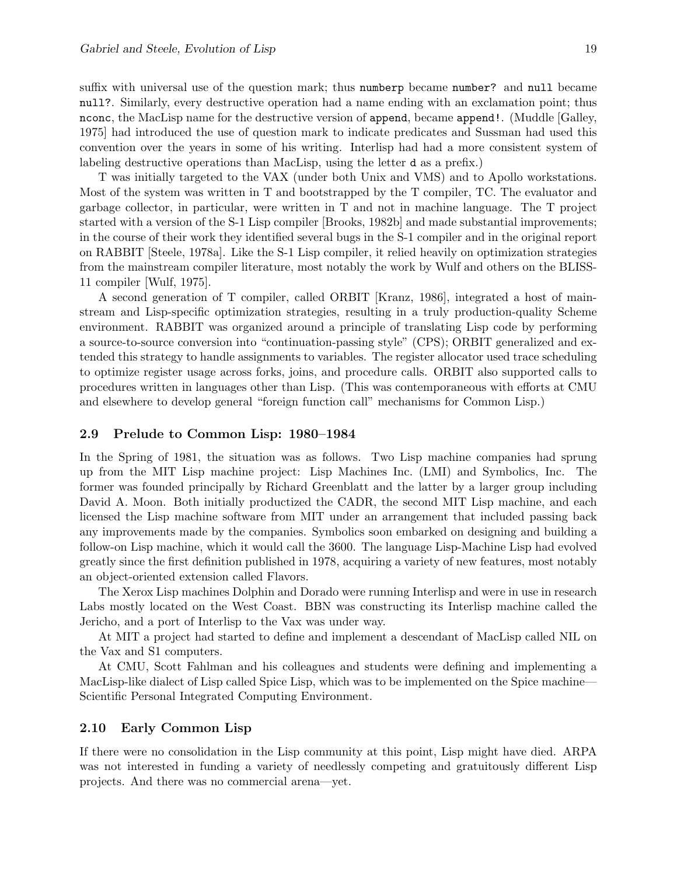suffix with universal use of the question mark; thus numberp became number? and null became null?. Similarly, every destructive operation had a name ending with an exclamation point; thus nconc, the MacLisp name for the destructive version of append, became append!. (Muddle [Galley, 1975] had introduced the use of question mark to indicate predicates and Sussman had used this convention over the years in some of his writing. Interlisp had had a more consistent system of labeling destructive operations than MacLisp, using the letter d as a prefix.)

T was initially targeted to the VAX (under both Unix and VMS) and to Apollo workstations. Most of the system was written in T and bootstrapped by the T compiler, TC. The evaluator and garbage collector, in particular, were written in T and not in machine language. The T project started with a version of the S-1 Lisp compiler [Brooks, 1982b] and made substantial improvements; in the course of their work they identified several bugs in the S-1 compiler and in the original report on RABBIT [Steele, 1978a]. Like the S-1 Lisp compiler, it relied heavily on optimization strategies from the mainstream compiler literature, most notably the work by Wulf and others on the BLISS-11 compiler [Wulf, 1975].

A second generation of T compiler, called ORBIT [Kranz, 1986], integrated a host of mainstream and Lisp-specific optimization strategies, resulting in a truly production-quality Scheme environment. RABBIT was organized around a principle of translating Lisp code by performing a source-to-source conversion into "continuation-passing style" (CPS); ORBIT generalized and extended this strategy to handle assignments to variables. The register allocator used trace scheduling to optimize register usage across forks, joins, and procedure calls. ORBIT also supported calls to procedures written in languages other than Lisp. (This was contemporaneous with efforts at CMU and elsewhere to develop general "foreign function call" mechanisms for Common Lisp.)

## **2.9 Prelude to Common Lisp: 1980–1984**

In the Spring of 1981, the situation was as follows. Two Lisp machine companies had sprung up from the MIT Lisp machine project: Lisp Machines Inc. (LMI) and Symbolics, Inc. The former was founded principally by Richard Greenblatt and the latter by a larger group including David A. Moon. Both initially productized the CADR, the second MIT Lisp machine, and each licensed the Lisp machine software from MIT under an arrangement that included passing back any improvements made by the companies. Symbolics soon embarked on designing and building a follow-on Lisp machine, which it would call the 3600. The language Lisp-Machine Lisp had evolved greatly since the first definition published in 1978, acquiring a variety of new features, most notably an object-oriented extension called Flavors.

The Xerox Lisp machines Dolphin and Dorado were running Interlisp and were in use in research Labs mostly located on the West Coast. BBN was constructing its Interlisp machine called the Jericho, and a port of Interlisp to the Vax was under way.

At MIT a project had started to define and implement a descendant of MacLisp called NIL on the Vax and S1 computers.

At CMU, Scott Fahlman and his colleagues and students were defining and implementing a MacLisp-like dialect of Lisp called Spice Lisp, which was to be implemented on the Spice machine— Scientific Personal Integrated Computing Environment.

## **2.10 Early Common Lisp**

If there were no consolidation in the Lisp community at this point, Lisp might have died. ARPA was not interested in funding a variety of needlessly competing and gratuitously different Lisp projects. And there was no commercial arena—yet.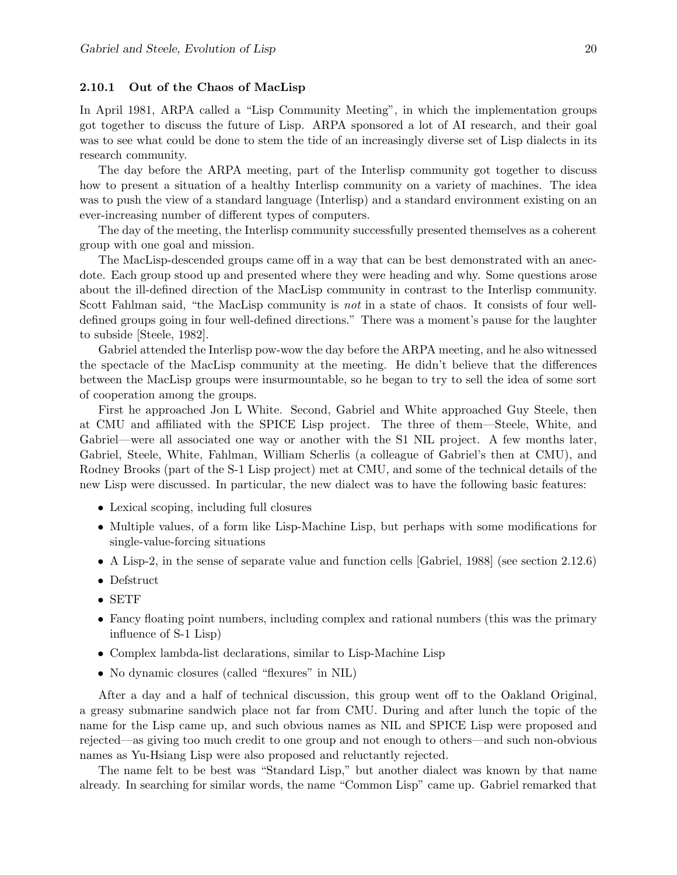#### **2.10.1 Out of the Chaos of MacLisp**

In April 1981, ARPA called a "Lisp Community Meeting", in which the implementation groups got together to discuss the future of Lisp. ARPA sponsored a lot of AI research, and their goal was to see what could be done to stem the tide of an increasingly diverse set of Lisp dialects in its research community.

The day before the ARPA meeting, part of the Interlisp community got together to discuss how to present a situation of a healthy Interlisp community on a variety of machines. The idea was to push the view of a standard language (Interlisp) and a standard environment existing on an ever-increasing number of different types of computers.

The day of the meeting, the Interlisp community successfully presented themselves as a coherent group with one goal and mission.

The MacLisp-descended groups came off in a way that can be best demonstrated with an anecdote. Each group stood up and presented where they were heading and why. Some questions arose about the ill-defined direction of the MacLisp community in contrast to the Interlisp community. Scott Fahlman said, "the MacLisp community is *not* in a state of chaos. It consists of four welldefined groups going in four well-defined directions." There was a moment's pause for the laughter to subside [Steele, 1982].

Gabriel attended the Interlisp pow-wow the day before the ARPA meeting, and he also witnessed the spectacle of the MacLisp community at the meeting. He didn't believe that the differences between the MacLisp groups were insurmountable, so he began to try to sell the idea of some sort of cooperation among the groups.

First he approached Jon L White. Second, Gabriel and White approached Guy Steele, then at CMU and affiliated with the SPICE Lisp project. The three of them—Steele, White, and Gabriel—were all associated one way or another with the S1 NIL project. A few months later, Gabriel, Steele, White, Fahlman, William Scherlis (a colleague of Gabriel's then at CMU), and Rodney Brooks (part of the S-1 Lisp project) met at CMU, and some of the technical details of the new Lisp were discussed. In particular, the new dialect was to have the following basic features:

- Lexical scoping, including full closures
- Multiple values, of a form like Lisp-Machine Lisp, but perhaps with some modifications for single-value-forcing situations
- A Lisp-2, in the sense of separate value and function cells [Gabriel, 1988] (see section 2.12.6)
- Defstruct
- SETF
- Fancy floating point numbers, including complex and rational numbers (this was the primary influence of S-1 Lisp)
- Complex lambda-list declarations, similar to Lisp-Machine Lisp
- No dynamic closures (called "flexures" in NIL)

After a day and a half of technical discussion, this group went off to the Oakland Original, a greasy submarine sandwich place not far from CMU. During and after lunch the topic of the name for the Lisp came up, and such obvious names as NIL and SPICE Lisp were proposed and rejected—as giving too much credit to one group and not enough to others—and such non-obvious names as Yu-Hsiang Lisp were also proposed and reluctantly rejected.

The name felt to be best was "Standard Lisp," but another dialect was known by that name already. In searching for similar words, the name "Common Lisp" came up. Gabriel remarked that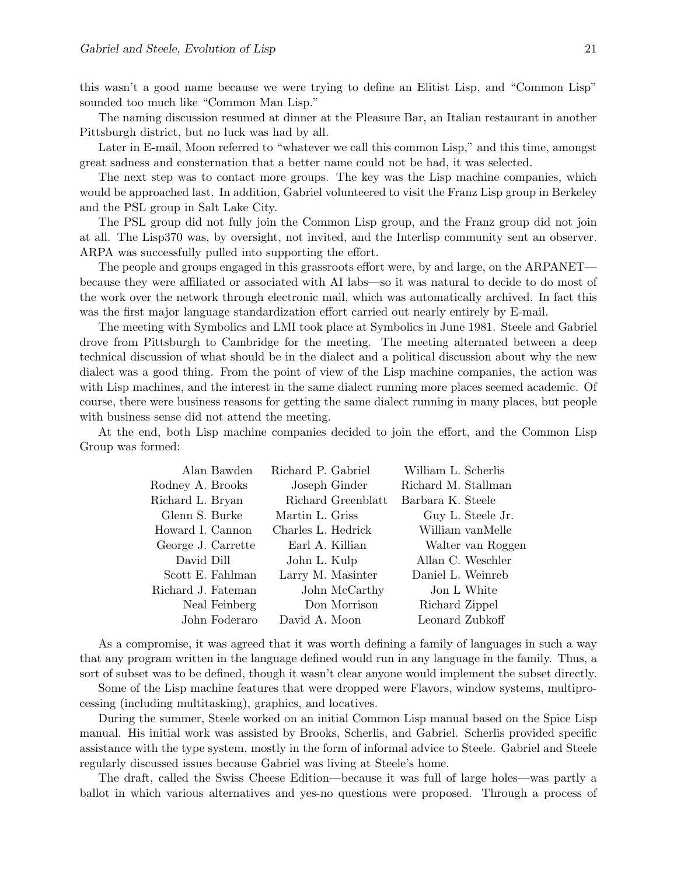this wasn't a good name because we were trying to define an Elitist Lisp, and "Common Lisp" sounded too much like "Common Man Lisp."

The naming discussion resumed at dinner at the Pleasure Bar, an Italian restaurant in another Pittsburgh district, but no luck was had by all.

Later in E-mail, Moon referred to "whatever we call this common Lisp," and this time, amongst great sadness and consternation that a better name could not be had, it was selected.

The next step was to contact more groups. The key was the Lisp machine companies, which would be approached last. In addition, Gabriel volunteered to visit the Franz Lisp group in Berkeley and the PSL group in Salt Lake City.

The PSL group did not fully join the Common Lisp group, and the Franz group did not join at all. The Lisp370 was, by oversight, not invited, and the Interlisp community sent an observer. ARPA was successfully pulled into supporting the effort.

The people and groups engaged in this grassroots effort were, by and large, on the ARPANET because they were affiliated or associated with AI labs—so it was natural to decide to do most of the work over the network through electronic mail, which was automatically archived. In fact this was the first major language standardization effort carried out nearly entirely by E-mail.

The meeting with Symbolics and LMI took place at Symbolics in June 1981. Steele and Gabriel drove from Pittsburgh to Cambridge for the meeting. The meeting alternated between a deep technical discussion of what should be in the dialect and a political discussion about why the new dialect was a good thing. From the point of view of the Lisp machine companies, the action was with Lisp machines, and the interest in the same dialect running more places seemed academic. Of course, there were business reasons for getting the same dialect running in many places, but people with business sense did not attend the meeting.

At the end, both Lisp machine companies decided to join the effort, and the Common Lisp Group was formed:

| Alan Bawden        | Richard P. Gabriel | William L. Scherlis |
|--------------------|--------------------|---------------------|
| Rodney A. Brooks   | Joseph Ginder      | Richard M. Stallman |
| Richard L. Bryan   | Richard Greenblatt | Barbara K. Steele   |
| Glenn S. Burke     | Martin L. Griss    | Guy L. Steele Jr.   |
| Howard I. Cannon   | Charles L. Hedrick | William vanMelle    |
| George J. Carrette | Earl A. Killian    | Walter van Roggen   |
| David Dill         | John L. Kulp       | Allan C. Weschler   |
| Scott E. Fahlman   | Larry M. Masinter  | Daniel L. Weinreb   |
| Richard J. Fateman | John McCarthy      | Jon L White         |
| Neal Feinberg      | Don Morrison       | Richard Zippel      |
| John Foderaro      | David A. Moon      | Leonard Zubkoff     |
|                    |                    |                     |

As a compromise, it was agreed that it was worth defining a family of languages in such a way that any program written in the language defined would run in any language in the family. Thus, a sort of subset was to be defined, though it wasn't clear anyone would implement the subset directly.

Some of the Lisp machine features that were dropped were Flavors, window systems, multiprocessing (including multitasking), graphics, and locatives.

During the summer, Steele worked on an initial Common Lisp manual based on the Spice Lisp manual. His initial work was assisted by Brooks, Scherlis, and Gabriel. Scherlis provided specific assistance with the type system, mostly in the form of informal advice to Steele. Gabriel and Steele regularly discussed issues because Gabriel was living at Steele's home.

The draft, called the Swiss Cheese Edition—because it was full of large holes—was partly a ballot in which various alternatives and yes-no questions were proposed. Through a process of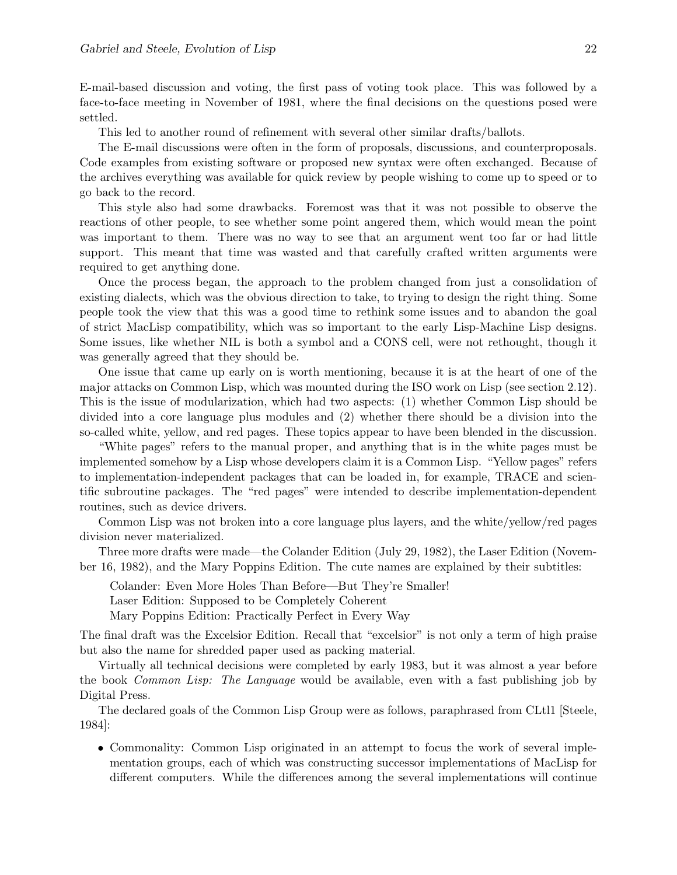E-mail-based discussion and voting, the first pass of voting took place. This was followed by a face-to-face meeting in November of 1981, where the final decisions on the questions posed were settled.

This led to another round of refinement with several other similar drafts/ballots.

The E-mail discussions were often in the form of proposals, discussions, and counterproposals. Code examples from existing software or proposed new syntax were often exchanged. Because of the archives everything was available for quick review by people wishing to come up to speed or to go back to the record.

This style also had some drawbacks. Foremost was that it was not possible to observe the reactions of other people, to see whether some point angered them, which would mean the point was important to them. There was no way to see that an argument went too far or had little support. This meant that time was wasted and that carefully crafted written arguments were required to get anything done.

Once the process began, the approach to the problem changed from just a consolidation of existing dialects, which was the obvious direction to take, to trying to design the right thing. Some people took the view that this was a good time to rethink some issues and to abandon the goal of strict MacLisp compatibility, which was so important to the early Lisp-Machine Lisp designs. Some issues, like whether NIL is both a symbol and a CONS cell, were not rethought, though it was generally agreed that they should be.

One issue that came up early on is worth mentioning, because it is at the heart of one of the major attacks on Common Lisp, which was mounted during the ISO work on Lisp (see section 2.12). This is the issue of modularization, which had two aspects: (1) whether Common Lisp should be divided into a core language plus modules and (2) whether there should be a division into the so-called white, yellow, and red pages. These topics appear to have been blended in the discussion.

"White pages" refers to the manual proper, and anything that is in the white pages must be implemented somehow by a Lisp whose developers claim it is a Common Lisp. "Yellow pages" refers to implementation-independent packages that can be loaded in, for example, TRACE and scientific subroutine packages. The "red pages" were intended to describe implementation-dependent routines, such as device drivers.

Common Lisp was not broken into a core language plus layers, and the white/yellow/red pages division never materialized.

Three more drafts were made—the Colander Edition (July 29, 1982), the Laser Edition (November 16, 1982), and the Mary Poppins Edition. The cute names are explained by their subtitles:

Colander: Even More Holes Than Before—But They're Smaller!

Laser Edition: Supposed to be Completely Coherent

Mary Poppins Edition: Practically Perfect in Every Way

The final draft was the Excelsior Edition. Recall that "excelsior" is not only a term of high praise but also the name for shredded paper used as packing material.

Virtually all technical decisions were completed by early 1983, but it was almost a year before the book Common Lisp: The Language would be available, even with a fast publishing job by Digital Press.

The declared goals of the Common Lisp Group were as follows, paraphrased from CLtl1 [Steele, 1984]:

• Commonality: Common Lisp originated in an attempt to focus the work of several implementation groups, each of which was constructing successor implementations of MacLisp for different computers. While the differences among the several implementations will continue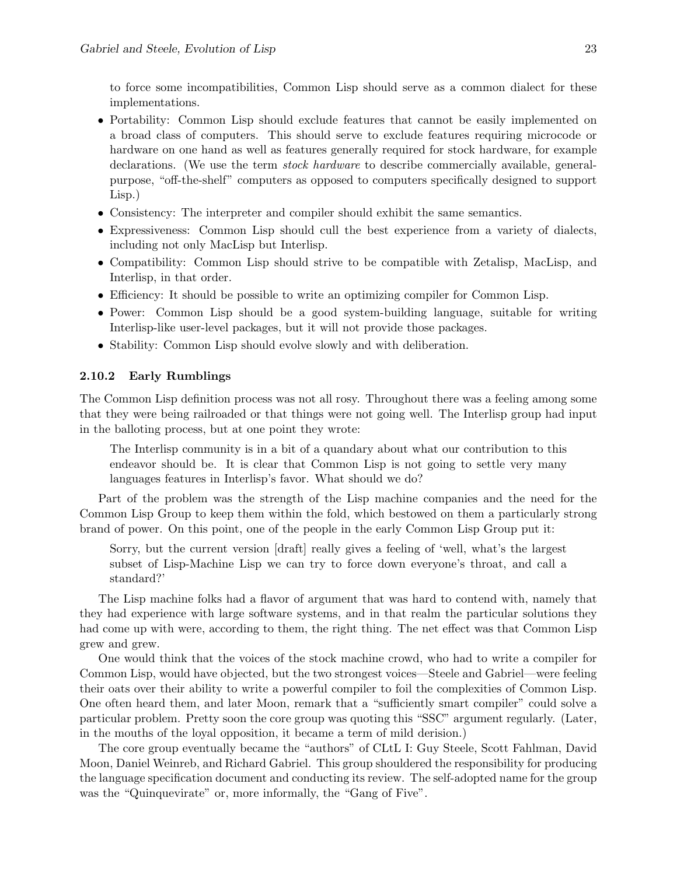to force some incompatibilities, Common Lisp should serve as a common dialect for these implementations.

- Portability: Common Lisp should exclude features that cannot be easily implemented on a broad class of computers. This should serve to exclude features requiring microcode or hardware on one hand as well as features generally required for stock hardware, for example declarations. (We use the term *stock hardware* to describe commercially available, generalpurpose, "off-the-shelf" computers as opposed to computers specifically designed to support Lisp.)
- Consistency: The interpreter and compiler should exhibit the same semantics.
- Expressiveness: Common Lisp should cull the best experience from a variety of dialects, including not only MacLisp but Interlisp.
- Compatibility: Common Lisp should strive to be compatible with Zetalisp, MacLisp, and Interlisp, in that order.
- Efficiency: It should be possible to write an optimizing compiler for Common Lisp.
- Power: Common Lisp should be a good system-building language, suitable for writing Interlisp-like user-level packages, but it will not provide those packages.
- Stability: Common Lisp should evolve slowly and with deliberation.

## **2.10.2 Early Rumblings**

The Common Lisp definition process was not all rosy. Throughout there was a feeling among some that they were being railroaded or that things were not going well. The Interlisp group had input in the balloting process, but at one point they wrote:

The Interlisp community is in a bit of a quandary about what our contribution to this endeavor should be. It is clear that Common Lisp is not going to settle very many languages features in Interlisp's favor. What should we do?

Part of the problem was the strength of the Lisp machine companies and the need for the Common Lisp Group to keep them within the fold, which bestowed on them a particularly strong brand of power. On this point, one of the people in the early Common Lisp Group put it:

Sorry, but the current version [draft] really gives a feeling of 'well, what's the largest subset of Lisp-Machine Lisp we can try to force down everyone's throat, and call a standard?'

The Lisp machine folks had a flavor of argument that was hard to contend with, namely that they had experience with large software systems, and in that realm the particular solutions they had come up with were, according to them, the right thing. The net effect was that Common Lisp grew and grew.

One would think that the voices of the stock machine crowd, who had to write a compiler for Common Lisp, would have objected, but the two strongest voices—Steele and Gabriel—were feeling their oats over their ability to write a powerful compiler to foil the complexities of Common Lisp. One often heard them, and later Moon, remark that a "sufficiently smart compiler" could solve a particular problem. Pretty soon the core group was quoting this "SSC" argument regularly. (Later, in the mouths of the loyal opposition, it became a term of mild derision.)

The core group eventually became the "authors" of CLtL I: Guy Steele, Scott Fahlman, David Moon, Daniel Weinreb, and Richard Gabriel. This group shouldered the responsibility for producing the language specification document and conducting its review. The self-adopted name for the group was the "Quinquevirate" or, more informally, the "Gang of Five".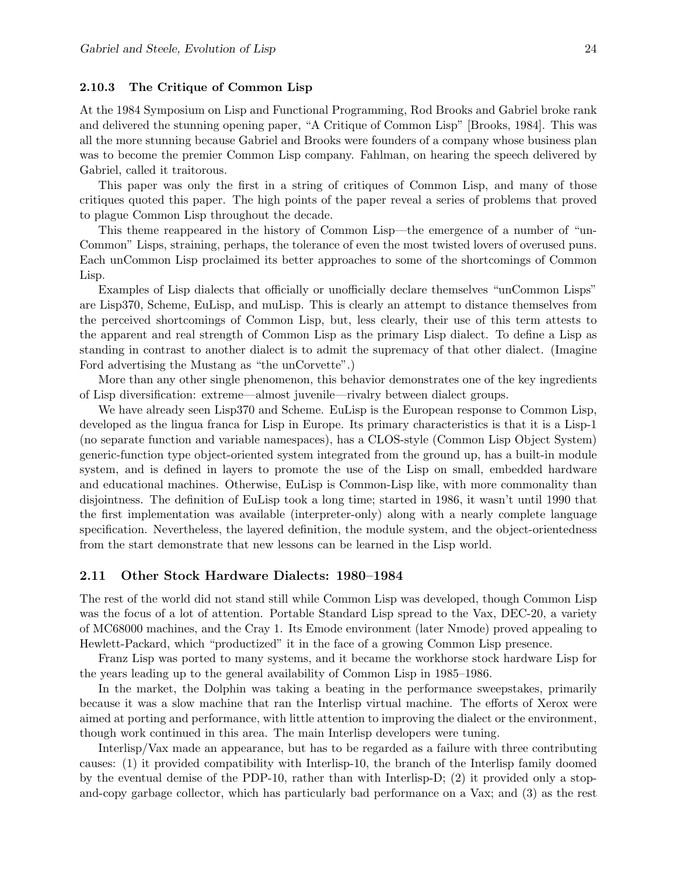#### **2.10.3 The Critique of Common Lisp**

At the 1984 Symposium on Lisp and Functional Programming, Rod Brooks and Gabriel broke rank and delivered the stunning opening paper, "A Critique of Common Lisp" [Brooks, 1984]. This was all the more stunning because Gabriel and Brooks were founders of a company whose business plan was to become the premier Common Lisp company. Fahlman, on hearing the speech delivered by Gabriel, called it traitorous.

This paper was only the first in a string of critiques of Common Lisp, and many of those critiques quoted this paper. The high points of the paper reveal a series of problems that proved to plague Common Lisp throughout the decade.

This theme reappeared in the history of Common Lisp—the emergence of a number of "un-Common" Lisps, straining, perhaps, the tolerance of even the most twisted lovers of overused puns. Each unCommon Lisp proclaimed its better approaches to some of the shortcomings of Common Lisp.

Examples of Lisp dialects that officially or unofficially declare themselves "unCommon Lisps" are Lisp370, Scheme, EuLisp, and muLisp. This is clearly an attempt to distance themselves from the perceived shortcomings of Common Lisp, but, less clearly, their use of this term attests to the apparent and real strength of Common Lisp as the primary Lisp dialect. To define a Lisp as standing in contrast to another dialect is to admit the supremacy of that other dialect. (Imagine Ford advertising the Mustang as "the unCorvette".)

More than any other single phenomenon, this behavior demonstrates one of the key ingredients of Lisp diversification: extreme—almost juvenile—rivalry between dialect groups.

We have already seen Lisp370 and Scheme. EuLisp is the European response to Common Lisp, developed as the lingua franca for Lisp in Europe. Its primary characteristics is that it is a Lisp-1 (no separate function and variable namespaces), has a CLOS-style (Common Lisp Object System) generic-function type object-oriented system integrated from the ground up, has a built-in module system, and is defined in layers to promote the use of the Lisp on small, embedded hardware and educational machines. Otherwise, EuLisp is Common-Lisp like, with more commonality than disjointness. The definition of EuLisp took a long time; started in 1986, it wasn't until 1990 that the first implementation was available (interpreter-only) along with a nearly complete language specification. Nevertheless, the layered definition, the module system, and the object-orientedness from the start demonstrate that new lessons can be learned in the Lisp world.

## **2.11 Other Stock Hardware Dialects: 1980–1984**

The rest of the world did not stand still while Common Lisp was developed, though Common Lisp was the focus of a lot of attention. Portable Standard Lisp spread to the Vax, DEC-20, a variety of MC68000 machines, and the Cray 1. Its Emode environment (later Nmode) proved appealing to Hewlett-Packard, which "productized" it in the face of a growing Common Lisp presence.

Franz Lisp was ported to many systems, and it became the workhorse stock hardware Lisp for the years leading up to the general availability of Common Lisp in 1985–1986.

In the market, the Dolphin was taking a beating in the performance sweepstakes, primarily because it was a slow machine that ran the Interlisp virtual machine. The efforts of Xerox were aimed at porting and performance, with little attention to improving the dialect or the environment, though work continued in this area. The main Interlisp developers were tuning.

Interlisp/Vax made an appearance, but has to be regarded as a failure with three contributing causes: (1) it provided compatibility with Interlisp-10, the branch of the Interlisp family doomed by the eventual demise of the PDP-10, rather than with Interlisp-D; (2) it provided only a stopand-copy garbage collector, which has particularly bad performance on a Vax; and (3) as the rest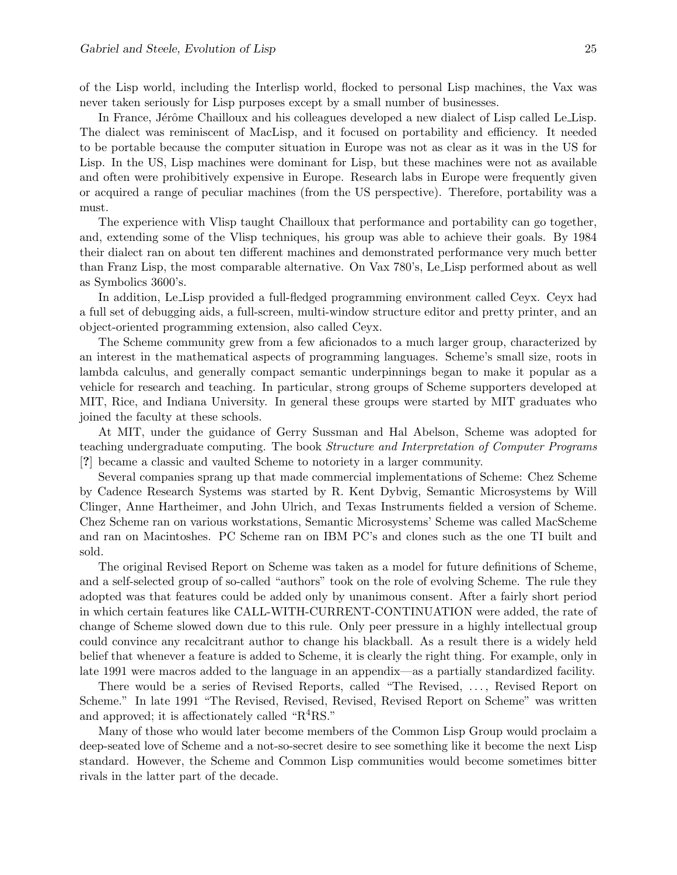of the Lisp world, including the Interlisp world, flocked to personal Lisp machines, the Vax was never taken seriously for Lisp purposes except by a small number of businesses.

In France, Jérôme Chailloux and his colleagues developed a new dialect of Lisp called Le Lisp. The dialect was reminiscent of MacLisp, and it focused on portability and efficiency. It needed to be portable because the computer situation in Europe was not as clear as it was in the US for Lisp. In the US, Lisp machines were dominant for Lisp, but these machines were not as available and often were prohibitively expensive in Europe. Research labs in Europe were frequently given or acquired a range of peculiar machines (from the US perspective). Therefore, portability was a must.

The experience with Vlisp taught Chailloux that performance and portability can go together, and, extending some of the Vlisp techniques, his group was able to achieve their goals. By 1984 their dialect ran on about ten different machines and demonstrated performance very much better than Franz Lisp, the most comparable alternative. On Vax 780's, Le Lisp performed about as well as Symbolics 3600's.

In addition, Le Lisp provided a full-fledged programming environment called Ceyx. Ceyx had a full set of debugging aids, a full-screen, multi-window structure editor and pretty printer, and an object-oriented programming extension, also called Ceyx.

The Scheme community grew from a few aficionados to a much larger group, characterized by an interest in the mathematical aspects of programming languages. Scheme's small size, roots in lambda calculus, and generally compact semantic underpinnings began to make it popular as a vehicle for research and teaching. In particular, strong groups of Scheme supporters developed at MIT, Rice, and Indiana University. In general these groups were started by MIT graduates who joined the faculty at these schools.

At MIT, under the guidance of Gerry Sussman and Hal Abelson, Scheme was adopted for teaching undergraduate computing. The book Structure and Interpretation of Computer Programs [**?**] became a classic and vaulted Scheme to notoriety in a larger community.

Several companies sprang up that made commercial implementations of Scheme: Chez Scheme by Cadence Research Systems was started by R. Kent Dybvig, Semantic Microsystems by Will Clinger, Anne Hartheimer, and John Ulrich, and Texas Instruments fielded a version of Scheme. Chez Scheme ran on various workstations, Semantic Microsystems' Scheme was called MacScheme and ran on Macintoshes. PC Scheme ran on IBM PC's and clones such as the one TI built and sold.

The original Revised Report on Scheme was taken as a model for future definitions of Scheme, and a self-selected group of so-called "authors" took on the role of evolving Scheme. The rule they adopted was that features could be added only by unanimous consent. After a fairly short period in which certain features like CALL-WITH-CURRENT-CONTINUATION were added, the rate of change of Scheme slowed down due to this rule. Only peer pressure in a highly intellectual group could convince any recalcitrant author to change his blackball. As a result there is a widely held belief that whenever a feature is added to Scheme, it is clearly the right thing. For example, only in late 1991 were macros added to the language in an appendix—as a partially standardized facility.

There would be a series of Revised Reports, called "The Revised, *...* , Revised Report on Scheme." In late 1991 "The Revised, Revised, Revised, Revised Report on Scheme" was written and approved; it is affectionately called " $R<sup>4</sup>RS$ ."

Many of those who would later become members of the Common Lisp Group would proclaim a deep-seated love of Scheme and a not-so-secret desire to see something like it become the next Lisp standard. However, the Scheme and Common Lisp communities would become sometimes bitter rivals in the latter part of the decade.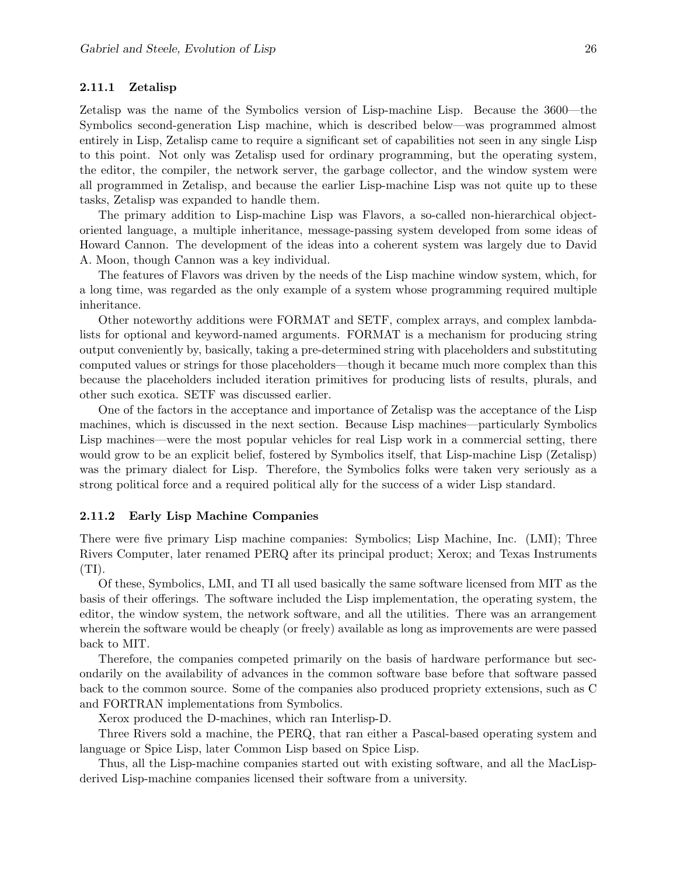#### **2.11.1 Zetalisp**

Zetalisp was the name of the Symbolics version of Lisp-machine Lisp. Because the 3600—the Symbolics second-generation Lisp machine, which is described below—was programmed almost entirely in Lisp, Zetalisp came to require a significant set of capabilities not seen in any single Lisp to this point. Not only was Zetalisp used for ordinary programming, but the operating system, the editor, the compiler, the network server, the garbage collector, and the window system were all programmed in Zetalisp, and because the earlier Lisp-machine Lisp was not quite up to these tasks, Zetalisp was expanded to handle them.

The primary addition to Lisp-machine Lisp was Flavors, a so-called non-hierarchical objectoriented language, a multiple inheritance, message-passing system developed from some ideas of Howard Cannon. The development of the ideas into a coherent system was largely due to David A. Moon, though Cannon was a key individual.

The features of Flavors was driven by the needs of the Lisp machine window system, which, for a long time, was regarded as the only example of a system whose programming required multiple inheritance.

Other noteworthy additions were FORMAT and SETF, complex arrays, and complex lambdalists for optional and keyword-named arguments. FORMAT is a mechanism for producing string output conveniently by, basically, taking a pre-determined string with placeholders and substituting computed values or strings for those placeholders—though it became much more complex than this because the placeholders included iteration primitives for producing lists of results, plurals, and other such exotica. SETF was discussed earlier.

One of the factors in the acceptance and importance of Zetalisp was the acceptance of the Lisp machines, which is discussed in the next section. Because Lisp machines—particularly Symbolics Lisp machines—were the most popular vehicles for real Lisp work in a commercial setting, there would grow to be an explicit belief, fostered by Symbolics itself, that Lisp-machine Lisp (Zetalisp) was the primary dialect for Lisp. Therefore, the Symbolics folks were taken very seriously as a strong political force and a required political ally for the success of a wider Lisp standard.

### **2.11.2 Early Lisp Machine Companies**

There were five primary Lisp machine companies: Symbolics; Lisp Machine, Inc. (LMI); Three Rivers Computer, later renamed PERQ after its principal product; Xerox; and Texas Instruments  $(TI).$ 

Of these, Symbolics, LMI, and TI all used basically the same software licensed from MIT as the basis of their offerings. The software included the Lisp implementation, the operating system, the editor, the window system, the network software, and all the utilities. There was an arrangement wherein the software would be cheaply (or freely) available as long as improvements are were passed back to MIT.

Therefore, the companies competed primarily on the basis of hardware performance but secondarily on the availability of advances in the common software base before that software passed back to the common source. Some of the companies also produced propriety extensions, such as C and FORTRAN implementations from Symbolics.

Xerox produced the D-machines, which ran Interlisp-D.

Three Rivers sold a machine, the PERQ, that ran either a Pascal-based operating system and language or Spice Lisp, later Common Lisp based on Spice Lisp.

Thus, all the Lisp-machine companies started out with existing software, and all the MacLispderived Lisp-machine companies licensed their software from a university.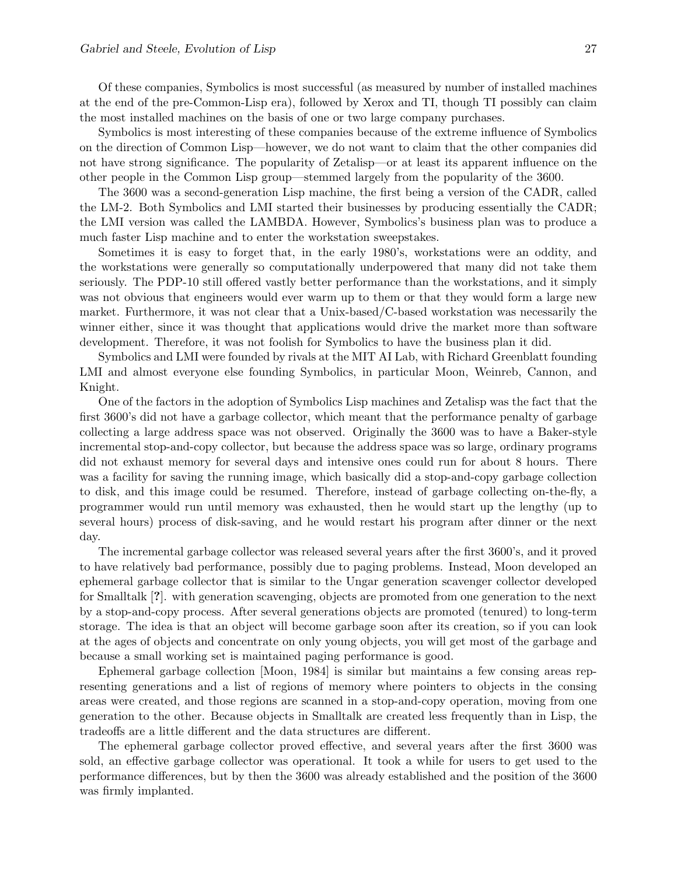Of these companies, Symbolics is most successful (as measured by number of installed machines at the end of the pre-Common-Lisp era), followed by Xerox and TI, though TI possibly can claim the most installed machines on the basis of one or two large company purchases.

Symbolics is most interesting of these companies because of the extreme influence of Symbolics on the direction of Common Lisp—however, we do not want to claim that the other companies did not have strong significance. The popularity of Zetalisp—or at least its apparent influence on the other people in the Common Lisp group—stemmed largely from the popularity of the 3600.

The 3600 was a second-generation Lisp machine, the first being a version of the CADR, called the LM-2. Both Symbolics and LMI started their businesses by producing essentially the CADR; the LMI version was called the LAMBDA. However, Symbolics's business plan was to produce a much faster Lisp machine and to enter the workstation sweepstakes.

Sometimes it is easy to forget that, in the early 1980's, workstations were an oddity, and the workstations were generally so computationally underpowered that many did not take them seriously. The PDP-10 still offered vastly better performance than the workstations, and it simply was not obvious that engineers would ever warm up to them or that they would form a large new market. Furthermore, it was not clear that a Unix-based/C-based workstation was necessarily the winner either, since it was thought that applications would drive the market more than software development. Therefore, it was not foolish for Symbolics to have the business plan it did.

Symbolics and LMI were founded by rivals at the MIT AI Lab, with Richard Greenblatt founding LMI and almost everyone else founding Symbolics, in particular Moon, Weinreb, Cannon, and Knight.

One of the factors in the adoption of Symbolics Lisp machines and Zetalisp was the fact that the first 3600's did not have a garbage collector, which meant that the performance penalty of garbage collecting a large address space was not observed. Originally the 3600 was to have a Baker-style incremental stop-and-copy collector, but because the address space was so large, ordinary programs did not exhaust memory for several days and intensive ones could run for about 8 hours. There was a facility for saving the running image, which basically did a stop-and-copy garbage collection to disk, and this image could be resumed. Therefore, instead of garbage collecting on-the-fly, a programmer would run until memory was exhausted, then he would start up the lengthy (up to several hours) process of disk-saving, and he would restart his program after dinner or the next day.

The incremental garbage collector was released several years after the first 3600's, and it proved to have relatively bad performance, possibly due to paging problems. Instead, Moon developed an ephemeral garbage collector that is similar to the Ungar generation scavenger collector developed for Smalltalk [**?**]. with generation scavenging, objects are promoted from one generation to the next by a stop-and-copy process. After several generations objects are promoted (tenured) to long-term storage. The idea is that an object will become garbage soon after its creation, so if you can look at the ages of objects and concentrate on only young objects, you will get most of the garbage and because a small working set is maintained paging performance is good.

Ephemeral garbage collection [Moon, 1984] is similar but maintains a few consing areas representing generations and a list of regions of memory where pointers to objects in the consing areas were created, and those regions are scanned in a stop-and-copy operation, moving from one generation to the other. Because objects in Smalltalk are created less frequently than in Lisp, the tradeoffs are a little different and the data structures are different.

The ephemeral garbage collector proved effective, and several years after the first 3600 was sold, an effective garbage collector was operational. It took a while for users to get used to the performance differences, but by then the 3600 was already established and the position of the 3600 was firmly implanted.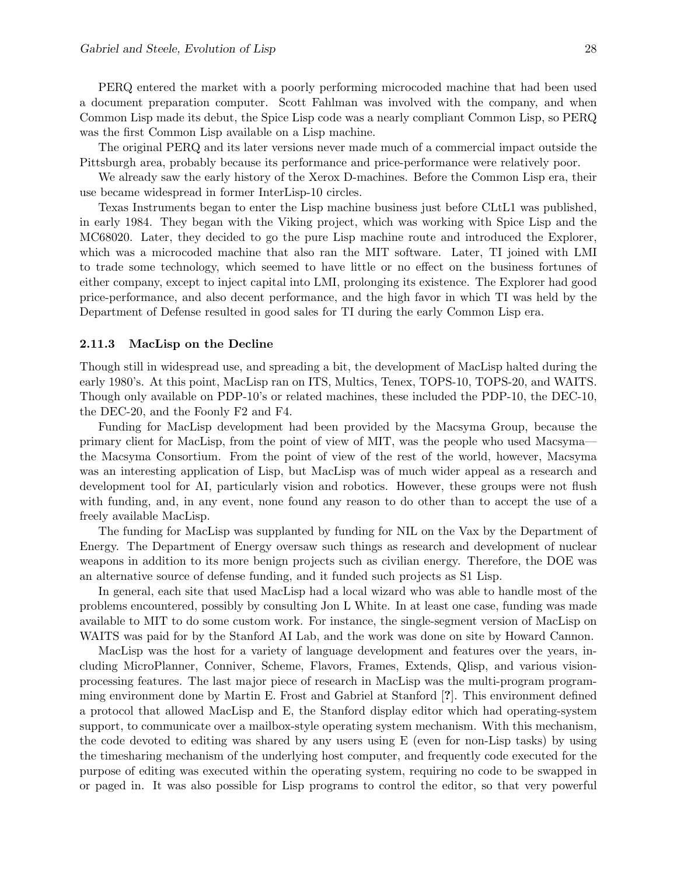The original PERQ and its later versions never made much of a commercial impact outside the Pittsburgh area, probably because its performance and price-performance were relatively poor.

We already saw the early history of the Xerox D-machines. Before the Common Lisp era, their use became widespread in former InterLisp-10 circles.

Texas Instruments began to enter the Lisp machine business just before CLtL1 was published, in early 1984. They began with the Viking project, which was working with Spice Lisp and the MC68020. Later, they decided to go the pure Lisp machine route and introduced the Explorer, which was a microcoded machine that also ran the MIT software. Later, TI joined with LMI to trade some technology, which seemed to have little or no effect on the business fortunes of either company, except to inject capital into LMI, prolonging its existence. The Explorer had good price-performance, and also decent performance, and the high favor in which TI was held by the Department of Defense resulted in good sales for TI during the early Common Lisp era.

### **2.11.3 MacLisp on the Decline**

Though still in widespread use, and spreading a bit, the development of MacLisp halted during the early 1980's. At this point, MacLisp ran on ITS, Multics, Tenex, TOPS-10, TOPS-20, and WAITS. Though only available on PDP-10's or related machines, these included the PDP-10, the DEC-10, the DEC-20, and the Foonly F2 and F4.

Funding for MacLisp development had been provided by the Macsyma Group, because the primary client for MacLisp, from the point of view of MIT, was the people who used Macsyma the Macsyma Consortium. From the point of view of the rest of the world, however, Macsyma was an interesting application of Lisp, but MacLisp was of much wider appeal as a research and development tool for AI, particularly vision and robotics. However, these groups were not flush with funding, and, in any event, none found any reason to do other than to accept the use of a freely available MacLisp.

The funding for MacLisp was supplanted by funding for NIL on the Vax by the Department of Energy. The Department of Energy oversaw such things as research and development of nuclear weapons in addition to its more benign projects such as civilian energy. Therefore, the DOE was an alternative source of defense funding, and it funded such projects as S1 Lisp.

In general, each site that used MacLisp had a local wizard who was able to handle most of the problems encountered, possibly by consulting Jon L White. In at least one case, funding was made available to MIT to do some custom work. For instance, the single-segment version of MacLisp on WAITS was paid for by the Stanford AI Lab, and the work was done on site by Howard Cannon.

MacLisp was the host for a variety of language development and features over the years, including MicroPlanner, Conniver, Scheme, Flavors, Frames, Extends, Qlisp, and various visionprocessing features. The last major piece of research in MacLisp was the multi-program programming environment done by Martin E. Frost and Gabriel at Stanford [**?**]. This environment defined a protocol that allowed MacLisp and E, the Stanford display editor which had operating-system support, to communicate over a mailbox-style operating system mechanism. With this mechanism, the code devoted to editing was shared by any users using E (even for non-Lisp tasks) by using the timesharing mechanism of the underlying host computer, and frequently code executed for the purpose of editing was executed within the operating system, requiring no code to be swapped in or paged in. It was also possible for Lisp programs to control the editor, so that very powerful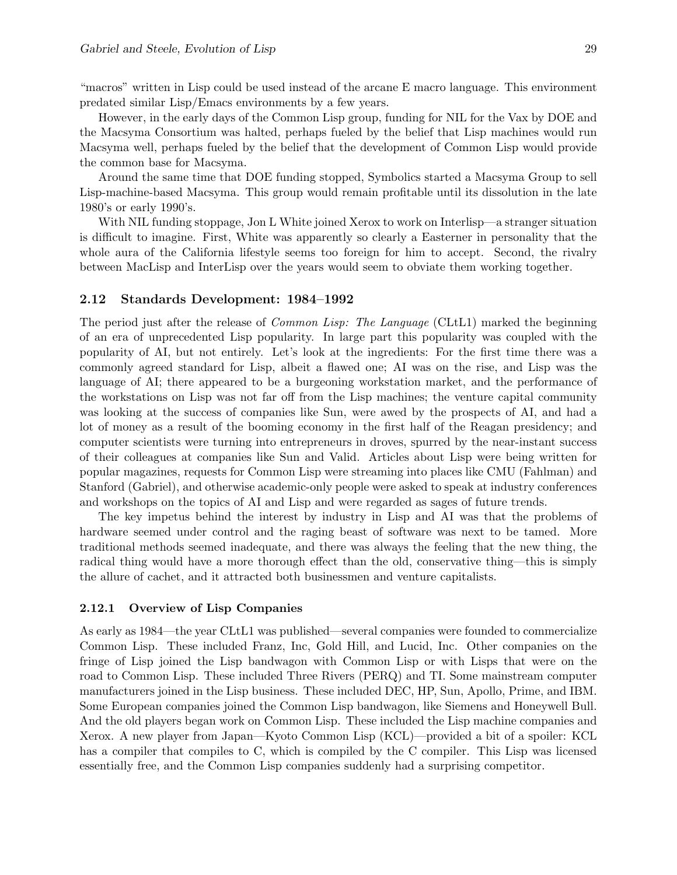"macros" written in Lisp could be used instead of the arcane E macro language. This environment predated similar Lisp/Emacs environments by a few years.

However, in the early days of the Common Lisp group, funding for NIL for the Vax by DOE and the Macsyma Consortium was halted, perhaps fueled by the belief that Lisp machines would run Macsyma well, perhaps fueled by the belief that the development of Common Lisp would provide the common base for Macsyma.

Around the same time that DOE funding stopped, Symbolics started a Macsyma Group to sell Lisp-machine-based Macsyma. This group would remain profitable until its dissolution in the late 1980's or early 1990's.

With NIL funding stoppage, Jon L White joined Xerox to work on Interlisp—a stranger situation is difficult to imagine. First, White was apparently so clearly a Easterner in personality that the whole aura of the California lifestyle seems too foreign for him to accept. Second, the rivalry between MacLisp and InterLisp over the years would seem to obviate them working together.

#### **2.12 Standards Development: 1984–1992**

The period just after the release of *Common Lisp: The Language* (CLtL1) marked the beginning of an era of unprecedented Lisp popularity. In large part this popularity was coupled with the popularity of AI, but not entirely. Let's look at the ingredients: For the first time there was a commonly agreed standard for Lisp, albeit a flawed one; AI was on the rise, and Lisp was the language of AI; there appeared to be a burgeoning workstation market, and the performance of the workstations on Lisp was not far off from the Lisp machines; the venture capital community was looking at the success of companies like Sun, were awed by the prospects of AI, and had a lot of money as a result of the booming economy in the first half of the Reagan presidency; and computer scientists were turning into entrepreneurs in droves, spurred by the near-instant success of their colleagues at companies like Sun and Valid. Articles about Lisp were being written for popular magazines, requests for Common Lisp were streaming into places like CMU (Fahlman) and Stanford (Gabriel), and otherwise academic-only people were asked to speak at industry conferences and workshops on the topics of AI and Lisp and were regarded as sages of future trends.

The key impetus behind the interest by industry in Lisp and AI was that the problems of hardware seemed under control and the raging beast of software was next to be tamed. More traditional methods seemed inadequate, and there was always the feeling that the new thing, the radical thing would have a more thorough effect than the old, conservative thing—this is simply the allure of cachet, and it attracted both businessmen and venture capitalists.

#### **2.12.1 Overview of Lisp Companies**

As early as 1984—the year CLtL1 was published—several companies were founded to commercialize Common Lisp. These included Franz, Inc, Gold Hill, and Lucid, Inc. Other companies on the fringe of Lisp joined the Lisp bandwagon with Common Lisp or with Lisps that were on the road to Common Lisp. These included Three Rivers (PERQ) and TI. Some mainstream computer manufacturers joined in the Lisp business. These included DEC, HP, Sun, Apollo, Prime, and IBM. Some European companies joined the Common Lisp bandwagon, like Siemens and Honeywell Bull. And the old players began work on Common Lisp. These included the Lisp machine companies and Xerox. A new player from Japan—Kyoto Common Lisp (KCL)—provided a bit of a spoiler: KCL has a compiler that compiles to C, which is compiled by the C compiler. This Lisp was licensed essentially free, and the Common Lisp companies suddenly had a surprising competitor.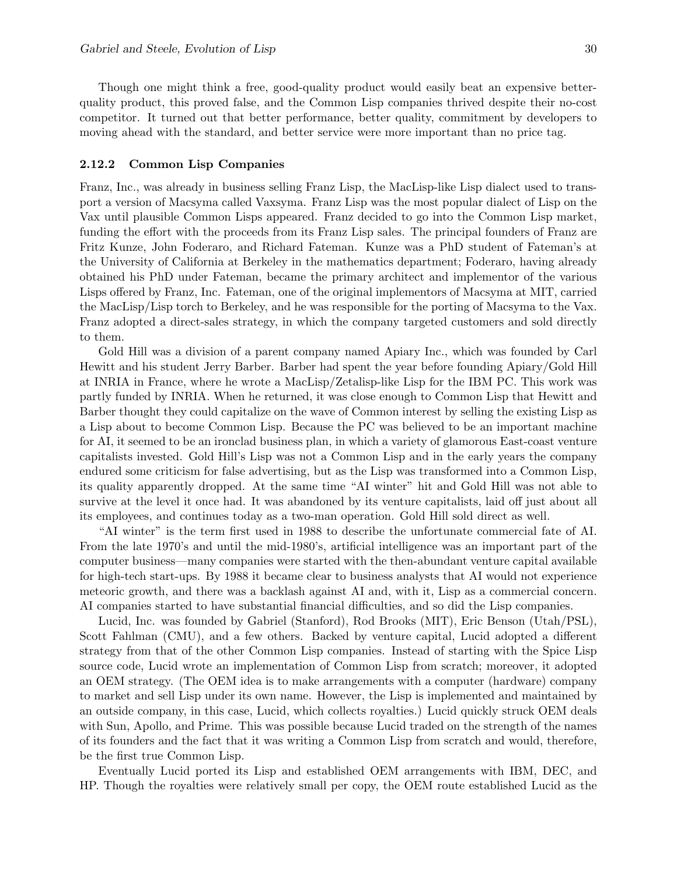Though one might think a free, good-quality product would easily beat an expensive betterquality product, this proved false, and the Common Lisp companies thrived despite their no-cost competitor. It turned out that better performance, better quality, commitment by developers to moving ahead with the standard, and better service were more important than no price tag.

#### **2.12.2 Common Lisp Companies**

Franz, Inc., was already in business selling Franz Lisp, the MacLisp-like Lisp dialect used to transport a version of Macsyma called Vaxsyma. Franz Lisp was the most popular dialect of Lisp on the Vax until plausible Common Lisps appeared. Franz decided to go into the Common Lisp market, funding the effort with the proceeds from its Franz Lisp sales. The principal founders of Franz are Fritz Kunze, John Foderaro, and Richard Fateman. Kunze was a PhD student of Fateman's at the University of California at Berkeley in the mathematics department; Foderaro, having already obtained his PhD under Fateman, became the primary architect and implementor of the various Lisps offered by Franz, Inc. Fateman, one of the original implementors of Macsyma at MIT, carried the MacLisp/Lisp torch to Berkeley, and he was responsible for the porting of Macsyma to the Vax. Franz adopted a direct-sales strategy, in which the company targeted customers and sold directly to them.

Gold Hill was a division of a parent company named Apiary Inc., which was founded by Carl Hewitt and his student Jerry Barber. Barber had spent the year before founding Apiary/Gold Hill at INRIA in France, where he wrote a MacLisp/Zetalisp-like Lisp for the IBM PC. This work was partly funded by INRIA. When he returned, it was close enough to Common Lisp that Hewitt and Barber thought they could capitalize on the wave of Common interest by selling the existing Lisp as a Lisp about to become Common Lisp. Because the PC was believed to be an important machine for AI, it seemed to be an ironclad business plan, in which a variety of glamorous East-coast venture capitalists invested. Gold Hill's Lisp was not a Common Lisp and in the early years the company endured some criticism for false advertising, but as the Lisp was transformed into a Common Lisp, its quality apparently dropped. At the same time "AI winter" hit and Gold Hill was not able to survive at the level it once had. It was abandoned by its venture capitalists, laid off just about all its employees, and continues today as a two-man operation. Gold Hill sold direct as well.

"AI winter" is the term first used in 1988 to describe the unfortunate commercial fate of AI. From the late 1970's and until the mid-1980's, artificial intelligence was an important part of the computer business—many companies were started with the then-abundant venture capital available for high-tech start-ups. By 1988 it became clear to business analysts that AI would not experience meteoric growth, and there was a backlash against AI and, with it, Lisp as a commercial concern. AI companies started to have substantial financial difficulties, and so did the Lisp companies.

Lucid, Inc. was founded by Gabriel (Stanford), Rod Brooks (MIT), Eric Benson (Utah/PSL), Scott Fahlman (CMU), and a few others. Backed by venture capital, Lucid adopted a different strategy from that of the other Common Lisp companies. Instead of starting with the Spice Lisp source code, Lucid wrote an implementation of Common Lisp from scratch; moreover, it adopted an OEM strategy. (The OEM idea is to make arrangements with a computer (hardware) company to market and sell Lisp under its own name. However, the Lisp is implemented and maintained by an outside company, in this case, Lucid, which collects royalties.) Lucid quickly struck OEM deals with Sun, Apollo, and Prime. This was possible because Lucid traded on the strength of the names of its founders and the fact that it was writing a Common Lisp from scratch and would, therefore, be the first true Common Lisp.

Eventually Lucid ported its Lisp and established OEM arrangements with IBM, DEC, and HP. Though the royalties were relatively small per copy, the OEM route established Lucid as the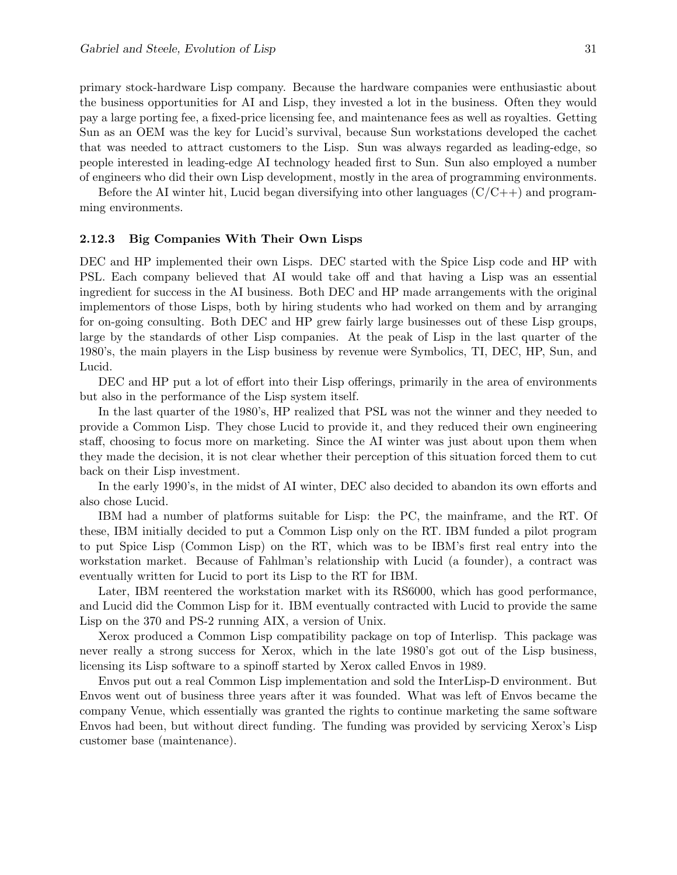primary stock-hardware Lisp company. Because the hardware companies were enthusiastic about the business opportunities for AI and Lisp, they invested a lot in the business. Often they would pay a large porting fee, a fixed-price licensing fee, and maintenance fees as well as royalties. Getting Sun as an OEM was the key for Lucid's survival, because Sun workstations developed the cachet that was needed to attract customers to the Lisp. Sun was always regarded as leading-edge, so people interested in leading-edge AI technology headed first to Sun. Sun also employed a number of engineers who did their own Lisp development, mostly in the area of programming environments.

Before the AI winter hit, Lucid began diversifying into other languages  $(C/C++)$  and programming environments.

#### **2.12.3 Big Companies With Their Own Lisps**

DEC and HP implemented their own Lisps. DEC started with the Spice Lisp code and HP with PSL. Each company believed that AI would take off and that having a Lisp was an essential ingredient for success in the AI business. Both DEC and HP made arrangements with the original implementors of those Lisps, both by hiring students who had worked on them and by arranging for on-going consulting. Both DEC and HP grew fairly large businesses out of these Lisp groups, large by the standards of other Lisp companies. At the peak of Lisp in the last quarter of the 1980's, the main players in the Lisp business by revenue were Symbolics, TI, DEC, HP, Sun, and Lucid.

DEC and HP put a lot of effort into their Lisp offerings, primarily in the area of environments but also in the performance of the Lisp system itself.

In the last quarter of the 1980's, HP realized that PSL was not the winner and they needed to provide a Common Lisp. They chose Lucid to provide it, and they reduced their own engineering staff, choosing to focus more on marketing. Since the AI winter was just about upon them when they made the decision, it is not clear whether their perception of this situation forced them to cut back on their Lisp investment.

In the early 1990's, in the midst of AI winter, DEC also decided to abandon its own efforts and also chose Lucid.

IBM had a number of platforms suitable for Lisp: the PC, the mainframe, and the RT. Of these, IBM initially decided to put a Common Lisp only on the RT. IBM funded a pilot program to put Spice Lisp (Common Lisp) on the RT, which was to be IBM's first real entry into the workstation market. Because of Fahlman's relationship with Lucid (a founder), a contract was eventually written for Lucid to port its Lisp to the RT for IBM.

Later, IBM reentered the workstation market with its RS6000, which has good performance, and Lucid did the Common Lisp for it. IBM eventually contracted with Lucid to provide the same Lisp on the 370 and PS-2 running AIX, a version of Unix.

Xerox produced a Common Lisp compatibility package on top of Interlisp. This package was never really a strong success for Xerox, which in the late 1980's got out of the Lisp business, licensing its Lisp software to a spinoff started by Xerox called Envos in 1989.

Envos put out a real Common Lisp implementation and sold the InterLisp-D environment. But Envos went out of business three years after it was founded. What was left of Envos became the company Venue, which essentially was granted the rights to continue marketing the same software Envos had been, but without direct funding. The funding was provided by servicing Xerox's Lisp customer base (maintenance).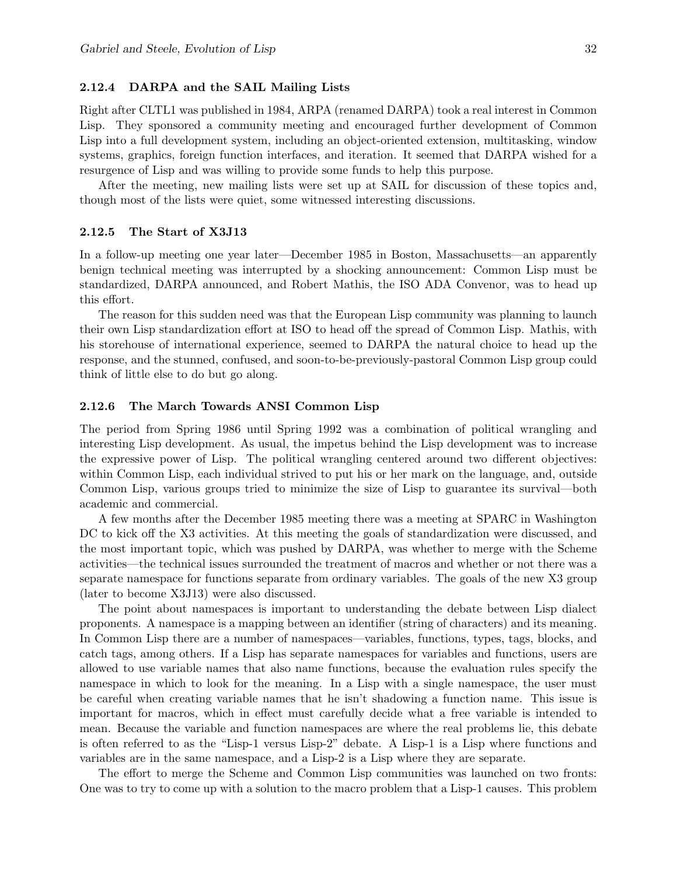#### **2.12.4 DARPA and the SAIL Mailing Lists**

Right after CLTL1 was published in 1984, ARPA (renamed DARPA) took a real interest in Common Lisp. They sponsored a community meeting and encouraged further development of Common Lisp into a full development system, including an object-oriented extension, multitasking, window systems, graphics, foreign function interfaces, and iteration. It seemed that DARPA wished for a resurgence of Lisp and was willing to provide some funds to help this purpose.

After the meeting, new mailing lists were set up at SAIL for discussion of these topics and, though most of the lists were quiet, some witnessed interesting discussions.

#### **2.12.5 The Start of X3J13**

In a follow-up meeting one year later—December 1985 in Boston, Massachusetts—an apparently benign technical meeting was interrupted by a shocking announcement: Common Lisp must be standardized, DARPA announced, and Robert Mathis, the ISO ADA Convenor, was to head up this effort.

The reason for this sudden need was that the European Lisp community was planning to launch their own Lisp standardization effort at ISO to head off the spread of Common Lisp. Mathis, with his storehouse of international experience, seemed to DARPA the natural choice to head up the response, and the stunned, confused, and soon-to-be-previously-pastoral Common Lisp group could think of little else to do but go along.

## **2.12.6 The March Towards ANSI Common Lisp**

The period from Spring 1986 until Spring 1992 was a combination of political wrangling and interesting Lisp development. As usual, the impetus behind the Lisp development was to increase the expressive power of Lisp. The political wrangling centered around two different objectives: within Common Lisp, each individual strived to put his or her mark on the language, and, outside Common Lisp, various groups tried to minimize the size of Lisp to guarantee its survival—both academic and commercial.

A few months after the December 1985 meeting there was a meeting at SPARC in Washington DC to kick off the X3 activities. At this meeting the goals of standardization were discussed, and the most important topic, which was pushed by DARPA, was whether to merge with the Scheme activities—the technical issues surrounded the treatment of macros and whether or not there was a separate namespace for functions separate from ordinary variables. The goals of the new X3 group (later to become X3J13) were also discussed.

The point about namespaces is important to understanding the debate between Lisp dialect proponents. A namespace is a mapping between an identifier (string of characters) and its meaning. In Common Lisp there are a number of namespaces—variables, functions, types, tags, blocks, and catch tags, among others. If a Lisp has separate namespaces for variables and functions, users are allowed to use variable names that also name functions, because the evaluation rules specify the namespace in which to look for the meaning. In a Lisp with a single namespace, the user must be careful when creating variable names that he isn't shadowing a function name. This issue is important for macros, which in effect must carefully decide what a free variable is intended to mean. Because the variable and function namespaces are where the real problems lie, this debate is often referred to as the "Lisp-1 versus Lisp-2" debate. A Lisp-1 is a Lisp where functions and variables are in the same namespace, and a Lisp-2 is a Lisp where they are separate.

The effort to merge the Scheme and Common Lisp communities was launched on two fronts: One was to try to come up with a solution to the macro problem that a Lisp-1 causes. This problem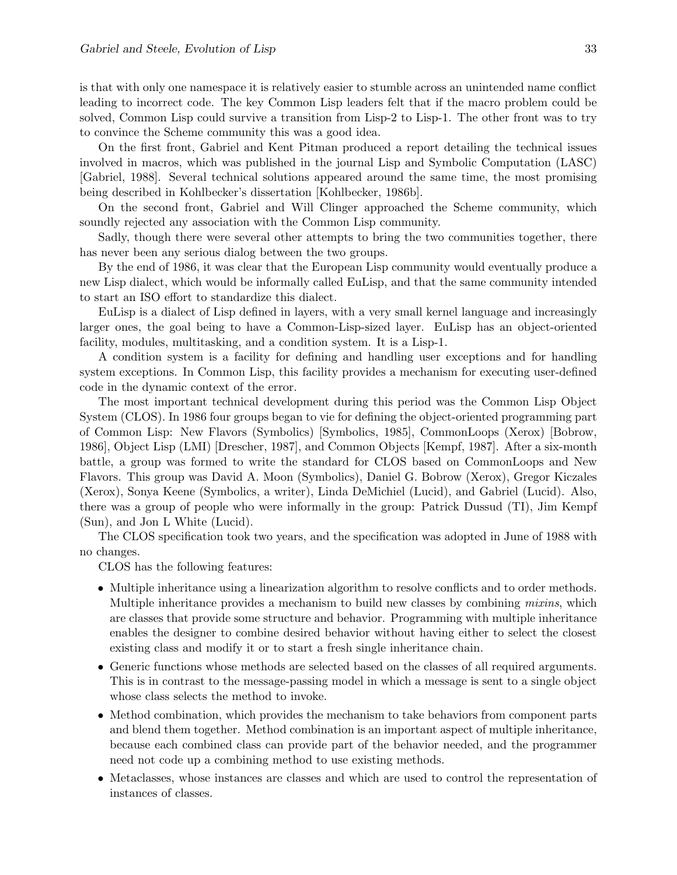is that with only one namespace it is relatively easier to stumble across an unintended name conflict leading to incorrect code. The key Common Lisp leaders felt that if the macro problem could be solved, Common Lisp could survive a transition from Lisp-2 to Lisp-1. The other front was to try to convince the Scheme community this was a good idea.

On the first front, Gabriel and Kent Pitman produced a report detailing the technical issues involved in macros, which was published in the journal Lisp and Symbolic Computation (LASC) [Gabriel, 1988]. Several technical solutions appeared around the same time, the most promising being described in Kohlbecker's dissertation [Kohlbecker, 1986b].

On the second front, Gabriel and Will Clinger approached the Scheme community, which soundly rejected any association with the Common Lisp community.

Sadly, though there were several other attempts to bring the two communities together, there has never been any serious dialog between the two groups.

By the end of 1986, it was clear that the European Lisp community would eventually produce a new Lisp dialect, which would be informally called EuLisp, and that the same community intended to start an ISO effort to standardize this dialect.

EuLisp is a dialect of Lisp defined in layers, with a very small kernel language and increasingly larger ones, the goal being to have a Common-Lisp-sized layer. EuLisp has an object-oriented facility, modules, multitasking, and a condition system. It is a Lisp-1.

A condition system is a facility for defining and handling user exceptions and for handling system exceptions. In Common Lisp, this facility provides a mechanism for executing user-defined code in the dynamic context of the error.

The most important technical development during this period was the Common Lisp Object System (CLOS). In 1986 four groups began to vie for defining the object-oriented programming part of Common Lisp: New Flavors (Symbolics) [Symbolics, 1985], CommonLoops (Xerox) [Bobrow, 1986], Object Lisp (LMI) [Drescher, 1987], and Common Objects [Kempf, 1987]. After a six-month battle, a group was formed to write the standard for CLOS based on CommonLoops and New Flavors. This group was David A. Moon (Symbolics), Daniel G. Bobrow (Xerox), Gregor Kiczales (Xerox), Sonya Keene (Symbolics, a writer), Linda DeMichiel (Lucid), and Gabriel (Lucid). Also, there was a group of people who were informally in the group: Patrick Dussud (TI), Jim Kempf (Sun), and Jon L White (Lucid).

The CLOS specification took two years, and the specification was adopted in June of 1988 with no changes.

CLOS has the following features:

- Multiple inheritance using a linearization algorithm to resolve conflicts and to order methods. Multiple inheritance provides a mechanism to build new classes by combining *mixins*, which are classes that provide some structure and behavior. Programming with multiple inheritance enables the designer to combine desired behavior without having either to select the closest existing class and modify it or to start a fresh single inheritance chain.
- Generic functions whose methods are selected based on the classes of all required arguments. This is in contrast to the message-passing model in which a message is sent to a single object whose class selects the method to invoke.
- Method combination, which provides the mechanism to take behaviors from component parts and blend them together. Method combination is an important aspect of multiple inheritance, because each combined class can provide part of the behavior needed, and the programmer need not code up a combining method to use existing methods.
- Metaclasses, whose instances are classes and which are used to control the representation of instances of classes.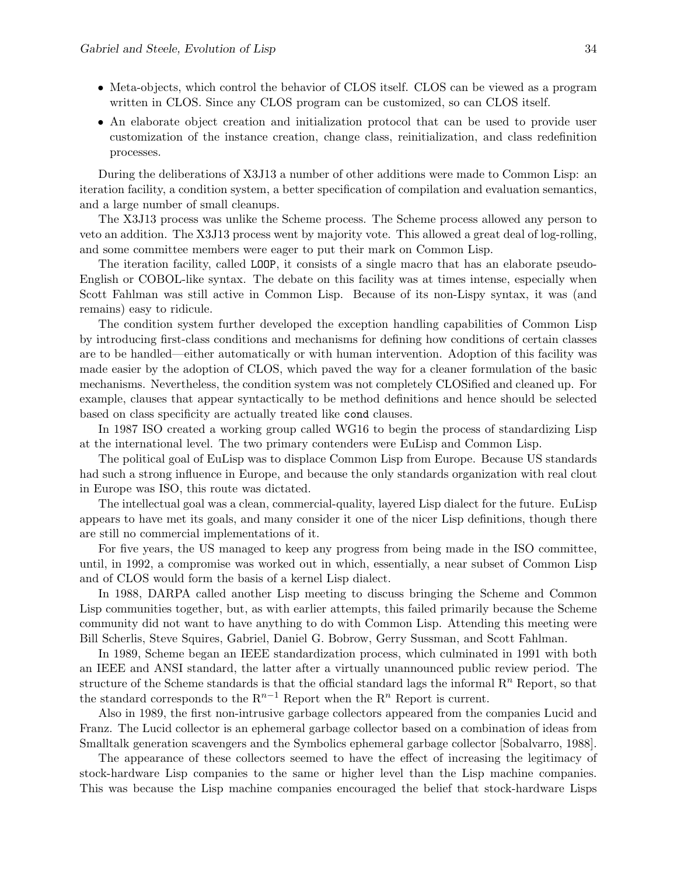- Meta-objects, which control the behavior of CLOS itself. CLOS can be viewed as a program written in CLOS. Since any CLOS program can be customized, so can CLOS itself.
- An elaborate object creation and initialization protocol that can be used to provide user customization of the instance creation, change class, reinitialization, and class redefinition processes.

During the deliberations of X3J13 a number of other additions were made to Common Lisp: an iteration facility, a condition system, a better specification of compilation and evaluation semantics, and a large number of small cleanups.

The X3J13 process was unlike the Scheme process. The Scheme process allowed any person to veto an addition. The X3J13 process went by majority vote. This allowed a great deal of log-rolling, and some committee members were eager to put their mark on Common Lisp.

The iteration facility, called LOOP, it consists of a single macro that has an elaborate pseudo-English or COBOL-like syntax. The debate on this facility was at times intense, especially when Scott Fahlman was still active in Common Lisp. Because of its non-Lispy syntax, it was (and remains) easy to ridicule.

The condition system further developed the exception handling capabilities of Common Lisp by introducing first-class conditions and mechanisms for defining how conditions of certain classes are to be handled—either automatically or with human intervention. Adoption of this facility was made easier by the adoption of CLOS, which paved the way for a cleaner formulation of the basic mechanisms. Nevertheless, the condition system was not completely CLOSified and cleaned up. For example, clauses that appear syntactically to be method definitions and hence should be selected based on class specificity are actually treated like cond clauses.

In 1987 ISO created a working group called WG16 to begin the process of standardizing Lisp at the international level. The two primary contenders were EuLisp and Common Lisp.

The political goal of EuLisp was to displace Common Lisp from Europe. Because US standards had such a strong influence in Europe, and because the only standards organization with real clout in Europe was ISO, this route was dictated.

The intellectual goal was a clean, commercial-quality, layered Lisp dialect for the future. EuLisp appears to have met its goals, and many consider it one of the nicer Lisp definitions, though there are still no commercial implementations of it.

For five years, the US managed to keep any progress from being made in the ISO committee, until, in 1992, a compromise was worked out in which, essentially, a near subset of Common Lisp and of CLOS would form the basis of a kernel Lisp dialect.

In 1988, DARPA called another Lisp meeting to discuss bringing the Scheme and Common Lisp communities together, but, as with earlier attempts, this failed primarily because the Scheme community did not want to have anything to do with Common Lisp. Attending this meeting were Bill Scherlis, Steve Squires, Gabriel, Daniel G. Bobrow, Gerry Sussman, and Scott Fahlman.

In 1989, Scheme began an IEEE standardization process, which culminated in 1991 with both an IEEE and ANSI standard, the latter after a virtually unannounced public review period. The structure of the Scheme standards is that the official standard lags the informal  $\mathbb{R}^n$  Report, so that the standard corresponds to the  $\mathbb{R}^{n-1}$  Report when the  $\mathbb{R}^n$  Report is current.

Also in 1989, the first non-intrusive garbage collectors appeared from the companies Lucid and Franz. The Lucid collector is an ephemeral garbage collector based on a combination of ideas from Smalltalk generation scavengers and the Symbolics ephemeral garbage collector [Sobalvarro, 1988].

The appearance of these collectors seemed to have the effect of increasing the legitimacy of stock-hardware Lisp companies to the same or higher level than the Lisp machine companies. This was because the Lisp machine companies encouraged the belief that stock-hardware Lisps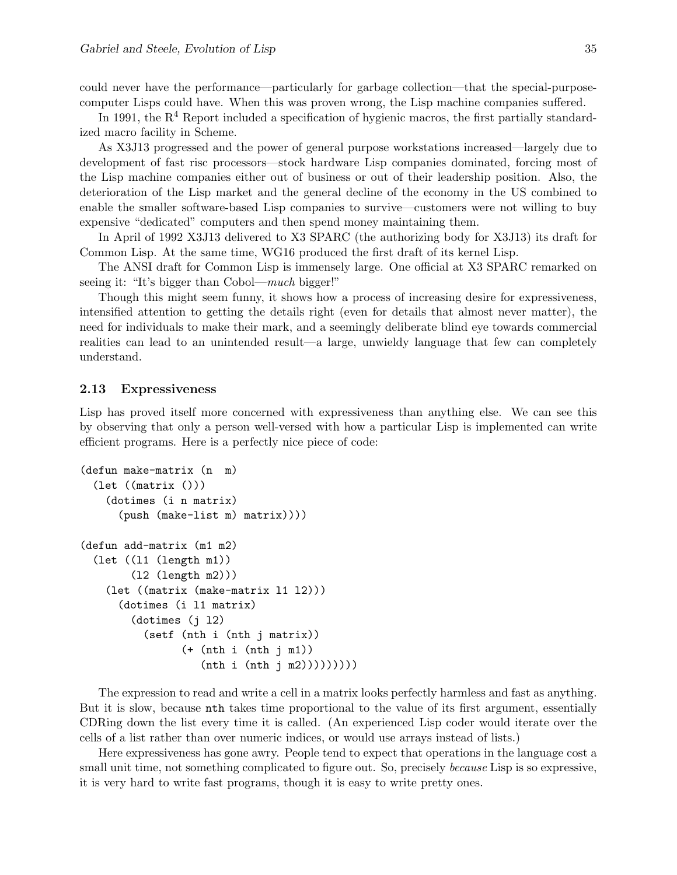could never have the performance—particularly for garbage collection—that the special-purposecomputer Lisps could have. When this was proven wrong, the Lisp machine companies suffered.

In 1991, the  $R<sup>4</sup>$  Report included a specification of hygienic macros, the first partially standardized macro facility in Scheme.

As X3J13 progressed and the power of general purpose workstations increased—largely due to development of fast risc processors—stock hardware Lisp companies dominated, forcing most of the Lisp machine companies either out of business or out of their leadership position. Also, the deterioration of the Lisp market and the general decline of the economy in the US combined to enable the smaller software-based Lisp companies to survive—customers were not willing to buy expensive "dedicated" computers and then spend money maintaining them.

In April of 1992 X3J13 delivered to X3 SPARC (the authorizing body for X3J13) its draft for Common Lisp. At the same time, WG16 produced the first draft of its kernel Lisp.

The ANSI draft for Common Lisp is immensely large. One official at X3 SPARC remarked on seeing it: "It's bigger than Cobol—*much* bigger!"

Though this might seem funny, it shows how a process of increasing desire for expressiveness, intensified attention to getting the details right (even for details that almost never matter), the need for individuals to make their mark, and a seemingly deliberate blind eye towards commercial realities can lead to an unintended result—a large, unwieldy language that few can completely understand.

## **2.13 Expressiveness**

Lisp has proved itself more concerned with expressiveness than anything else. We can see this by observing that only a person well-versed with how a particular Lisp is implemented can write efficient programs. Here is a perfectly nice piece of code:

```
(defun make-matrix (n m)
 (let ((matrix ()))
    (dotimes (i n matrix)
      (push (make-list m) matrix))))
(defun add-matrix (m1 m2)
  (let ((l1 (length m1))
        (l2 (length m2)))
    (let ((matrix (make-matrix l1 l2)))
      (dotimes (i l1 matrix)
        (dotimes (j l2)
          (setf (nth i (nth j matrix))
                (+ (nth i (nth j m1))
                   (inth i (nth j m2))))))))
```
The expression to read and write a cell in a matrix looks perfectly harmless and fast as anything. But it is slow, because nth takes time proportional to the value of its first argument, essentially CDRing down the list every time it is called. (An experienced Lisp coder would iterate over the cells of a list rather than over numeric indices, or would use arrays instead of lists.)

Here expressiveness has gone awry. People tend to expect that operations in the language cost a small unit time, not something complicated to figure out. So, precisely *because* Lisp is so expressive, it is very hard to write fast programs, though it is easy to write pretty ones.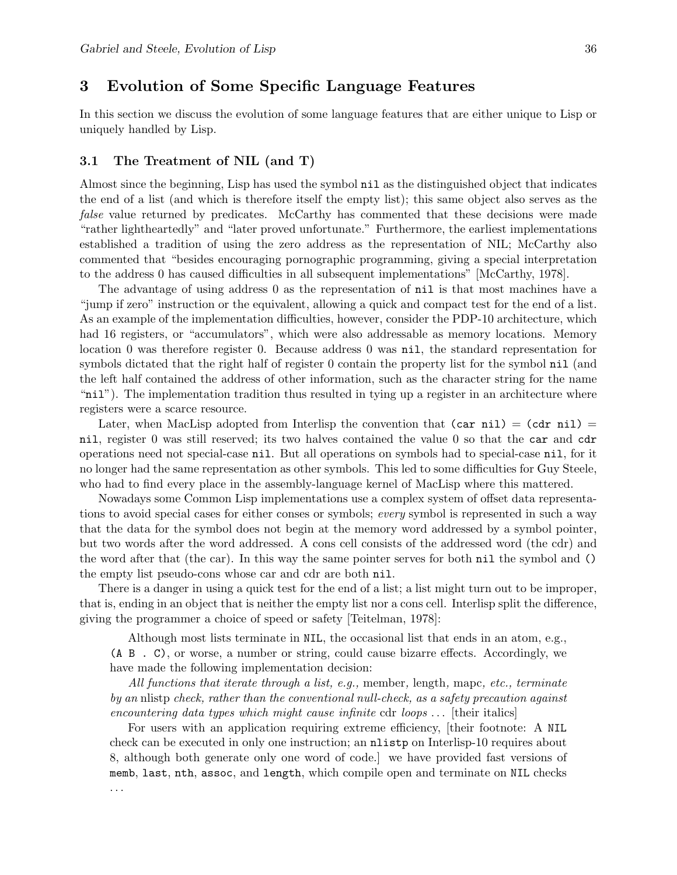## **3 Evolution of Some Specific Language Features**

In this section we discuss the evolution of some language features that are either unique to Lisp or uniquely handled by Lisp.

## **3.1 The Treatment of NIL (and T)**

*...*

Almost since the beginning, Lisp has used the symbol nil as the distinguished object that indicates the end of a list (and which is therefore itself the empty list); this same object also serves as the false value returned by predicates. McCarthy has commented that these decisions were made "rather lightheartedly" and "later proved unfortunate." Furthermore, the earliest implementations established a tradition of using the zero address as the representation of NIL; McCarthy also commented that "besides encouraging pornographic programming, giving a special interpretation to the address 0 has caused difficulties in all subsequent implementations" [McCarthy, 1978].

The advantage of using address 0 as the representation of nil is that most machines have a "jump if zero" instruction or the equivalent, allowing a quick and compact test for the end of a list. As an example of the implementation difficulties, however, consider the PDP-10 architecture, which had 16 registers, or "accumulators", which were also addressable as memory locations. Memory location 0 was therefore register 0. Because address 0 was nil, the standard representation for symbols dictated that the right half of register 0 contain the property list for the symbol nil (and the left half contained the address of other information, such as the character string for the name "nil"). The implementation tradition thus resulted in tying up a register in an architecture where registers were a scarce resource.

Later, when MacLisp adopted from Interlisp the convention that  $(car nil) = (cdr nil) =$ nil, register 0 was still reserved; its two halves contained the value 0 so that the car and cdr operations need not special-case nil. But all operations on symbols had to special-case nil, for it no longer had the same representation as other symbols. This led to some difficulties for Guy Steele, who had to find every place in the assembly-language kernel of MacLisp where this mattered.

Nowadays some Common Lisp implementations use a complex system of offset data representations to avoid special cases for either conses or symbols; *every* symbol is represented in such a way that the data for the symbol does not begin at the memory word addressed by a symbol pointer, but two words after the word addressed. A cons cell consists of the addressed word (the cdr) and the word after that (the car). In this way the same pointer serves for both nil the symbol and () the empty list pseudo-cons whose car and cdr are both nil.

There is a danger in using a quick test for the end of a list; a list might turn out to be improper, that is, ending in an object that is neither the empty list nor a cons cell. Interlisp split the difference, giving the programmer a choice of speed or safety [Teitelman, 1978]:

Although most lists terminate in NIL, the occasional list that ends in an atom, e.g., (A B . C), or worse, a number or string, could cause bizarre effects. Accordingly, we have made the following implementation decision:

All functions that iterate through a list, e.g., member, length, mapc, etc., terminate by an nlistp check, rather than the conventional null-check, as a safety precaution against encountering data types which might cause infinite cdr loops *...* [their italics]

For users with an application requiring extreme efficiency, [their footnote: A NIL check can be executed in only one instruction; an nlistp on Interlisp-10 requires about 8, although both generate only one word of code.] we have provided fast versions of memb, last, nth, assoc, and length, which compile open and terminate on NIL checks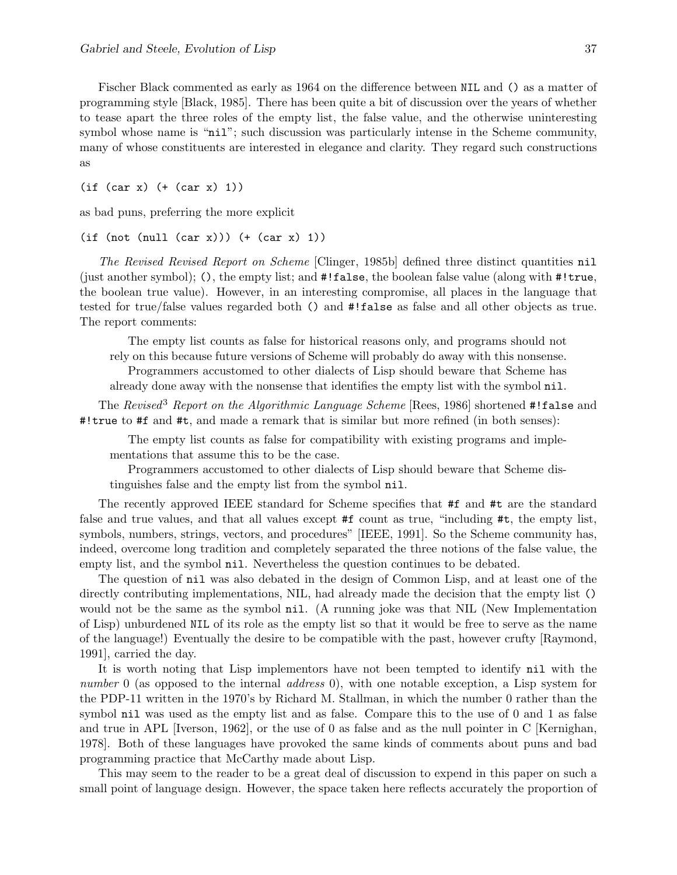Fischer Black commented as early as 1964 on the difference between NIL and () as a matter of programming style [Black, 1985]. There has been quite a bit of discussion over the years of whether to tease apart the three roles of the empty list, the false value, and the otherwise uninteresting symbol whose name is "nil"; such discussion was particularly intense in the Scheme community, many of whose constituents are interested in elegance and clarity. They regard such constructions as

```
(if (car x) (+ (car x) 1))
```
as bad puns, preferring the more explicit

```
(if (not (null (car x))) (+ (car x) 1))
```
The Revised Revised Report on Scheme [Clinger, 1985b] defined three distinct quantities nil (just another symbol); (), the empty list; and #!false, the boolean false value (along with #!true, the boolean true value). However, in an interesting compromise, all places in the language that tested for true/false values regarded both () and #!false as false and all other objects as true. The report comments:

The empty list counts as false for historical reasons only, and programs should not rely on this because future versions of Scheme will probably do away with this nonsense.

Programmers accustomed to other dialects of Lisp should beware that Scheme has already done away with the nonsense that identifies the empty list with the symbol nil.

The Revised<sup>3</sup> Report on the Algorithmic Language Scheme [Rees, 1986] shortened #!false and #!true to #f and #t, and made a remark that is similar but more refined (in both senses):

The empty list counts as false for compatibility with existing programs and implementations that assume this to be the case.

Programmers accustomed to other dialects of Lisp should beware that Scheme distinguishes false and the empty list from the symbol nil.

The recently approved IEEE standard for Scheme specifies that #f and #t are the standard false and true values, and that all values except #f count as true, "including #t, the empty list, symbols, numbers, strings, vectors, and procedures" [IEEE, 1991]. So the Scheme community has, indeed, overcome long tradition and completely separated the three notions of the false value, the empty list, and the symbol nil. Nevertheless the question continues to be debated.

The question of nil was also debated in the design of Common Lisp, and at least one of the directly contributing implementations, NIL, had already made the decision that the empty list () would not be the same as the symbol nil. (A running joke was that NIL (New Implementation of Lisp) unburdened NIL of its role as the empty list so that it would be free to serve as the name of the language!) Eventually the desire to be compatible with the past, however crufty [Raymond, 1991], carried the day.

It is worth noting that Lisp implementors have not been tempted to identify nil with the number 0 (as opposed to the internal *address* 0), with one notable exception, a Lisp system for the PDP-11 written in the 1970's by Richard M. Stallman, in which the number 0 rather than the symbol nil was used as the empty list and as false. Compare this to the use of 0 and 1 as false and true in APL [Iverson, 1962], or the use of 0 as false and as the null pointer in C [Kernighan, 1978]. Both of these languages have provoked the same kinds of comments about puns and bad programming practice that McCarthy made about Lisp.

This may seem to the reader to be a great deal of discussion to expend in this paper on such a small point of language design. However, the space taken here reflects accurately the proportion of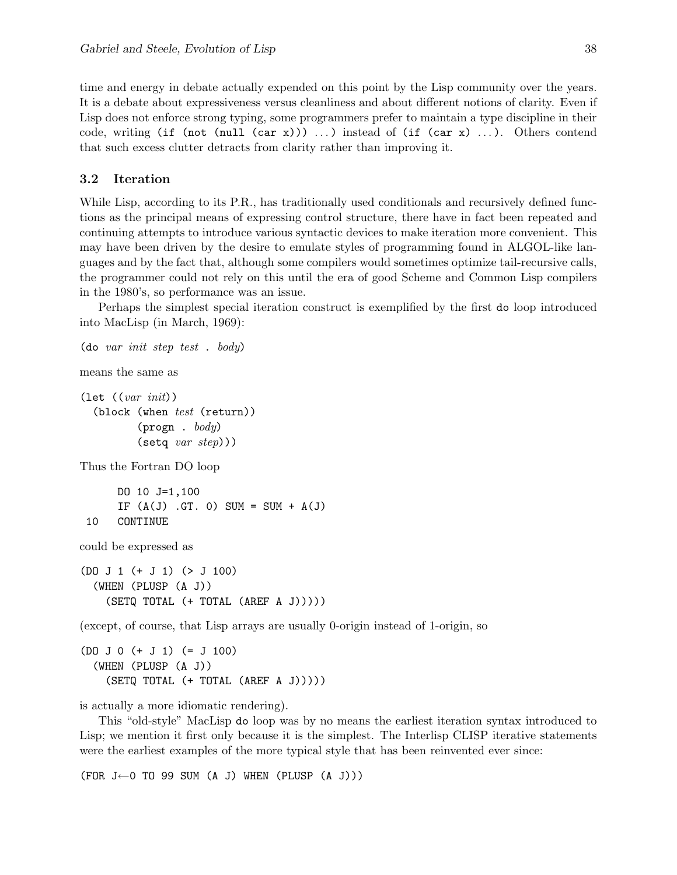time and energy in debate actually expended on this point by the Lisp community over the years. It is a debate about expressiveness versus cleanliness and about different notions of clarity. Even if Lisp does not enforce strong typing, some programmers prefer to maintain a type discipline in their code, writing (if (not (null (car x))) *...* ) instead of (if (car x) *...* ). Others contend that such excess clutter detracts from clarity rather than improving it.

## **3.2 Iteration**

While Lisp, according to its P.R., has traditionally used conditionals and recursively defined functions as the principal means of expressing control structure, there have in fact been repeated and continuing attempts to introduce various syntactic devices to make iteration more convenient. This may have been driven by the desire to emulate styles of programming found in ALGOL-like languages and by the fact that, although some compilers would sometimes optimize tail-recursive calls, the programmer could not rely on this until the era of good Scheme and Common Lisp compilers in the 1980's, so performance was an issue.

Perhaps the simplest special iteration construct is exemplified by the first do loop introduced into MacLisp (in March, 1969):

```
(do var init step test . body)
```
means the same as

```
(\text{let } ((\textit{var init}))(block (when test (return))
               (\text{program . } body)(\text{setq} \text{ var step})).
```
Thus the Fortran DO loop

DO 10 J=1,100 IF  $(A(J)$  .GT. 0) SUM = SUM +  $A(J)$ 10 CONTINUE

could be expressed as

(DO J 1 (+ J 1) (> J 100) (WHEN (PLUSP (A J)) (SETQ TOTAL (+ TOTAL (AREF A J)))))

(except, of course, that Lisp arrays are usually 0-origin instead of 1-origin, so

```
(DO J 0 (+ J 1) (= J 100)
 (WHEN (PLUSP (A J))
    (SETQ TOTAL (+ TOTAL (AREF A J)))))
```
is actually a more idiomatic rendering).

This "old-style" MacLisp do loop was by no means the earliest iteration syntax introduced to Lisp; we mention it first only because it is the simplest. The Interlisp CLISP iterative statements were the earliest examples of the more typical style that has been reinvented ever since:

 $(FOR J \leftarrow 0 TO 99 SUM (A J) WHERE (PLUSP (A J)))$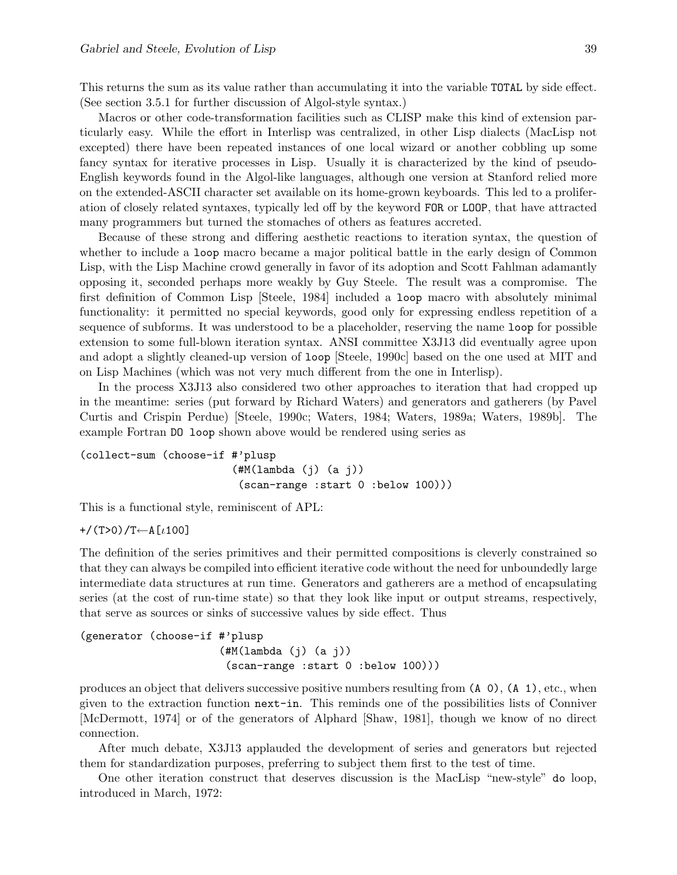This returns the sum as its value rather than accumulating it into the variable TOTAL by side effect. (See section 3.5.1 for further discussion of Algol-style syntax.)

Macros or other code-transformation facilities such as CLISP make this kind of extension particularly easy. While the effort in Interlisp was centralized, in other Lisp dialects (MacLisp not excepted) there have been repeated instances of one local wizard or another cobbling up some fancy syntax for iterative processes in Lisp. Usually it is characterized by the kind of pseudo-English keywords found in the Algol-like languages, although one version at Stanford relied more on the extended-ASCII character set available on its home-grown keyboards. This led to a proliferation of closely related syntaxes, typically led off by the keyword FOR or LOOP, that have attracted many programmers but turned the stomaches of others as features accreted.

Because of these strong and differing aesthetic reactions to iteration syntax, the question of whether to include a loop macro became a major political battle in the early design of Common Lisp, with the Lisp Machine crowd generally in favor of its adoption and Scott Fahlman adamantly opposing it, seconded perhaps more weakly by Guy Steele. The result was a compromise. The first definition of Common Lisp [Steele, 1984] included a loop macro with absolutely minimal functionality: it permitted no special keywords, good only for expressing endless repetition of a sequence of subforms. It was understood to be a placeholder, reserving the name loop for possible extension to some full-blown iteration syntax. ANSI committee X3J13 did eventually agree upon and adopt a slightly cleaned-up version of loop [Steele, 1990c] based on the one used at MIT and on Lisp Machines (which was not very much different from the one in Interlisp).

In the process X3J13 also considered two other approaches to iteration that had cropped up in the meantime: series (put forward by Richard Waters) and generators and gatherers (by Pavel Curtis and Crispin Perdue) [Steele, 1990c; Waters, 1984; Waters, 1989a; Waters, 1989b]. The example Fortran DO loop shown above would be rendered using series as

```
(collect-sum (choose-if #'plusp
                        (#M(lambda (j) (a j))
                         (scan-range :start 0 :below 100)))
```
This is a functional style, reminiscent of APL:

+/(T>0)/T←A[*ι*100]

The definition of the series primitives and their permitted compositions is cleverly constrained so that they can always be compiled into efficient iterative code without the need for unboundedly large intermediate data structures at run time. Generators and gatherers are a method of encapsulating series (at the cost of run-time state) so that they look like input or output streams, respectively, that serve as sources or sinks of successive values by side effect. Thus

```
(generator (choose-if #'plusp
                      (#M(lambda (j) (a j))
                       (scan-range :start 0 :below 100)))
```
produces an object that delivers successive positive numbers resulting from (A 0), (A 1), etc., when given to the extraction function next-in. This reminds one of the possibilities lists of Conniver [McDermott, 1974] or of the generators of Alphard [Shaw, 1981], though we know of no direct connection.

After much debate, X3J13 applauded the development of series and generators but rejected them for standardization purposes, preferring to subject them first to the test of time.

One other iteration construct that deserves discussion is the MacLisp "new-style" do loop, introduced in March, 1972: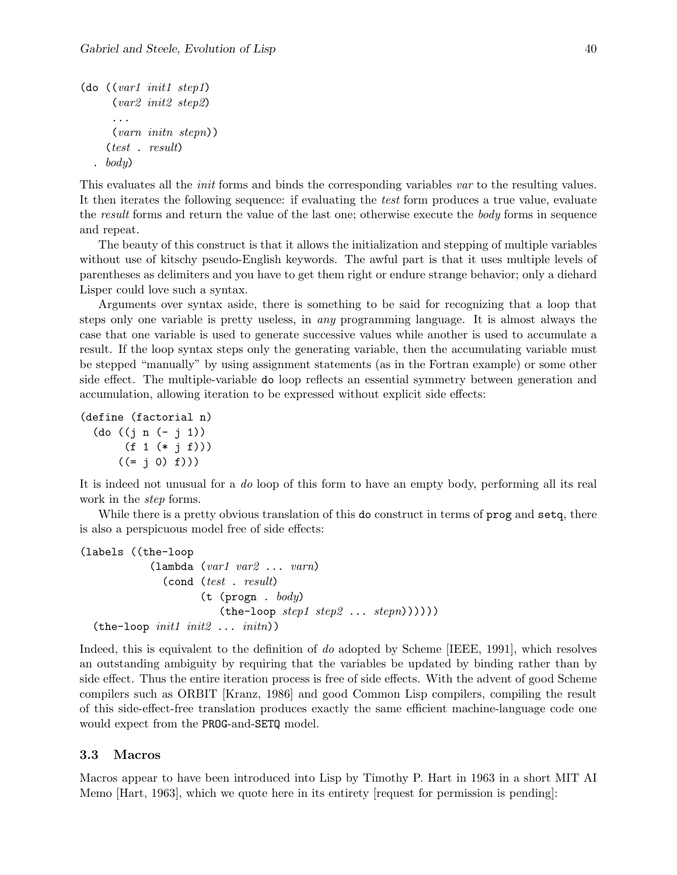```
(do ((var1 init1 step1)
      (var2 init2 step2)
      ...
      (varn initn stepn))
     (test . result)
  \cdot body)
```
This evaluates all the *init* forms and binds the corresponding variables var to the resulting values. It then iterates the following sequence: if evaluating the test form produces a true value, evaluate the result forms and return the value of the last one; otherwise execute the body forms in sequence and repeat.

The beauty of this construct is that it allows the initialization and stepping of multiple variables without use of kitschy pseudo-English keywords. The awful part is that it uses multiple levels of parentheses as delimiters and you have to get them right or endure strange behavior; only a diehard Lisper could love such a syntax.

Arguments over syntax aside, there is something to be said for recognizing that a loop that steps only one variable is pretty useless, in any programming language. It is almost always the case that one variable is used to generate successive values while another is used to accumulate a result. If the loop syntax steps only the generating variable, then the accumulating variable must be stepped "manually" by using assignment statements (as in the Fortran example) or some other side effect. The multiple-variable do loop reflects an essential symmetry between generation and accumulation, allowing iteration to be expressed without explicit side effects:

```
(define (factorial n)
```
(do ((j n (- j 1)) (f 1 (\* j f)))  $((= j 0) f)))$ 

It is indeed not unusual for a do loop of this form to have an empty body, performing all its real work in the step forms.

While there is a pretty obvious translation of this do construct in terms of prog and setq, there is also a perspicuous model free of side effects:

```
(labels ((the-loop
              (lambda (var1 var2 ... varn)
                (cond (test . result)
                        (t \text{ (program . } body)(the-loop \ step1 \ step2 \ \ldots \ stepn))))(the-loop\ init1\ init2\ \ldots\ initn)
```
Indeed, this is equivalent to the definition of do adopted by Scheme [IEEE, 1991], which resolves an outstanding ambiguity by requiring that the variables be updated by binding rather than by side effect. Thus the entire iteration process is free of side effects. With the advent of good Scheme compilers such as ORBIT [Kranz, 1986] and good Common Lisp compilers, compiling the result of this side-effect-free translation produces exactly the same efficient machine-language code one would expect from the PROG-and-SETQ model.

## **3.3 Macros**

Macros appear to have been introduced into Lisp by Timothy P. Hart in 1963 in a short MIT AI Memo [Hart, 1963], which we quote here in its entirety [request for permission is pending]: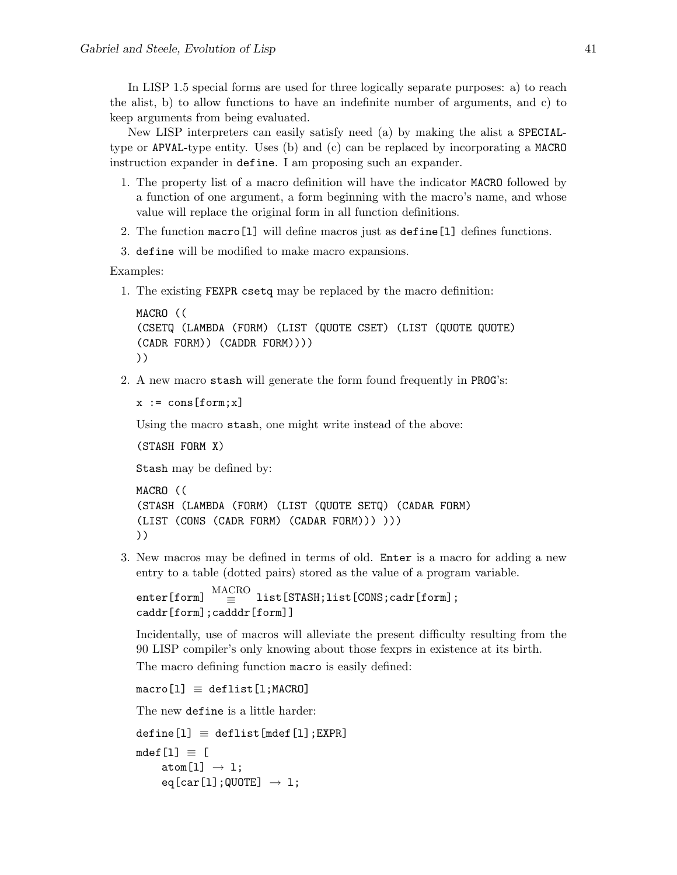In LISP 1.5 special forms are used for three logically separate purposes: a) to reach the alist, b) to allow functions to have an indefinite number of arguments, and c) to keep arguments from being evaluated.

New LISP interpreters can easily satisfy need (a) by making the alist a SPECIALtype or APVAL-type entity. Uses (b) and (c) can be replaced by incorporating a MACRO instruction expander in define. I am proposing such an expander.

- 1. The property list of a macro definition will have the indicator MACRO followed by a function of one argument, a form beginning with the macro's name, and whose value will replace the original form in all function definitions.
- 2. The function macro[l] will define macros just as define[l] defines functions.
- 3. define will be modified to make macro expansions.

Examples:

1. The existing FEXPR csetq may be replaced by the macro definition:

```
MACRO ((
(CSETQ (LAMBDA (FORM) (LIST (QUOTE CSET) (LIST (QUOTE QUOTE)
(CADR FORM)) (CADDR FORM))))
))
```
2. A new macro stash will generate the form found frequently in PROG's:

```
x := \text{cons}[\text{form}; x]
```
Using the macro stash, one might write instead of the above:

(STASH FORM X)

Stash may be defined by:

```
MACRO ((
(STASH (LAMBDA (FORM) (LIST (QUOTE SETQ) (CADAR FORM)
(LIST (CONS (CADR FORM) (CADAR FORM))) )))
))
```
3. New macros may be defined in terms of old. Enter is a macro for adding a new entry to a table (dotted pairs) stored as the value of a program variable.

```
enter[form] \frac{\text{MACRO}}{\equiv} list[STASH;list[CONS;cadr[form];
caddr[form];cadddr[form]]
```
Incidentally, use of macros will alleviate the present difficulty resulting from the 90 LISP compiler's only knowing about those fexprs in existence at its birth.

The macro defining function macro is easily defined:

 $macro[1] \equiv deflist[1;MACRO]$ 

The new define is a little harder:

```
define[1] \equiv deflist[mdef[1];EXPR]mdef[1] \equiv [atom[1] \rightarrow 1;eq[car[1];QUOTE] \rightarrow 1;
```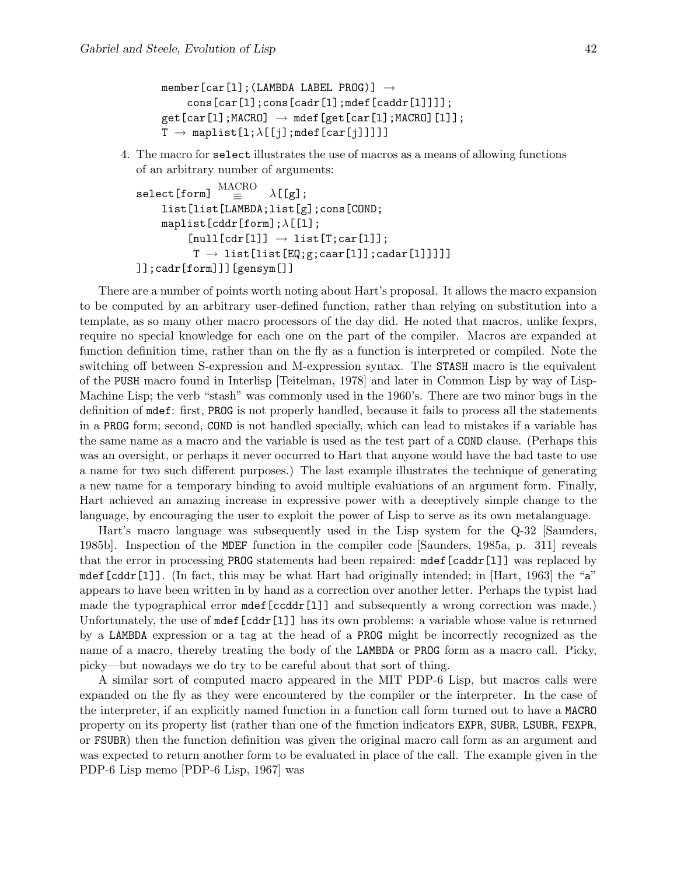```
member [\text{car}[1]; (LAMBDA LABEL PROG)] \rightarrowcons[car[l];cons[cadr[l];mdef[caddr[l]]]];
get[car[1];MACR0] \rightarrow med[get[car[1];MACR0][1]];T \rightarrow maplist[l;\lambda[[j];mdef[car[j]]]]]
```
4. The macro for select illustrates the use of macros as a means of allowing functions of an arbitrary number of arguments:

```
\texttt{select}[\texttt{form}] \overset{\text{MACRO}}{=} \lambda[[g];list[list[LAMBDA;list[g];cons[COND;
      maplist[cddr[form];λ[[l];
             [\texttt{null}[\texttt{cdr[1]}] \rightarrow \texttt{list}[\texttt{T}; \texttt{car[1]}];T \rightarrow list[list[EQ;g;caar[l]];cadar[l]]]]]
]];cadr[form]]][gensym[]]
```
There are a number of points worth noting about Hart's proposal. It allows the macro expansion to be computed by an arbitrary user-defined function, rather than relying on substitution into a template, as so many other macro processors of the day did. He noted that macros, unlike fexprs, require no special knowledge for each one on the part of the compiler. Macros are expanded at function definition time, rather than on the fly as a function is interpreted or compiled. Note the switching off between S-expression and M-expression syntax. The STASH macro is the equivalent of the PUSH macro found in Interlisp [Teitelman, 1978] and later in Common Lisp by way of Lisp-Machine Lisp; the verb "stash" was commonly used in the 1960's. There are two minor bugs in the definition of mdef: first, PROG is not properly handled, because it fails to process all the statements in a PROG form; second, COND is not handled specially, which can lead to mistakes if a variable has the same name as a macro and the variable is used as the test part of a COND clause. (Perhaps this was an oversight, or perhaps it never occurred to Hart that anyone would have the bad taste to use a name for two such different purposes.) The last example illustrates the technique of generating a new name for a temporary binding to avoid multiple evaluations of an argument form. Finally, Hart achieved an amazing increase in expressive power with a deceptively simple change to the language, by encouraging the user to exploit the power of Lisp to serve as its own metalanguage.

Hart's macro language was subsequently used in the Lisp system for the Q-32 [Saunders, 1985b]. Inspection of the MDEF function in the compiler code [Saunders, 1985a, p. 311] reveals that the error in processing PROG statements had been repaired: mdef[caddr[l]] was replaced by mdef[cddr[l]]. (In fact, this may be what Hart had originally intended; in [Hart, 1963] the "a" appears to have been written in by hand as a correction over another letter. Perhaps the typist had made the typographical error mdef[ccddr[l]] and subsequently a wrong correction was made.) Unfortunately, the use of  $\text{mdef}\left[\text{cddr}\left[1\right]\right]$  has its own problems: a variable whose value is returned bya LAMBDA expression or a tag at the head of a PROG might be incorrectly recognized as the name of a macro, thereby treating the body of the LAMBDA or PROG form as a macro call. Picky, picky—but nowadays we do try to be careful about that sort of thing.

A similar sort of computed macro appeared in the MIT PDP-6 Lisp, but macros calls were expanded on the fly as they were encountered by the compiler or the interpreter. In the case of the interpreter, if an explicitly named function in a function call form turned out to have a MACRO property on its property list (rather than one of the function indicators EXPR, SUBR, LSUBR, FEXPR, or FSUBR) then the function definition was given the original macro call form as an argument and was expected to return another form to be evaluated in place of the call. The example given in the PDP-6 Lisp memo [PDP-6 Lisp, 1967] was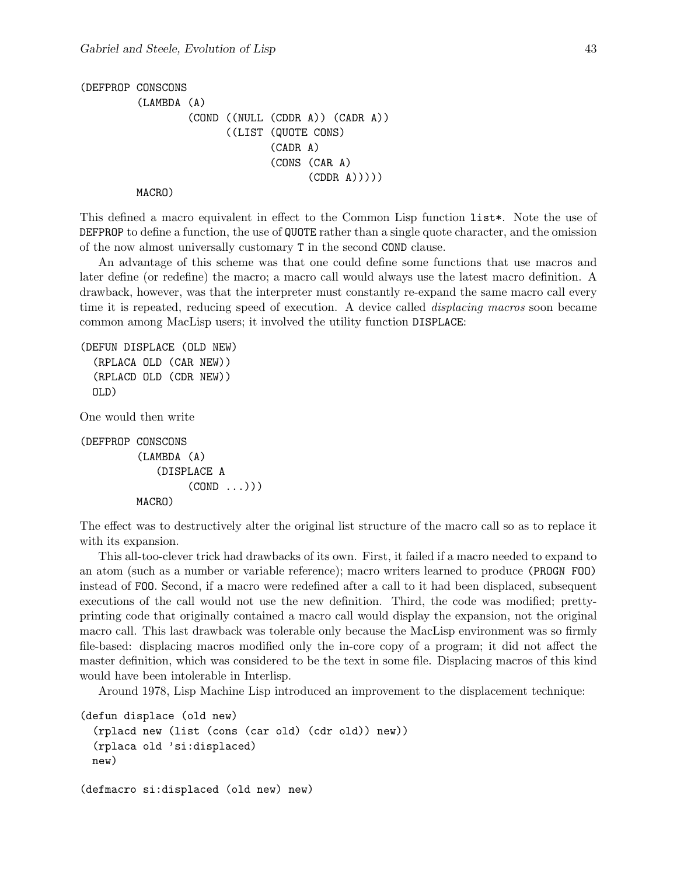```
(DEFPROP CONSCONS
         (LAMBDA (A)
                 (COND ((NULL (CDDR A)) (CADR A))
                       ((LIST (QUOTE CONS)
                               (CADR A)
                               (CONS (CAR A)
                                     (CDDR A)))
```
MACRO)

This defined a macro equivalent in effect to the Common Lisp function list\*. Note the use of DEFPROP to define a function, the use of QUOTE rather than a single quote character, and the omission of the now almost universally customary T in the second COND clause.

An advantage of this scheme was that one could define some functions that use macros and later define (or redefine) the macro; a macro call would always use the latest macro definition. A drawback, however, was that the interpreter must constantly re-expand the same macro call every time it is repeated, reducing speed of execution. A device called *displacing macros* soon became common among MacLisp users; it involved the utility function DISPLACE:

```
(DEFUN DISPLACE (OLD NEW)
  (RPLACA OLD (CAR NEW))
 (RPLACD OLD (CDR NEW))
 OLD)
```
One would then write

```
(DEFPROP CONSCONS
         (LAMBDA (A)
            (DISPLACE A
                  (COND \dots))MACRO)
```
The effect was to destructively alter the original list structure of the macro call so as to replace it with its expansion.

This all-too-clever trick had drawbacks of its own. First, it failed if a macro needed to expand to an atom (such as a number or variable reference); macro writers learned to produce (PROGN FOO) instead of FOO. Second, if a macro were redefined after a call to it had been displaced, subsequent executions of the call would not use the new definition. Third, the code was modified; prettyprinting code that originally contained a macro call would display the expansion, not the original macro call. This last drawback was tolerable only because the MacLisp environment was so firmly file-based: displacing macros modified only the in-core copy of a program; it did not affect the master definition, which was considered to be the text in some file. Displacing macros of this kind would have been intolerable in Interlisp.

Around 1978, Lisp Machine Lisp introduced an improvement to the displacement technique:

```
(defun displace (old new)
 (rplacd new (list (cons (car old) (cdr old)) new))
 (rplaca old 'si:displaced)
 new)
(defmacro si:displaced (old new) new)
```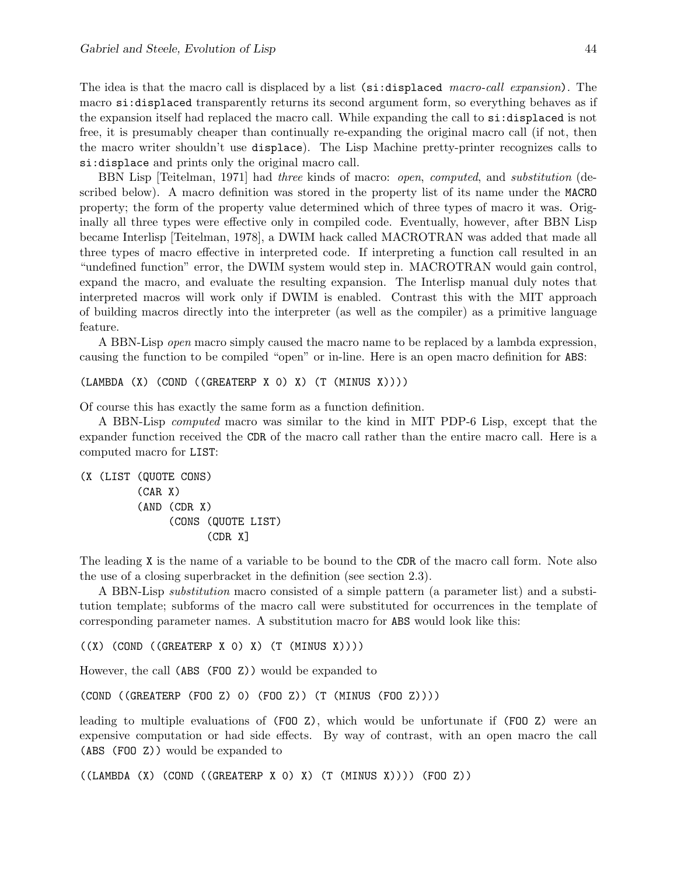The idea is that the macro call is displaced by a list (si:displaced macro-call expansion). The macro si:displaced transparently returns its second argument form, so everything behaves as if the expansion itself had replaced the macro call. While expanding the call to si:displaced is not free, it is presumably cheaper than continually re-expanding the original macro call (if not, then the macro writer shouldn't use displace). The Lisp Machine pretty-printer recognizes calls to si:displace and prints only the original macro call.

BBN Lisp [Teitelman, 1971] had three kinds of macro: open, computed, and substitution (described below). A macro definition was stored in the property list of its name under the MACRO property; the form of the property value determined which of three types of macro it was. Originally all three types were effective only in compiled code. Eventually, however, after BBN Lisp became Interlisp [Teitelman, 1978], a DWIM hack called MACROTRAN was added that made all three types of macro effective in interpreted code. If interpreting a function call resulted in an "undefined function" error, the DWIM system would step in. MACROTRAN would gain control, expand the macro, and evaluate the resulting expansion. The Interlisp manual duly notes that interpreted macros will work only if DWIM is enabled. Contrast this with the MIT approach of building macros directly into the interpreter (as well as the compiler) as a primitive language feature.

A BBN-Lisp *open* macro simply caused the macro name to be replaced by a lambda expression, causing the function to be compiled "open" or in-line. Here is an open macro definition for ABS:

(LAMBDA (X) (COND ((GREATERP X 0) X) (T (MINUS X))))

Of course this has exactly the same form as a function definition.

A BBN-Lisp computed macro was similar to the kind in MIT PDP-6 Lisp, except that the expander function received the CDR of the macro call rather than the entire macro call. Here is a computed macro for LIST:

(X (LIST (QUOTE CONS) (CAR X) (AND (CDR X) (CONS (QUOTE LIST) (CDR X]

The leading X is the name of a variable to be bound to the CDR of the macro call form. Note also the use of a closing superbracket in the definition (see section 2.3).

A BBN-Lisp substitution macro consisted of a simple pattern (a parameter list) and a substitution template; subforms of the macro call were substituted for occurrences in the template of corresponding parameter names. A substitution macro for ABS would look like this:

 $((X) (COND ((GREATERP X 0) X) (T (MINUS X))))$ 

However, the call (ABS (FOO Z)) would be expanded to

(COND ((GREATERP (FOO Z) 0) (FOO Z)) (T (MINUS (FOO Z))))

leading to multiple evaluations of (FOO Z), which would be unfortunate if (FOO Z) were an expensive computation or had side effects. By way of contrast, with an open macro the call (ABS (FOO Z)) would be expanded to

 $((LAMBDA (X) (COMP ((GREATER P X 0) X) (T (MINUS X)))) (FOO Z))$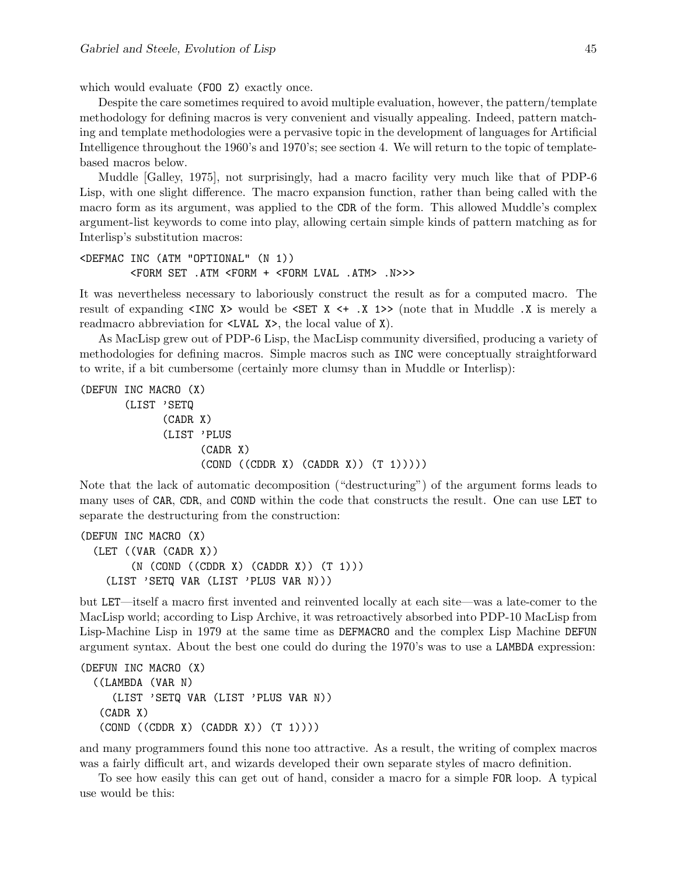which would evaluate (FOO Z) exactly once.

Despite the care sometimes required to avoid multiple evaluation, however, the pattern/template methodology for defining macros is very convenient and visually appealing. Indeed, pattern matching and template methodologies were a pervasive topic in the development of languages for Artificial Intelligence throughout the 1960's and 1970's; see section 4. We will return to the topic of templatebased macros below.

Muddle [Galley, 1975], not surprisingly, had a macro facility very much like that of PDP-6 Lisp, with one slight difference. The macro expansion function, rather than being called with the macro form as its argument, was applied to the CDR of the form. This allowed Muddle's complex argument-list keywords to come into play, allowing certain simple kinds of pattern matching as for Interlisp's substitution macros:

```
<DEFMAC INC (ATM "OPTIONAL" (N 1))
        <FORM SET .ATM <FORM + <FORM LVAL .ATM> .N>>>
```
It was nevertheless necessary to laboriously construct the result as for a computed macro. The result of expanding  $\langle INC X \rangle$  would be  $\langle SET X \rangle$ . X 1>> (note that in Muddle X is merely a readmacro abbreviation for <LVAL X>, the local value of X).

As MacLisp grew out of PDP-6 Lisp, the MacLisp community diversified, producing a variety of methodologies for defining macros. Simple macros such as INC were conceptually straightforward to write, if a bit cumbersome (certainly more clumsy than in Muddle or Interlisp):

```
(DEFUN INC MACRO (X)
       (LIST 'SETQ
             (CADR X)
             (LIST 'PLUS
                    (CADR X)
                    (COND ((CDDR X) (CADDR X)) (T 1)))))
```
Note that the lack of automatic decomposition ("destructuring") of the argument forms leads to many uses of CAR, CDR, and COND within the code that constructs the result. One can use LET to separate the destructuring from the construction:

```
(DEFUN INC MACRO (X)
  (LET ((VAR (CADR X))
        (N (COND (CDDR X) (CADDR X)) (T 1)))(LIST 'SETQ VAR (LIST 'PLUS VAR N)))
```
but LET—itself a macro first invented and reinvented locally at each site—was a late-comer to the MacLisp world; according to Lisp Archive, it was retroactively absorbed into PDP-10 MacLisp from Lisp-Machine Lisp in 1979 at the same time as DEFMACRO and the complex Lisp Machine DEFUN argument syntax. About the best one could do during the 1970's was to use a LAMBDA expression:

```
(DEFUN INC MACRO (X)
 ((LAMBDA (VAR N)
     (LIST 'SETQ VAR (LIST 'PLUS VAR N))
   (CADR X)
   (COND ((CDDR X) (CADDR X)) (T 1))))
```
and many programmers found this none too attractive. As a result, the writing of complex macros was a fairly difficult art, and wizards developed their own separate styles of macro definition.

To see how easily this can get out of hand, consider a macro for a simple FOR loop. A typical use would be this: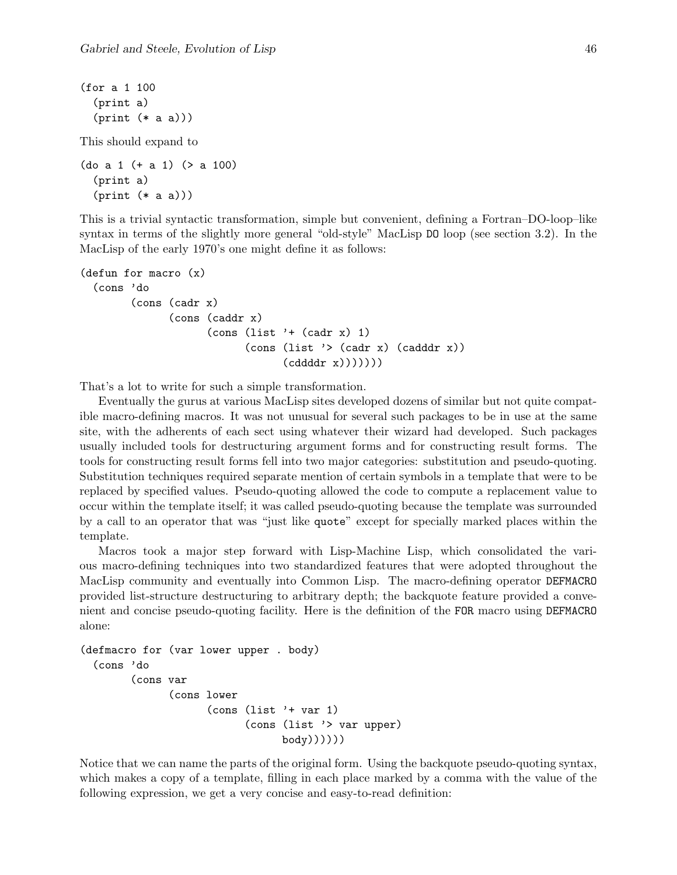```
(for a 1 100)(print a)
 (print (* a a)))
```
This should expand to

(do a1 (+ a1) (> a100) (print a)  $(print ( * a a)))$ 

This is a trivial syntactic transformation, simple but convenient, defining a Fortran–DO-loop–like syntax in terms of the slightly more general "old-style" MacLisp DO loop (see section 3.2). In the MacLisp of the early 1970's one might define it as follows:

```
(defun for macro (x)
  (cons 'do
        (cons (cadr x)
               (cons (caddr x)
                      \frac{\cosh x}{\cosh x} (cadr x) 1)
                            (cons (list '>(cadr x) (caddd r x)))(cdddr x))))))
```
That's a lot to write for such a simple transformation.

Eventually the gurus at various MacLisp sites developed dozens of similar but not quite compatible macro-defining macros. It was not unusual for several such packages to be in use at the same site, with the adherents of each sect using whatever their wizard had developed. Such packages usually included tools for destructuring argument forms and for constructing result forms. The tools for constructing result forms fell into two major categories: substitution and pseudo-quoting. Substitution techniques required separate mention of certain symbols in a template that were to be replaced by specified values. Pseudo-quoting allowed the code to compute a replacement value to occur within the template itself; it was called pseudo-quoting because the template was surrounded by a call to an operator that was "just like quote" except for specially marked places within the template.

Macros took a major step forward with Lisp-Machine Lisp, which consolidated the various macro-defining techniques into two standardized features that were adopted throughout the MacLisp community and eventually into Common Lisp. The macro-defining operator DEFMACRO provided list-structure destructuring to arbitrary depth; the backquote feature provided a convenient and concise pseudo-quoting facility. Here is the definition of the FOR macro using DEFMACRO alone:

```
(defmacro for (var lower upper . body)
  (cons 'do
        (cons var
              (cons lower
                    (cons (list '+ var 1)
                           (cons (list '> var upper)
                                 body))))))
```
Notice that we can name the parts of the original form. Using the backquote pseudo-quoting syntax, which makes a copy of a template, filling in each place marked by a comma with the value of the following expression, we get a very concise and easy-to-read definition: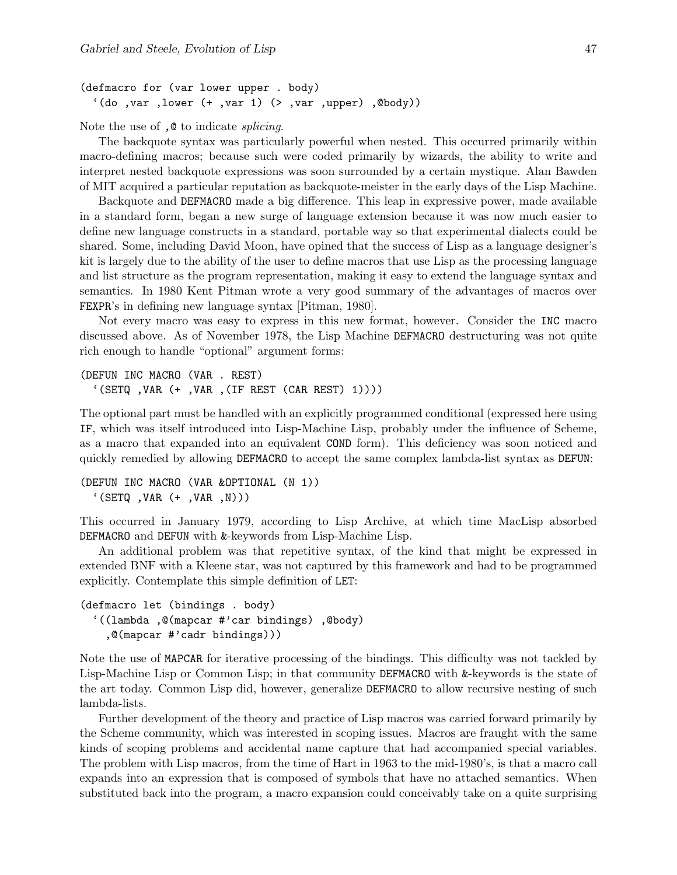```
(defmacro for (var lower upper . body)
  '(do ,var ,lower (+, var 1) (>, var ,upper) , @body))
```
Note the use of ,  $\circ$  to indicate *splicing*.

The backquote syntax was particularly powerful when nested. This occurred primarily within macro-defining macros; because such were coded primarily by wizards, the ability to write and interpret nested backquote expressions was soon surrounded by a certain mystique. Alan Bawden of MIT acquired a particular reputation as backquote-meister in the early days of the Lisp Machine.

Backquote and DEFMACRO made a big difference. This leap in expressive power, made available in a standard form, began a new surge of language extension because it was now much easier to define new language constructs in a standard, portable way so that experimental dialects could be shared. Some, including David Moon, have opined that the success of Lisp as a language designer's kit is largely due to the ability of the user to define macros that use Lisp as the processing language and list structure as the program representation, making it easy to extend the language syntax and semantics. In 1980 Kent Pitman wrote a very good summary of the advantages of macros over FEXPR's in defining new language syntax [Pitman, 1980].

Not every macro was easy to express in this new format, however. Consider the INC macro discussed above. As of November 1978, the Lisp Machine DEFMACRO destructuring was not quite rich enough to handle "optional" argument forms:

```
(DEFUN INC MACRO (VAR . REST)
  '(SETQ, VAR (+), VAR , (IF REST (CAR REST) 1)))
```
The optional part must be handled with an explicitly programmed conditional (expressed here using IF, which was itself introduced into Lisp-Machine Lisp, probably under the influence of Scheme, as a macro that expanded into an equivalent COND form). This deficiency was soon noticed and quickly remedied by allowing DEFMACRO to accept the same complex lambda-list syntax as DEFUN:

```
(DEFUN INC MACRO (VAR &OPTIONAL (N 1))
  '(SETQ, VAR (+, VAR, N)))
```
This occurred in January 1979, according to Lisp Archive, at which time MacLisp absorbed DEFMACRO and DEFUN with &-keywords from Lisp-Machine Lisp.

An additional problem was that repetitive syntax, of the kind that might be expressed in extended BNF with a Kleene star, was not captured by this framework and had to be programmed explicitly. Contemplate this simple definition of LET:

```
(defmacro let (bindings . body)
  '((lambda ,@(mapcar #'car bindings) ,@body)
    ,@(mapcar #'cadr bindings)))
```
Note the use of MAPCAR for iterative processing of the bindings. This difficulty was not tackled by Lisp-Machine Lisp or Common Lisp; in that community DEFMACRO with &-keywords is the state of the art today. Common Lisp did, however, generalize DEFMACRO to allow recursive nesting of such lambda-lists.

Further development of the theory and practice of Lisp macros was carried forward primarily by the Scheme community, which was interested in scoping issues. Macros are fraught with the same kinds of scoping problems and accidental name capture that had accompanied special variables. The problem with Lisp macros, from the time of Hart in 1963 to the mid-1980's, is that a macro call expands into an expression that is composed of symbols that have no attached semantics. When substituted back into the program, a macro expansion could conceivably take on a quite surprising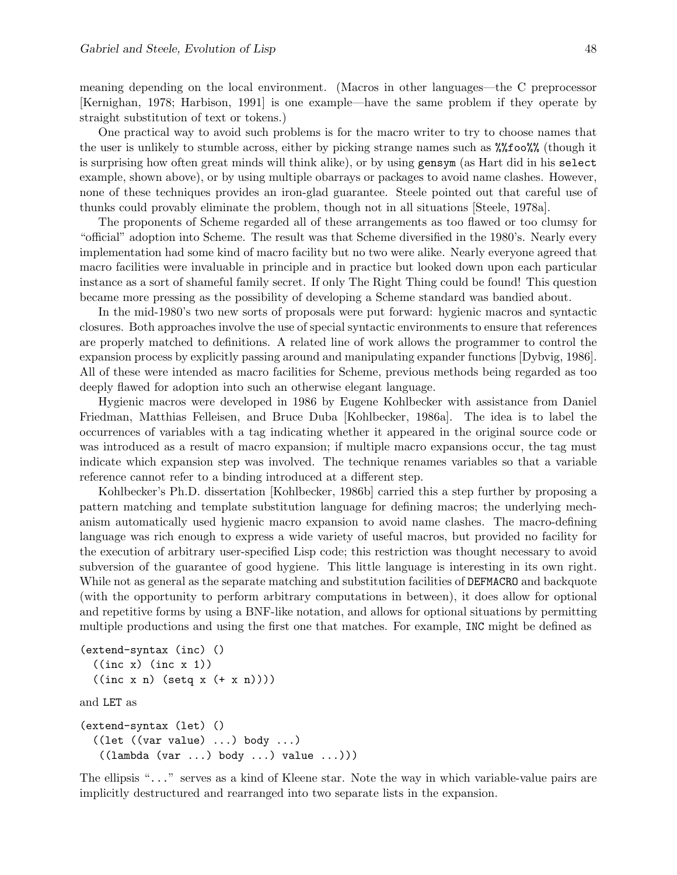meaning depending on the local environment. (Macros in other languages—the C preprocessor [Kernighan, 1978; Harbison, 1991] is one example—have the same problem if they operate by straight substitution of text or tokens.)

One practical way to avoid such problems is for the macro writer to try to choose names that the user is unlikely to stumble across, either by picking strange names such as %%foo%% (though it is surprising how often great minds will think alike), or by using gensym (as Hart did in his select example, shown above), or by using multiple obarrays or packages to avoid name clashes. However, none of these techniques provides an iron-glad guarantee. Steele pointed out that careful use of thunks could provably eliminate the problem, though not in all situations [Steele, 1978a].

The proponents of Scheme regarded all of these arrangements as too flawed or too clumsy for "official" adoption into Scheme. The result was that Scheme diversified in the 1980's. Nearly every implementation had some kind of macro facility but no two were alike. Nearly everyone agreed that macro facilities were invaluable in principle and in practice but looked down upon each particular instance as a sort of shameful family secret. If only The Right Thing could be found! This question became more pressing as the possibility of developing a Scheme standard was bandied about.

In the mid-1980's two new sorts of proposals were put forward: hygienic macros and syntactic closures. Both approaches involve the use of special syntactic environments to ensure that references are properly matched to definitions. A related line of work allows the programmer to control the expansion process by explicitly passing around and manipulating expander functions [Dybvig, 1986]. All of these were intended as macro facilities for Scheme, previous methods being regarded as too deeply flawed for adoption into such an otherwise elegant language.

Hygienic macros were developed in 1986 by Eugene Kohlbecker with assistance from Daniel Friedman, Matthias Felleisen, and Bruce Duba [Kohlbecker, 1986a]. The idea is to label the occurrences of variables with a tag indicating whether it appeared in the original source code or was introduced as a result of macro expansion; if multiple macro expansions occur, the tag must indicate which expansion step was involved. The technique renames variables so that a variable reference cannot refer to a binding introduced at a different step.

Kohlbecker's Ph.D. dissertation [Kohlbecker, 1986b] carried this a step further by proposing a pattern matching and template substitution language for defining macros; the underlying mechanism automatically used hygienic macro expansion to avoid name clashes. The macro-defining language was rich enough to express a wide variety of useful macros, but provided no facility for the execution of arbitrary user-specified Lisp code; this restriction was thought necessary to avoid subversion of the guarantee of good hygiene. This little language is interesting in its own right. While not as general as the separate matching and substitution facilities of **DEFMACRO** and backquote (with the opportunity to perform arbitrary computations in between), it does allow for optional and repetitive forms by using a BNF-like notation, and allows for optional situations by permitting multiple productions and using the first one that matches. For example, INC might be defined as

```
(extend-syntax (inc) ()
  ((inc x) (inc x 1))((inc x n) (setq x (+ x n))))and LET as
(extend-syntax (let) ()
  ((let ((var value) ...) body ...)
   ((lambda (var ...) body ...) value ...)))
```
The ellipsis "..." serves as a kind of Kleene star. Note the way in which variable-value pairs are implicitly destructured and rearranged into two separate lists in the expansion.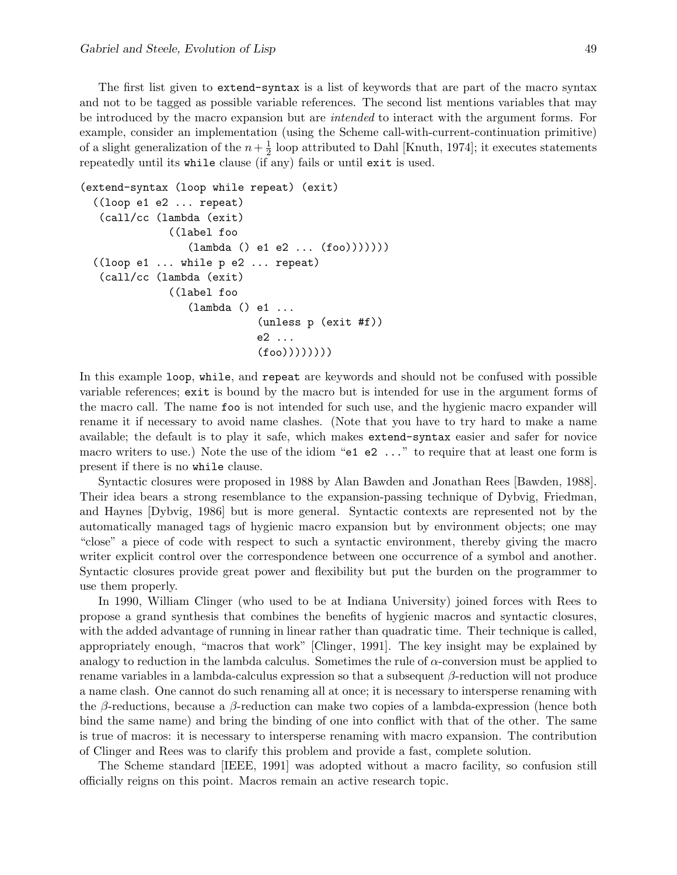```
(extend-syntax (loop while repeat) (exit)
 ((loop e1 e2 ... repeat)
   (call/cc (lambda (exit)
              ((label foo
                 (lambda () e1 e2 ... (foo)))))))
 ((loop e1 ... while p e2 ... repeat)
   (call/cc (lambda (exit)
              ((label foo
                 (lambda () e1 ...
                             (unless p (exit #f))
                             e2 ...
                             (foo))))))))
```
In this example loop, while, and repeat are keywords and should not be confused with possible variable references; exit is bound by the macro but is intended for use in the argument forms of the macro call. The name foo is not intended for such use, and the hygienic macro expander will rename it if necessary to avoid name clashes. (Note that you have to try hard to make a name available; the default is to play it safe, which makes extend-syntax easier and safer for novice macro writers to use.) Note the use of the idiom "e1 e2 ..." to require that at least one form is present if there is no while clause.

Syntactic closures were proposed in 1988 by Alan Bawden and Jonathan Rees [Bawden, 1988]. Their idea bears a strong resemblance to the expansion-passing technique of Dybvig, Friedman, and Haynes [Dybvig, 1986] but is more general. Syntactic contexts are represented not by the automatically managed tags of hygienic macro expansion but by environment objects; one may "close" a piece of code with respect to such a syntactic environment, thereby giving the macro writer explicit control over the correspondence between one occurrence of a symbol and another. Syntactic closures provide great power and flexibility but put the burden on the programmer to use them properly.

In 1990, William Clinger (who used to be at Indiana University) joined forces with Rees to propose a grand synthesis that combines the benefits of hygienic macros and syntactic closures, with the added advantage of running in linear rather than quadratic time. Their technique is called, appropriately enough, "macros that work" [Clinger, 1991]. The key insight may be explained by analogy to reduction in the lambda calculus. Sometimes the rule of *α*-conversion must be applied to rename variables in a lambda-calculus expression so that a subsequent *β*-reduction will not produce a name clash. One cannot do such renaming all at once; it is necessary to intersperse renaming with the *β*-reductions, because a *β*-reduction can make two copies of a lambda-expression (hence both bind the same name) and bring the binding of one into conflict with that of the other. The same is true of macros: it is necessary to intersperse renaming with macro expansion. The contribution of Clinger and Rees was to clarify this problem and provide a fast, complete solution.

The Scheme standard [IEEE, 1991] was adopted without a macro facility, so confusion still officially reigns on this point. Macros remain an active research topic.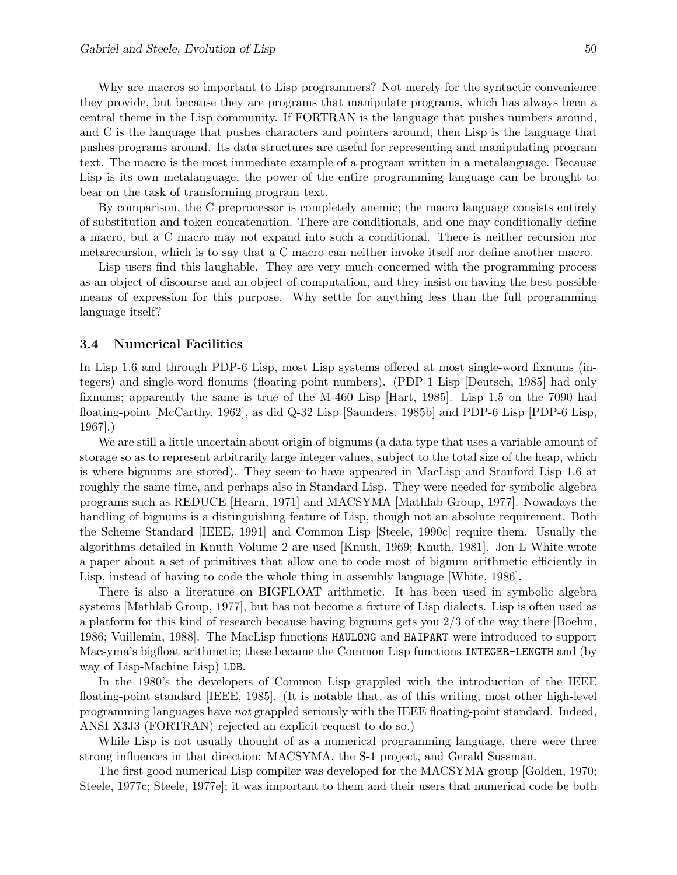Why are macros so important to Lisp programmers? Not merely for the syntactic convenience they provide, but because they are programs that manipulate programs, which has always been a central theme in the Lisp community. If FORTRAN is the language that pushes numbers around, and C is the language that pushes characters and pointers around, then Lisp is the language that pushes programs around. Its data structures are useful for representing and manipulating program text. The macro is the most immediate example of a program written in a metalanguage. Because Lisp is its own metalanguage, the power of the entire programming language can be brought to bear on the task of transforming program text.

By comparison, the C preprocessor is completely anemic; the macro language consists entirely of substitution and token concatenation. There are conditionals, and one may conditionally define a macro, but a C macro may not expand into such a conditional. There is neither recursion nor metarecursion, which is to say that a C macro can neither invoke itself nor define another macro.

Lisp users find this laughable. They are very much concerned with the programming process as an object of discourse and an object of computation, and they insist on having the best possible means of expression for this purpose. Why settle for anything less than the full programming language itself?

#### **3.4 Numerical Facilities**

In Lisp 1.6 and through PDP-6 Lisp, most Lisp systems offered at most single-word fixnums (integers) and single-word flonums (floating-point numbers). (PDP-1 Lisp [Deutsch, 1985] had only fixnums; apparently the same is true of the M-460 Lisp [Hart, 1985]. Lisp 1.5 on the 7090 had floating-point [McCarthy, 1962], as did Q-32 Lisp [Saunders, 1985b] and PDP-6 Lisp [PDP-6 Lisp, 1967].)

We are still a little uncertain about origin of bignums (a data type that uses a variable amount of storage so as to represent arbitrarily large integer values, subject to the total size of the heap, which is where bignums are stored). They seem to have appeared in MacLisp and Stanford Lisp 1.6 at roughly the same time, and perhaps also in Standard Lisp. They were needed for symbolic algebra programs such as REDUCE [Hearn, 1971] and MACSYMA [MathlabGroup, 1977]. Nowadays the handling of bignums is a distinguishing feature of Lisp, though not an absolute requirement. Both the Scheme Standard [IEEE, 1991] and Common Lisp [Steele, 1990c] require them. Usually the algorithms detailed in Knuth Volume 2 are used [Knuth, 1969; Knuth, 1981]. Jon L White wrote a paper about a set of primitives that allow one to code most of bignum arithmetic efficiently in Lisp, instead of having to code the whole thing in assembly language [White, 1986].

There is also a literature on BIGFLOAT arithmetic. It has been used in symbolic algebra systems [Mathlab Group, 1977], but has not become a fixture of Lisp dialects. Lisp is often used as a platform for this kind of research because having bignums gets you 2/3 of the way there [Boehm, 1986; Vuillemin, 1988]. The MacLisp functions HAULONG and HAIPART were introduced to support Macsyma's bigfloat arithmetic; these became the Common Lisp functions INTEGER-LENGTH and (by way of Lisp-Machine Lisp) LDB.

In the 1980's the developers of Common Lisp grappled with the introduction of the IEEE floating-point standard [IEEE, 1985]. (It is notable that, as of this writing, most other high-level programming languages have not grappled seriously with the IEEE floating-point standard. Indeed, ANSI X3J3 (FORTRAN) rejected an explicit request to do so.)

While Lisp is not usually thought of as a numerical programming language, there were three strong influences in that direction: MACSYMA, the S-1 project, and Gerald Sussman.

The first good numerical Lisp compiler was developed for the MACSYMA group [Golden, 1970; Steele, 1977c; Steele, 1977e]; it was important to them and their users that numerical code be both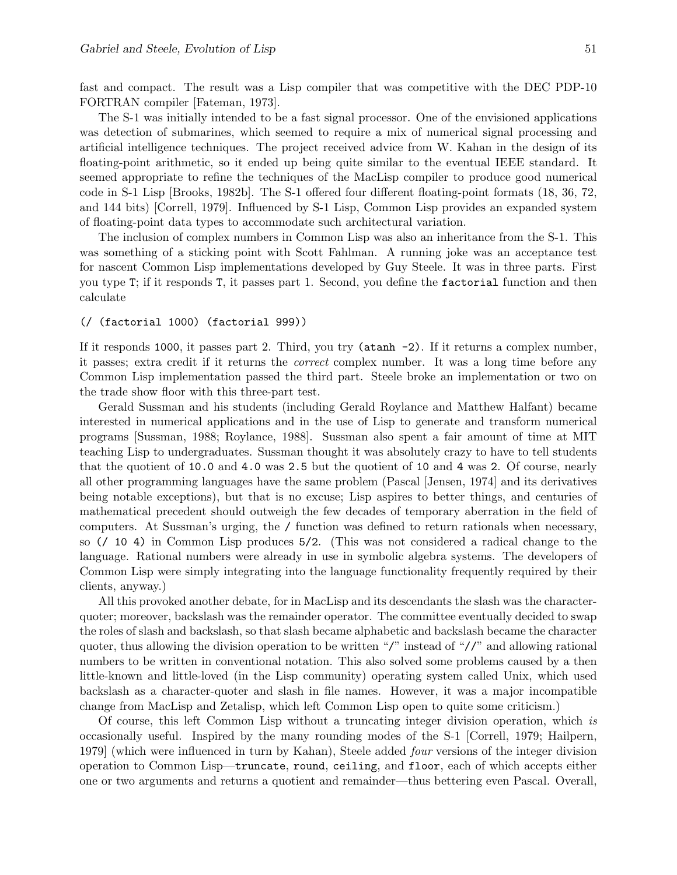FORTRAN compiler [Fateman, 1973].

The S-1 was initially intended to be a fast signal processor. One of the envisioned applications was detection of submarines, which seemed to require a mix of numerical signal processing and artificial intelligence techniques. The project received advice from W. Kahan in the design of its floating-point arithmetic, so it ended up being quite similar to the eventual IEEE standard. It seemed appropriate to refine the techniques of the MacLisp compiler to produce good numerical code in S-1 Lisp [Brooks, 1982b]. The S-1 offered four different floating-point formats (18, 36, 72, and 144 bits) [Correll, 1979]. Influenced by S-1 Lisp, Common Lisp provides an expanded system of floating-point data types to accommodate such architectural variation.

The inclusion of complex numbers in Common Lisp was also an inheritance from the S-1. This was something of a sticking point with Scott Fahlman. A running joke was an acceptance test for nascent Common Lisp implementations developed by Guy Steele. It was in three parts. First you type T; if it responds T, it passes part 1. Second, you define the factorial function and then calculate

## (/ (factorial 1000) (factorial 999))

If it responds 1000, it passes part 2. Third, you try (atanh -2). If it returns a complex number, it passes; extra credit if it returns the correct complex number. It was a long time before any Common Lisp implementation passed the third part. Steele broke an implementation or two on the trade show floor with this three-part test.

Gerald Sussman and his students (including Gerald Roylance and Matthew Halfant) became interested in numerical applications and in the use of Lisp to generate and transform numerical programs [Sussman, 1988; Roylance, 1988]. Sussman also spent a fair amount of time at MIT teaching Lisp to undergraduates. Sussman thought it was absolutely crazy to have to tell students that the quotient of 10.0 and 4.0 was 2.5 but the quotient of 10 and 4 was 2. Of course, nearly all other programming languages have the same problem (Pascal [Jensen, 1974] and its derivatives being notable exceptions), but that is no excuse; Lisp aspires to better things, and centuries of mathematical precedent should outweigh the few decades of temporary aberration in the field of computers. At Sussman's urging, the / function was defined to return rationals when necessary, so (/ 10 4) in Common Lisp produces 5/2. (This was not considered a radical change to the language. Rational numbers were already in use in symbolic algebra systems. The developers of Common Lisp were simply integrating into the language functionality frequently required by their clients, anyway.)

All this provoked another debate, for in MacLisp and its descendants the slash was the characterquoter; moreover, backslash was the remainder operator. The committee eventually decided to swap the roles of slash and backslash, so that slash became alphabetic and backslash became the character quoter, thus allowing the division operation to be written "/" instead of "//" and allowing rational numbers to be written in conventional notation. This also solved some problems caused by a then little-known and little-loved (in the Lisp community) operating system called Unix, which used backslash as a character-quoter and slash in file names. However, it was a major incompatible change from MacLisp and Zetalisp, which left Common Lisp open to quite some criticism.)

Of course, this left Common Lisp without a truncating integer division operation, which is occasionally useful. Inspired by the many rounding modes of the S-1 [Correll, 1979; Hailpern, 1979] (which were influenced in turn by Kahan), Steele added four versions of the integer division operation to Common Lisp—truncate, round, ceiling, and floor, each of which accepts either one or two arguments and returns a quotient and remainder—thus bettering even Pascal. Overall,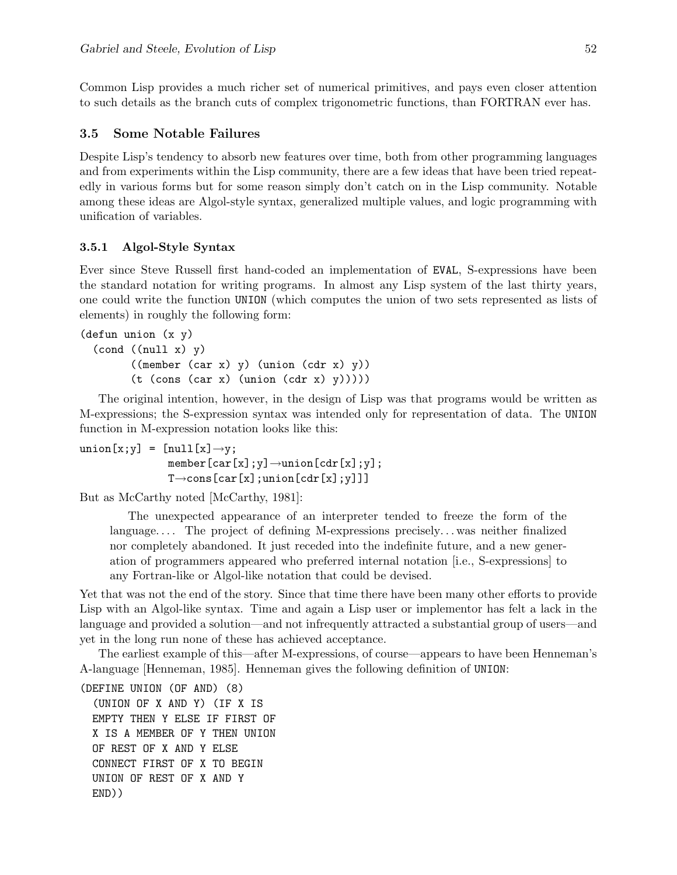Common Lisp provides a much richer set of numerical primitives, and pays even closer attention to such details as the branch cuts of complex trigonometric functions, than FORTRAN ever has.

## **3.5 Some Notable Failures**

Despite Lisp's tendency to absorb new features over time, both from other programming languages and from experiments within the Lisp community, there are a few ideas that have been tried repeatedly in various forms but for some reason simply don't catch on in the Lisp community. Notable among these ideas are Algol-style syntax, generalized multiple values, and logic programming with unification of variables.

## **3.5.1 Algol-Style Syntax**

Ever since Steve Russell first hand-coded an implementation of EVAL, S-expressions have been the standard notation for writing programs. In almost any Lisp system of the last thirty years, one could write the function UNION (which computes the union of two sets represented as lists of elements) in roughly the following form:

```
(defun union (x y)
  \text{(cond (null x) y)}((member (car x) y) (union (cdr x) y))(t (cons (car x) (union (cdr x) y))))
```
The original intention, however, in the design of Lisp was that programs would be written as M-expressions; the S-expression syntax was intended only for representation of data. The UNION function in M-expression notation looks like this:

```
union[x; y] = [null[x] \rightarrow y;member[car[x];y]\rightarrowunion[cdr[x];y];
                  T\rightarrowcons[car[x];union[cdr[x];y]]]
```
But as McCarthy noted [McCarthy, 1981]:

The unexpected appearance of an interpreter tended to freeze the form of the language*...* . The project of defining M-expressions precisely*...* was neither finalized nor completely abandoned. It just receded into the indefinite future, and a new generation of programmers appeared who preferred internal notation [i.e., S-expressions] to any Fortran-like or Algol-like notation that could be devised.

Yet that was not the end of the story. Since that time there have been many other efforts to provide Lisp with an Algol-like syntax. Time and again a Lisp user or implementor has felt a lack in the language and provided a solution—and not infrequently attracted a substantial group of users—and yet in the long run none of these has achieved acceptance.

The earliest example of this—after M-expressions, of course—appears to have been Henneman's A-language [Henneman, 1985]. Henneman gives the following definition of UNION:

```
(DEFINE UNION (OF AND) (8)
 (UNION OF X AND Y) (IF X IS
 EMPTY THEN Y ELSE IF FIRST OF
 X IS A MEMBER OF Y THEN UNION
 OF REST OF X AND Y ELSE
 CONNECT FIRST OF X TO BEGIN
 UNION OF REST OF X AND Y
 END))
```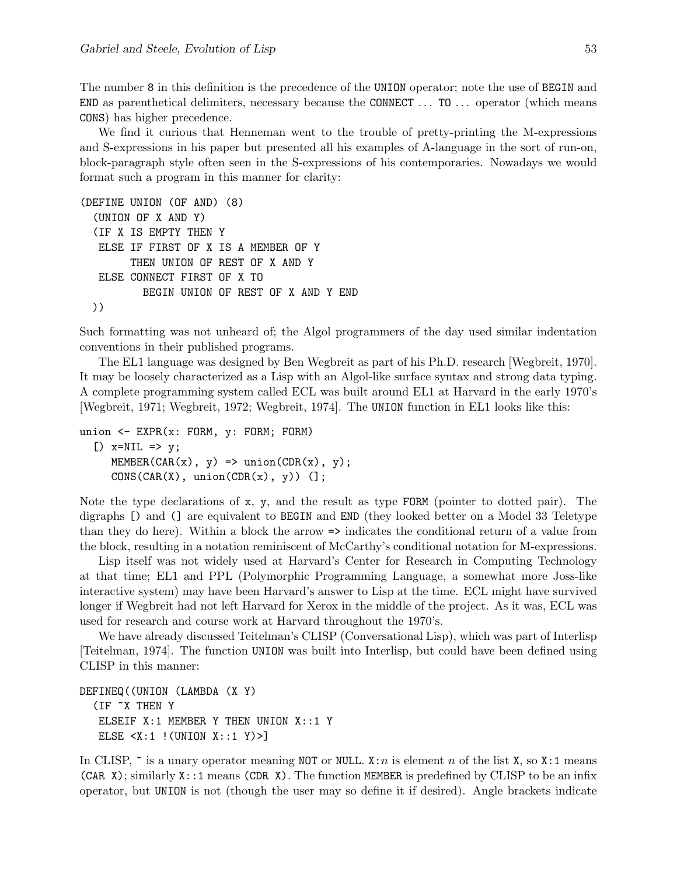The number 8 in this definition is the precedence of the UNION operator; note the use of BEGIN and END as parenthetical delimiters, necessary because the CONNECT ... TO ... operator (which means CONS) has higher precedence.

We find it curious that Henneman went to the trouble of pretty-printing the M-expressions and S-expressions in his paper but presented all his examples of A-language in the sort of run-on, block-paragraph style often seen in the S-expressions of his contemporaries. Nowadays we would format such a program in this manner for clarity:

```
(DEFINE UNION (OF AND) (8)
 (UNION OF X AND Y)
 (IF X IS EMPTY THEN Y
  ELSE IF FIRST OF X IS A MEMBER OF Y
        THEN UNION OF REST OF X AND Y
  ELSE CONNECT FIRST OF X TO
         BEGIN UNION OF REST OF X AND Y END
 ))
```
Such formatting was not unheard of; the Algol programmers of the day used similar indentation conventions in their published programs.

The EL1 language was designed by Ben Wegbreit as part of his Ph.D. research [Wegbreit, 1970]. It may be loosely characterized as a Lisp with an Algol-like surface syntax and strong data typing. A complete programming system called ECL was built around EL1 at Harvard in the early 1970's [Wegbreit, 1971; Wegbreit, 1972; Wegbreit, 1974]. The UNION function in EL1 looks like this:

```
union <- EXPR(x: FORM, y: FORM; FORM)
  [) x=NIL => y;
     MEMBER(CAR(x), y) \implies union(CDR(x), y);CONS(CAR(X), union(CDR(x), y)) (];
```
Note the type declarations of x, y, and the result as type FORM (pointer to dotted pair). The digraphs [) and (] are equivalent to BEGIN and END (they looked better on a Model 33 Teletype than they do here). Within a block the arrow => indicates the conditional return of a value from the block, resulting in a notation reminiscent of McCarthy's conditional notation for M-expressions.

Lisp itself was not widely used at Harvard's Center for Research in Computing Technology at that time; EL1 and PPL (Polymorphic Programming Language, a somewhat more Joss-like interactive system) may have been Harvard's answer to Lisp at the time. ECL might have survived longer if Wegbreit had not left Harvard for Xerox in the middle of the project. As it was, ECL was used for research and course work at Harvard throughout the 1970's.

We have already discussed Teitelman's CLISP (Conversational Lisp), which was part of Interlisp [Teitelman, 1974]. The function UNION was built into Interlisp, but could have been defined using CLISP in this manner:

```
DEFINEQ((UNION (LAMBDA (X Y)
  (IF ~X THEN Y
   ELSEIF X:1 MEMBER Y THEN UNION X::1 Y
   ELSE \langle X:1 \rangle ! (UNION X:1 \rangle) >]
```
In CLISP,  $\tilde{ }$  is a unary operator meaning NOT or NULL. X: *n* is element *n* of the list X, so X:1 means (CAR X); similarly  $X:1$  means (CDR X). The function MEMBER is predefined by CLISP to be an infix operator, but UNION is not (though the user may so define it if desired). Angle brackets indicate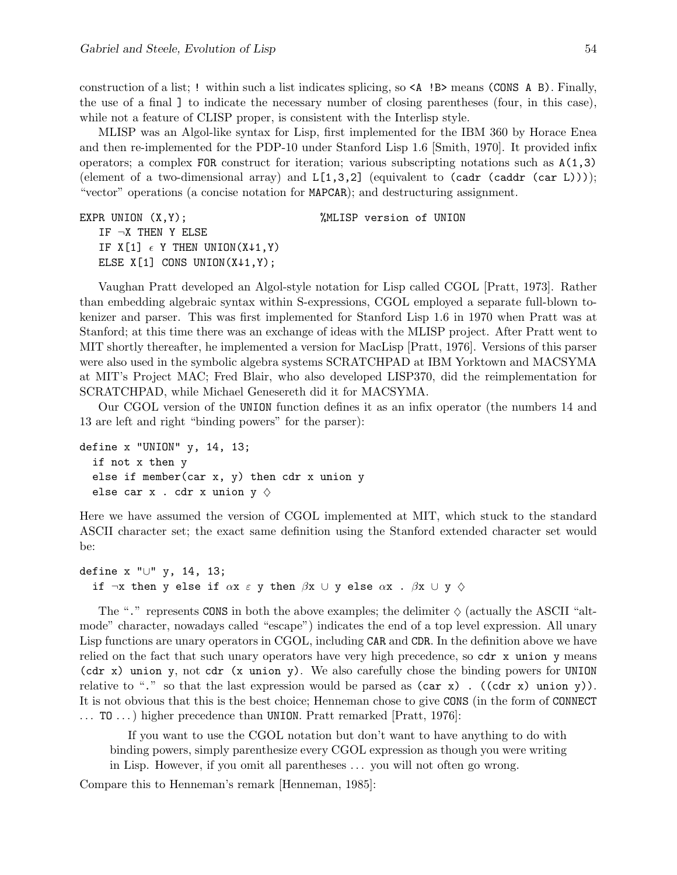construction of a list; ! within such a list indicates splicing, so <A !B> means (CONS A B). Finally, the use of a final ] to indicate the necessary number of closing parentheses (four, in this case), while not a feature of CLISP proper, is consistent with the Interlisp style.

MLISP was an Algol-like syntax for Lisp, first implemented for the IBM 360 by Horace Enea and then re-implemented for the PDP-10 under Stanford Lisp 1.6 [Smith, 1970]. It provided infix operators; a complex FOR construct for iteration; various subscripting notations such as A(1,3) (element of a two-dimensional array) and  $L[1,3,2]$  (equivalent to (cadr (caddr (car L)))); "vector" operations (a concise notation for MAPCAR); and destructuring assignment.

```
EXPR UNION (X, Y); \qquad \qquad \text{WLLISP version of UNION}IF ¬X THEN Y ELSE
   IF X[1] \in Y THEN UNION(X\downarrow1,Y)
   ELSE X[1] CONS UNION(X+1,Y);
```
Vaughan Pratt developed an Algol-style notation for Lisp called CGOL [Pratt, 1973]. Rather than embedding algebraic syntax within S-expressions, CGOL employed a separate full-blown tokenizer and parser. This was first implemented for Stanford Lisp 1.6 in 1970 when Pratt was at Stanford; at this time there was an exchange of ideas with the MLISP project. After Pratt went to MIT shortly thereafter, he implemented a version for MacLisp [Pratt, 1976]. Versions of this parser were also used in the symbolic algebra systems SCRATCHPAD at IBM Yorktown and MACSYMA at MIT's Project MAC; Fred Blair, who also developed LISP370, did the reimplementation for SCRATCHPAD, while Michael Genesereth did it for MACSYMA.

Our CGOL version of the UNION function defines it as an infix operator (the numbers 14 and 13 are left and right "binding powers" for the parser):

```
define x "UNION" y, 14, 13;
  if not x then y
  else if member(car x, y) then cdr x union y
  else car x . cdr x union y \Diamond
```
Here we have assumed the version of CGOL implemented at MIT, which stuck to the standard ASCII character set; the exact same definition using the Stanford extended character set would be:

```
define x "∪" y, 14, 13;
   if \neg x then y else if \alpha x \in y then \beta x \cup y else \alpha x . \beta x \cup y \diamond
```
The "." represents CONS in both the above examples; the delimiter  $\Diamond$  (actually the ASCII "altmode" character, nowadays called "escape") indicates the end of a top level expression. All unary Lisp functions are unary operators in CGOL, including CAR and CDR. In the definition above we have relied on the fact that such unary operators have very high precedence, so  $\text{cdr } x$  union y means (cdr x) union y, not cdr (x union y). We also carefully chose the binding powers for UNION relative to "." so that the last expression would be parsed as  $(car x)$ .  $((cdr x) union y)$ . It is not obvious that this is the best choice; Henneman chose to give CONS (in the form of CONNECT *...* TO *...*) higher precedence than UNION. Pratt remarked [Pratt, 1976]:

If you want to use the CGOL notation but don't want to have anything to do with binding powers, simply parenthesize every CGOL expression as though you were writing in Lisp. However, if you omit all parentheses *...* you will not often go wrong.

Compare this to Henneman's remark [Henneman, 1985]: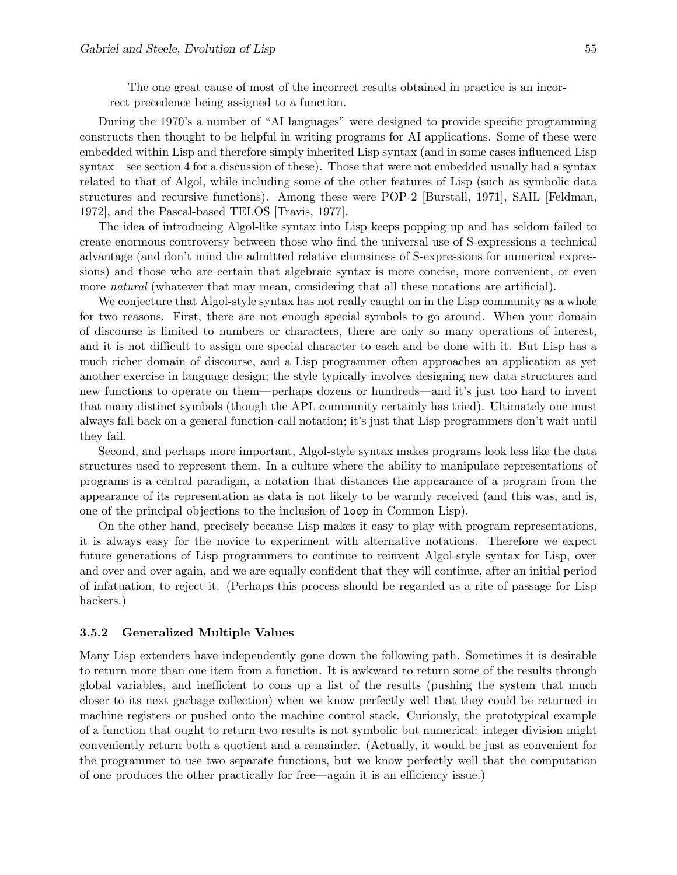The one great cause of most of the incorrect results obtained in practice is an incorrect precedence being assigned to a function.

During the 1970's a number of "AI languages" were designed to provide specific programming constructs then thought to be helpful in writing programs for AI applications. Some of these were embedded within Lisp and therefore simply inherited Lisp syntax (and in some cases influenced Lisp syntax—see section 4 for a discussion of these). Those that were not embedded usually had a syntax related to that of Algol, while including some of the other features of Lisp (such as symbolic data structures and recursive functions). Among these were POP-2 [Burstall, 1971], SAIL [Feldman, 1972], and the Pascal-based TELOS [Travis, 1977].

The idea of introducing Algol-like syntax into Lisp keeps popping up and has seldom failed to create enormous controversy between those who find the universal use of S-expressions a technical advantage (and don't mind the admitted relative clumsiness of S-expressions for numerical expressions) and those who are certain that algebraic syntax is more concise, more convenient, or even more *natural* (whatever that may mean, considering that all these notations are artificial).

We conjecture that Algol-style syntax has not really caught on in the Lisp community as a whole for two reasons. First, there are not enough special symbols to go around. When your domain of discourse is limited to numbers or characters, there are only so many operations of interest, and it is not difficult to assign one special character to each and be done with it. But Lisp has a much richer domain of discourse, and a Lisp programmer often approaches an application as yet another exercise in language design; the style typically involves designing new data structures and new functions to operate on them—perhaps dozens or hundreds—and it's just too hard to invent that many distinct symbols (though the APL community certainly has tried). Ultimately one must always fall back on a general function-call notation; it's just that Lisp programmers don't wait until they fail.

Second, and perhaps more important, Algol-style syntax makes programs look less like the data structures used to represent them. In a culture where the ability to manipulate representations of programs is a central paradigm, a notation that distances the appearance of a program from the appearance of its representation as data is not likely to be warmly received (and this was, and is, one of the principal objections to the inclusion of loop in Common Lisp).

On the other hand, precisely because Lisp makes it easy to play with program representations, it is always easy for the novice to experiment with alternative notations. Therefore we expect future generations of Lisp programmers to continue to reinvent Algol-style syntax for Lisp, over and over and over again, and we are equally confident that they will continue, after an initial period of infatuation, to reject it. (Perhaps this process should be regarded as a rite of passage for Lisp hackers.)

#### **3.5.2 Generalized Multiple Values**

Many Lisp extenders have independently gone down the following path. Sometimes it is desirable to return more than one item from a function. It is awkward to return some of the results through global variables, and inefficient to cons up a list of the results (pushing the system that much closer to its next garbage collection) when we know perfectly well that they could be returned in machine registers or pushed onto the machine control stack. Curiously, the prototypical example of a function that ought to return two results is not symbolic but numerical: integer division might conveniently return both a quotient and a remainder. (Actually, it would be just as convenient for the programmer to use two separate functions, but we know perfectly well that the computation of one produces the other practically for free—again it is an efficiency issue.)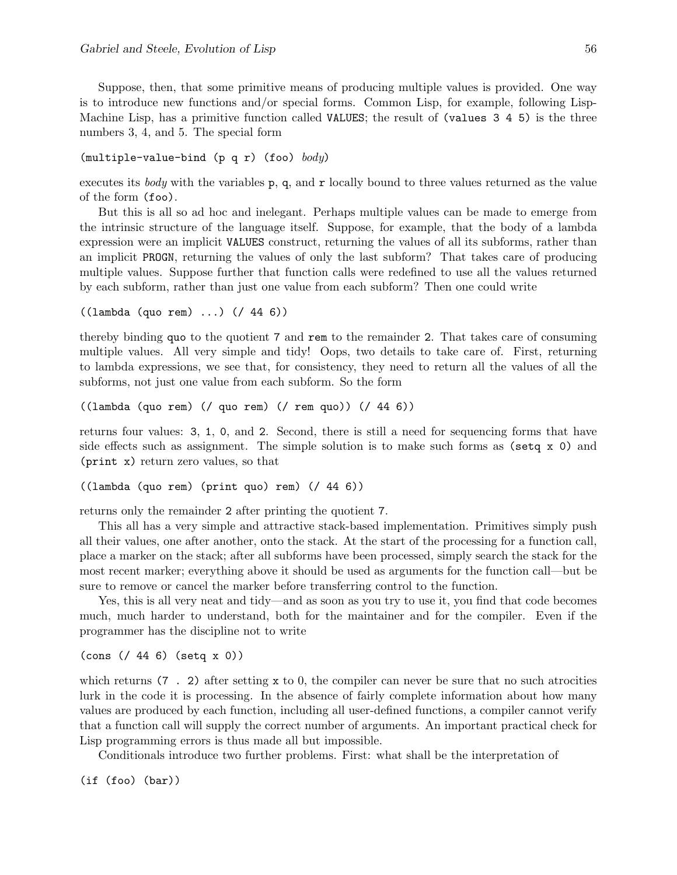Suppose, then, that some primitive means of producing multiple values is provided. One way is to introduce new functions and/or special forms. Common Lisp, for example, following Lisp-Machine Lisp, has a primitive function called VALUES; the result of (values 3 4 5) is the three numbers 3, 4, and 5. The special form

## (multiple-value-bind  $(p q r)$  (foo)  $body$ )

executes its *body* with the variables  $p, q$ , and  $r$  locally bound to three values returned as the value of the form (foo).

But this is all so ad hoc and inelegant. Perhaps multiple values can be made to emerge from the intrinsic structure of the language itself. Suppose, for example, that the body of a lambda expression were an implicit VALUES construct, returning the values of all its subforms, rather than an implicit PROGN, returning the values of only the last subform? That takes care of producing multiple values. Suppose further that function calls were redefined to use all the values returned by each subform, rather than just one value from each subform? Then one could write

```
((lambda (quo rem) ...) (/ 44 6))
```
thereby binding quo to the quotient 7 and rem to the remainder 2. That takes care of consuming multiple values. All very simple and tidy! Oops, two details to take care of. First, returning to lambda expressions, we see that, for consistency, they need to return all the values of all the subforms, not just one value from each subform. So the form

((lambda (quo rem) (/ quo rem) (/ rem quo)) (/ 44 6))

returns four values: 3, 1, 0, and 2. Second, there is still a need for sequencing forms that have side effects such as assignment. The simple solution is to make such forms as (setq  $x$  0) and (print x) return zero values, so that

```
((lambda (quo rem) (print quo) rem) (/ 44 6))
```
returns only the remainder 2 after printing the quotient 7.

This all has a very simple and attractive stack-based implementation. Primitives simply push all their values, one after another, onto the stack. At the start of the processing for a function call, place a marker on the stack; after all subforms have been processed, simply search the stack for the most recent marker; everything above it should be used as arguments for the function call—but be sure to remove or cancel the marker before transferring control to the function.

Yes, this is all very neat and tidy—and as soon as you try to use it, you find that code becomes much, much harder to understand, both for the maintainer and for the compiler. Even if the programmer has the discipline not to write

(cons (/ 44 6) (setq x 0))

which returns  $(7 \tcdot 2)$  after setting x to 0, the compiler can never be sure that no such atrocities lurk in the code it is processing. In the absence of fairly complete information about how many values are produced by each function, including all user-defined functions, a compiler cannot verify that a function call will supply the correct number of arguments. An important practical check for Lisp programming errors is thus made all but impossible.

Conditionals introduce two further problems. First: what shall be the interpretation of

(if (foo) (bar))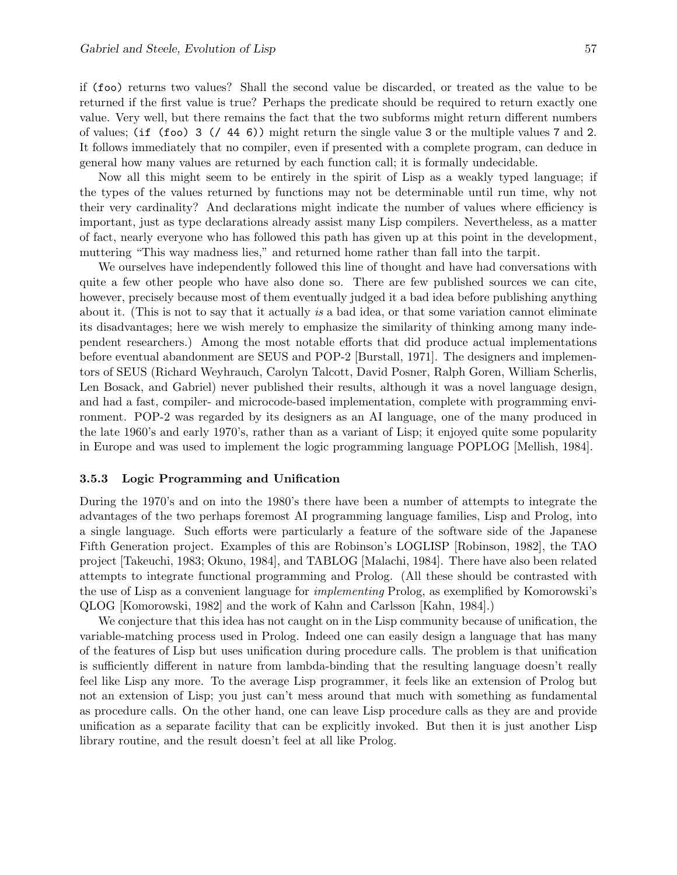if (foo) returns two values? Shall the second value be discarded, or treated as the value to be returned if the first value is true? Perhaps the predicate should be required to return exactly one value. Very well, but there remains the fact that the two subforms might return different numbers of values; (if (foo) 3 (/ 44 6)) might return the single value 3 or the multiple values 7 and 2. It follows immediately that no compiler, even if presented with a complete program, can deduce in general how many values are returned by each function call; it is formally undecidable.

Now all this might seem to be entirely in the spirit of Lisp as a weakly typed language; if the types of the values returned by functions may not be determinable until run time, why not their very cardinality? And declarations might indicate the number of values where efficiency is important, just as type declarations already assist many Lisp compilers. Nevertheless, as a matter of fact, nearly everyone who has followed this path has given up at this point in the development, muttering "This way madness lies," and returned home rather than fall into the tarpit.

We ourselves have independently followed this line of thought and have had conversations with quite a few other people who have also done so. There are few published sources we can cite, however, precisely because most of them eventually judged it a bad idea before publishing anything about it. (This is not to say that it actually is a bad idea, or that some variation cannot eliminate its disadvantages; here we wish merely to emphasize the similarity of thinking among many independent researchers.) Among the most notable efforts that did produce actual implementations before eventual abandonment are SEUS and POP-2 [Burstall, 1971]. The designers and implementors of SEUS (Richard Weyhrauch, Carolyn Talcott, David Posner, Ralph Goren, William Scherlis, Len Bosack, and Gabriel) never published their results, although it was a novel language design, and had a fast, compiler- and microcode-based implementation, complete with programming environment. POP-2 was regarded by its designers as an AI language, one of the many produced in the late 1960's and early 1970's, rather than as a variant of Lisp; it enjoyed quite some popularity in Europe and was used to implement the logic programming language POPLOG [Mellish, 1984].

#### **3.5.3 Logic Programming and Unification**

During the 1970's and on into the 1980's there have been a number of attempts to integrate the advantages of the two perhaps foremost AI programming language families, Lisp and Prolog, into a single language. Such efforts were particularly a feature of the software side of the Japanese Fifth Generation project. Examples of this are Robinson's LOGLISP [Robinson, 1982], the TAO project [Takeuchi, 1983; Okuno, 1984], and TABLOG [Malachi, 1984]. There have also been related attempts to integrate functional programming and Prolog. (All these should be contrasted with the use of Lisp as a convenient language for implementing Prolog, as exemplified by Komorowski's QLOG [Komorowski, 1982] and the work of Kahn and Carlsson [Kahn, 1984].)

We conjecture that this idea has not caught on in the Lisp community because of unification, the variable-matching process used in Prolog. Indeed one can easily design a language that has many of the features of Lisp but uses unification during procedure calls. The problem is that unification is sufficiently different in nature from lambda-binding that the resulting language doesn't really feel like Lisp any more. To the average Lisp programmer, it feels like an extension of Prolog but not an extension of Lisp; you just can't mess around that much with something as fundamental as procedure calls. On the other hand, one can leave Lisp procedure calls as they are and provide unification as a separate facility that can be explicitly invoked. But then it is just another Lisp library routine, and the result doesn't feel at all like Prolog.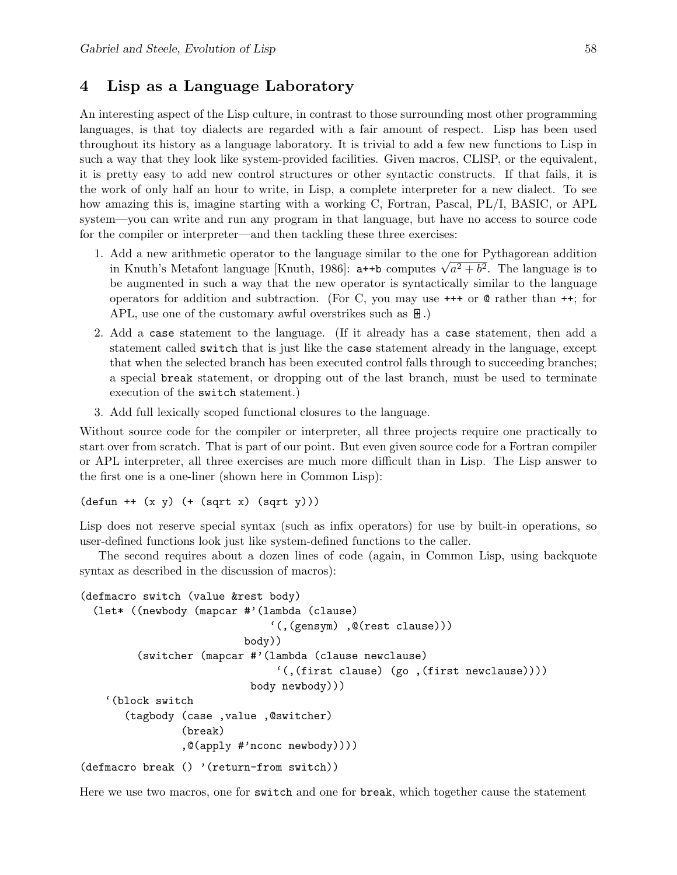# **4 Lisp as a Language Laboratory**

An interesting aspect of the Lisp culture, in contrast to those surrounding most other programming languages, is that toy dialects are regarded with a fair amount of respect. Lisp has been used throughout its history as a language laboratory. It is trivial to add a few new functions to Lisp in such a way that they look like system-provided facilities. Given macros, CLISP, or the equivalent, it is pretty easy to add new control structures or other syntactic constructs. If that fails, it is the work of only half an hour to write, in Lisp, a complete interpreter for a new dialect. To see how amazing this is, imagine starting with a working C, Fortran, Pascal, PL/I, BASIC, or APL system—you can write and run any program in that language, but have no access to source code for the compiler or interpreter—and then tackling these three exercises:

- 1. Add a new arithmetic operator to the language similar to the one for Pythagorean addition in Knuth's Metafont language [Knuth, 1986]:  $a^{++}b$  computes  $\sqrt{a^2 + b^2}$ . The language is to be augmented in such a way that the new operator is syntactically similar to the language operators for addition and subtraction. (For C, you may use +++ or @ rather than ++; for APL, use one of the customary awful overstrikes such as  $\mathbb{H}$ .)
- 2. Add a case statement to the language. (If it already has a case statement, then add a statement called switch that is just like the case statement already in the language, except that when the selected branch has been executed control falls through to succeeding branches; a special break statement, or dropping out of the last branch, must be used to terminate execution of the switch statement.)
- 3. Add full lexically scoped functional closures to the language.

Without source code for the compiler or interpreter, all three projects require one practically to start over from scratch. That is part of our point. But even given source code for a Fortran compiler or APL interpreter, all three exercises are much more difficult than in Lisp. The Lisp answer to the first one is a one-liner (shown here in Common Lisp):

```
(defun ++ (x y) (+ (sqrt x) (sqrt y)))
```
Lisp does not reserve special syntax (such as infix operators) for use by built-in operations, so user-defined functions look just like system-defined functions to the caller.

The second requires about a dozen lines of code (again, in Common Lisp, using backquote syntax as described in the discussion of macros):

```
(defmacro switch (value &rest body)
  (let* ((newbody (mapcar #'(lambda (clause)
                               '(,(gensym) ,@(rest clause)))
                          body))
         (switcher (mapcar #'(lambda (clause newclause)
                                '(,(first clause) (go ,(first newclause))))
                           body newbody)))
    '(block switch
       (tagbody (case ,value ,@switcher)
                (break)
                ,@(apply #'nconc newbody))))
(defmacro break () '(return-from switch))
```
Here we use two macros, one for switch and one for break, which together cause the statement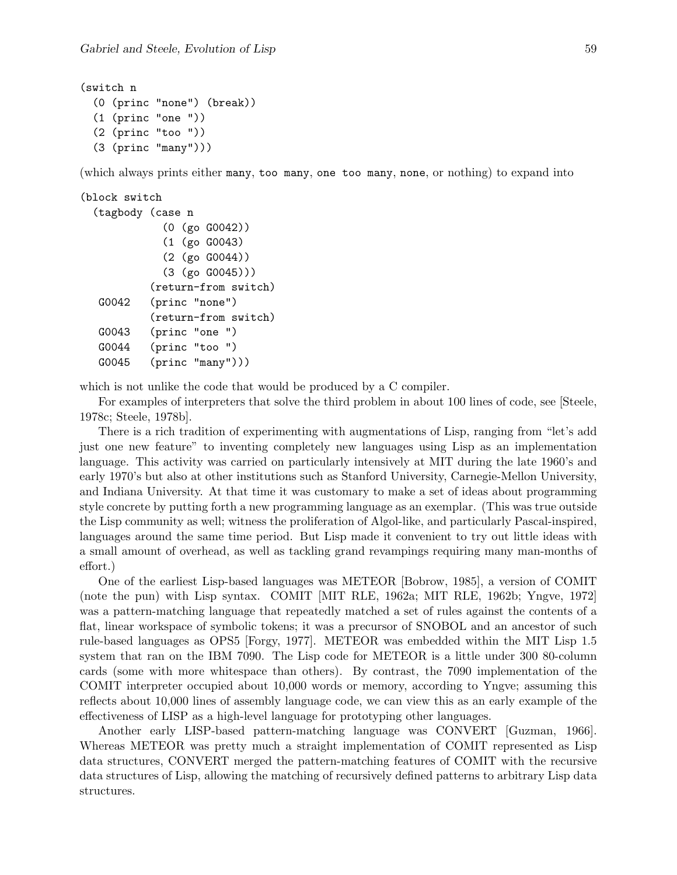```
(switch n
 (0 (princ "none") (break))
 (1 (princ "one "))
 (2 (princ "too "))
 (3 (princ "many")))
```
(which always prints either many, too many, one too many, none, or nothing) to expand into

```
(block switch
  (tagbody (case n
             (0 (go G0042))
             (1 (go G0043)
             (2 (go G0044))
             (3 (go G0045)))
           (return-from switch)
  G0042 (princ "none")
           (return-from switch)
  G0043 (princ "one ")
  G0044 (princ "too ")
  G0045 (princ "many")))
```
which is not unlike the code that would be produced by a C compiler.

For examples of interpreters that solve the third problem in about 100 lines of code, see [Steele, 1978c; Steele, 1978b].

There is a rich tradition of experimenting with augmentations of Lisp, ranging from "let's add just one new feature" to inventing completely new languages using Lisp as an implementation language. This activity was carried on particularly intensively at MIT during the late 1960's and early 1970's but also at other institutions such as Stanford University, Carnegie-Mellon University, and Indiana University. At that time it was customary to make a set of ideas about programming style concrete by putting forth a new programming language as an exemplar. (This was true outside the Lisp community as well; witness the proliferation of Algol-like, and particularly Pascal-inspired, languages around the same time period. But Lisp made it convenient to try out little ideas with a small amount of overhead, as well as tackling grand revampings requiring many man-months of effort.)

One of the earliest Lisp-based languages was METEOR [Bobrow, 1985], a version of COMIT (note the pun) with Lisp syntax. COMIT [MIT RLE, 1962a; MIT RLE, 1962b; Yngve, 1972] was a pattern-matching language that repeatedly matched a set of rules against the contents of a flat, linear workspace of symbolic tokens; it was a precursor of SNOBOL and an ancestor of such rule-based languages as OPS5 [Forgy, 1977]. METEOR was embedded within the MIT Lisp 1.5 system that ran on the IBM 7090. The Lisp code for METEOR is a little under 300 80-column cards (some with more whitespace than others). By contrast, the 7090 implementation of the COMIT interpreter occupied about 10,000 words or memory, according to Yngve; assuming this reflects about 10,000 lines of assembly language code, we can view this as an early example of the effectiveness of LISP as a high-level language for prototyping other languages.

Another early LISP-based pattern-matching language was CONVERT [Guzman, 1966]. Whereas METEOR was pretty much a straight implementation of COMIT represented as Lisp data structures, CONVERT merged the pattern-matching features of COMIT with the recursive data structures of Lisp, allowing the matching of recursively defined patterns to arbitrary Lisp data structures.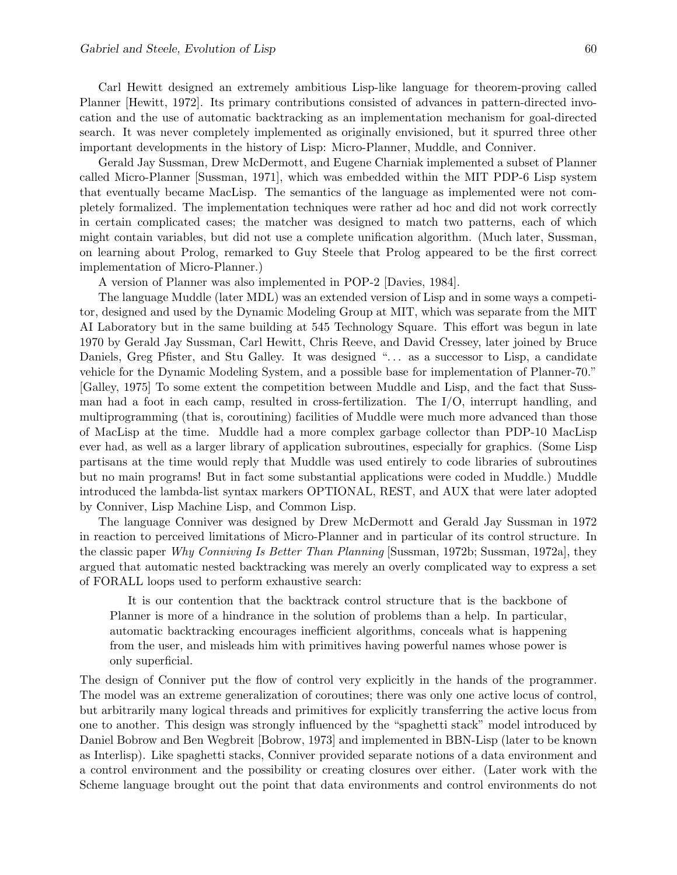Carl Hewitt designed an extremely ambitious Lisp-like language for theorem-proving called Planner [Hewitt, 1972]. Its primary contributions consisted of advances in pattern-directed invocation and the use of automatic backtracking as an implementation mechanism for goal-directed search. It was never completely implemented as originally envisioned, but it spurred three other important developments in the history of Lisp: Micro-Planner, Muddle, and Conniver.

Gerald Jay Sussman, Drew McDermott, and Eugene Charniak implemented a subset of Planner called Micro-Planner [Sussman, 1971], which was embedded within the MIT PDP-6 Lisp system that eventually became MacLisp. The semantics of the language as implemented were not completely formalized. The implementation techniques were rather ad hoc and did not work correctly in certain complicated cases; the matcher was designed to match two patterns, each of which might contain variables, but did not use a complete unification algorithm. (Much later, Sussman, on learning about Prolog, remarked to Guy Steele that Prolog appeared to be the first correct implementation of Micro-Planner.)

A version of Planner was also implemented in POP-2 [Davies, 1984].

The language Muddle (later MDL) was an extended version of Lisp and in some ways a competitor, designed and used by the Dynamic Modeling Group at MIT, which was separate from the MIT AI Laboratory but in the same building at 545 Technology Square. This effort was begun in late 1970 by Gerald Jay Sussman, Carl Hewitt, Chris Reeve, and David Cressey, later joined by Bruce Daniels, Greg Pfister, and Stu Galley. It was designed "*...* as a successor to Lisp, a candidate vehicle for the Dynamic Modeling System, and a possible base for implementation of Planner-70." [Galley, 1975] To some extent the competition between Muddle and Lisp, and the fact that Sussman had a foot in each camp, resulted in cross-fertilization. The I/O, interrupt handling, and multiprogramming (that is, coroutining) facilities of Muddle were much more advanced than those of MacLisp at the time. Muddle had a more complex garbage collector than PDP-10 MacLisp ever had, as well as a larger library of application subroutines, especially for graphics. (Some Lisp partisans at the time would reply that Muddle was used entirely to code libraries of subroutines but no main programs! But in fact some substantial applications were coded in Muddle.) Muddle introduced the lambda-list syntax markers OPTIONAL, REST, and AUX that were later adopted by Conniver, Lisp Machine Lisp, and Common Lisp.

The language Conniver was designed by Drew McDermott and Gerald Jay Sussman in 1972 in reaction to perceived limitations of Micro-Planner and in particular of its control structure. In the classic paper Why Conniving Is Better Than Planning [Sussman, 1972b; Sussman, 1972a], they argued that automatic nested backtracking was merely an overly complicated way to express a set of FORALL loops used to perform exhaustive search:

It is our contention that the backtrack control structure that is the backbone of Planner is more of a hindrance in the solution of problems than a help. In particular, automatic backtracking encourages inefficient algorithms, conceals what is happening from the user, and misleads him with primitives having powerful names whose power is only superficial.

The design of Conniver put the flow of control very explicitly in the hands of the programmer. The model was an extreme generalization of coroutines; there was only one active locus of control, but arbitrarily many logical threads and primitives for explicitly transferring the active locus from one to another. This design was strongly influenced by the "spaghetti stack" model introduced by Daniel Bobrow and Ben Wegbreit [Bobrow, 1973] and implemented in BBN-Lisp (later to be known as Interlisp). Like spaghetti stacks, Conniver provided separate notions of a data environment and a control environment and the possibility or creating closures over either. (Later work with the Scheme language brought out the point that data environments and control environments do not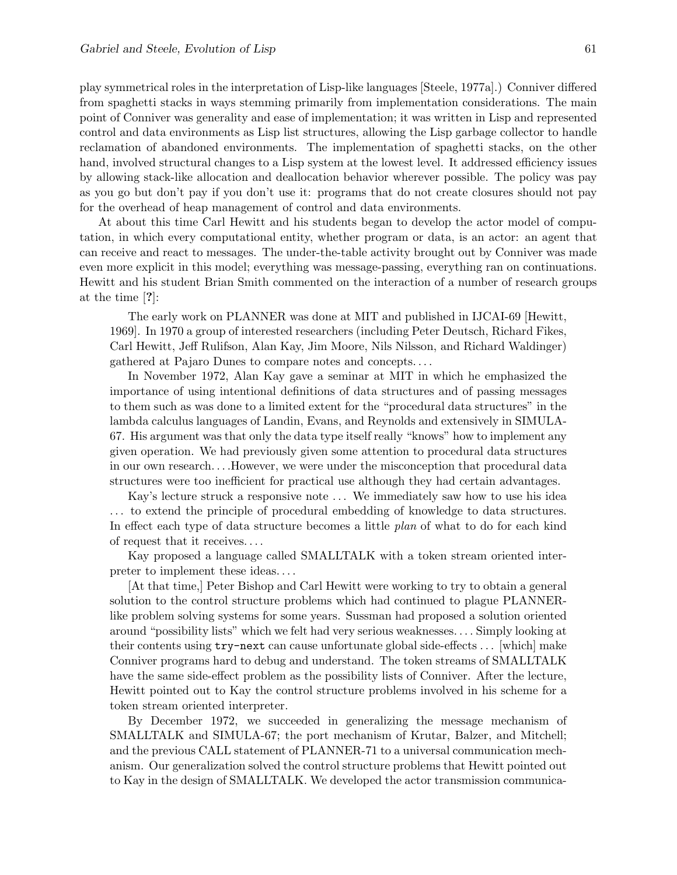play symmetrical roles in the interpretation of Lisp-like languages [Steele, 1977a].) Conniver differed from spaghetti stacks in ways stemming primarily from implementation considerations. The main point of Conniver was generality and ease of implementation; it was written in Lisp and represented control and data environments as Lisp list structures, allowing the Lisp garbage collector to handle reclamation of abandoned environments. The implementation of spaghetti stacks, on the other hand, involved structural changes to a Lisp system at the lowest level. It addressed efficiency issues by allowing stack-like allocation and deallocation behavior wherever possible. The policy was pay as you go but don't pay if you don't use it: programs that do not create closures should not pay for the overhead of heap management of control and data environments.

At about this time Carl Hewitt and his students began to develop the actor model of computation, in which every computational entity, whether program or data, is an actor: an agent that can receive and react to messages. The under-the-table activity brought out by Conniver was made even more explicit in this model; everything was message-passing, everything ran on continuations. Hewitt and his student Brian Smith commented on the interaction of a number of research groups at the time [**?**]:

The early work on PLANNER was done at MIT and published in IJCAI-69 [Hewitt, 1969]. In 1970 a group of interested researchers (including Peter Deutsch, Richard Fikes, Carl Hewitt, Jeff Rulifson, Alan Kay, Jim Moore, Nils Nilsson, and Richard Waldinger) gathered at Pajaro Dunes to compare notes and concepts*....*

In November 1972, Alan Kay gave a seminar at MIT in which he emphasized the importance of using intentional definitions of data structures and of passing messages to them such as was done to a limited extent for the "procedural data structures" in the lambda calculus languages of Landin, Evans, and Reynolds and extensively in SIMULA-67. His argument was that only the data type itself really "knows" how to implement any given operation. We had previously given some attention to procedural data structures in our own research*....*However, we were under the misconception that procedural data structures were too inefficient for practical use although they had certain advantages.

Kay's lecture struck a responsive note *...* We immediately saw how to use his idea *...* to extend the principle of procedural embedding of knowledge to data structures. In effect each type of data structure becomes a little plan of what to do for each kind of request that it receives*....*

Kay proposed a language called SMALLTALK with a token stream oriented interpreter to implement these ideas*....*

[At that time,] Peter Bishop and Carl Hewitt were working to try to obtain a general solution to the control structure problems which had continued to plague PLANNERlike problem solving systems for some years. Sussman had proposed a solution oriented around "possibility lists" which we felt had very serious weaknesses*....* Simply looking at their contents using try-next can cause unfortunate global side-effects *...* [which] make Conniver programs hard to debug and understand. The token streams of SMALLTALK have the same side-effect problem as the possibility lists of Conniver. After the lecture, Hewitt pointed out to Kay the control structure problems involved in his scheme for a token stream oriented interpreter.

By December 1972, we succeeded in generalizing the message mechanism of SMALLTALK and SIMULA-67; the port mechanism of Krutar, Balzer, and Mitchell; and the previous CALL statement of PLANNER-71 to a universal communication mechanism. Our generalization solved the control structure problems that Hewitt pointed out to Kay in the design of SMALLTALK. We developed the actor transmission communica-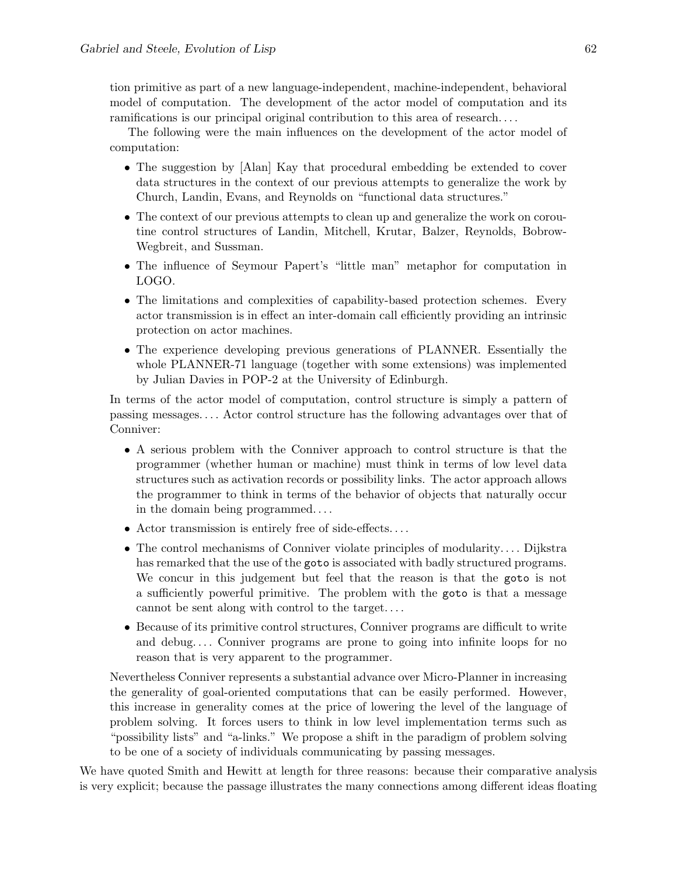tion primitive as part of a new language-independent, machine-independent, behavioral model of computation. The development of the actor model of computation and its ramifications is our principal original contribution to this area of research*....*

The following were the main influences on the development of the actor model of computation:

- The suggestion by [Alan] Kay that procedural embedding be extended to cover data structures in the context of our previous attempts to generalize the work by Church, Landin, Evans, and Reynolds on "functional data structures."
- The context of our previous attempts to clean up and generalize the work on coroutine control structures of Landin, Mitchell, Krutar, Balzer, Reynolds, Bobrow-Wegbreit, and Sussman.
- The influence of Seymour Papert's "little man" metaphor for computation in LOGO.
- The limitations and complexities of capability-based protection schemes. Every actor transmission is in effect an inter-domain call efficiently providing an intrinsic protection on actor machines.
- The experience developing previous generations of PLANNER. Essentially the whole PLANNER-71 language (together with some extensions) was implemented by Julian Davies in POP-2 at the University of Edinburgh.

In terms of the actor model of computation, control structure is simply a pattern of passing messages*....* Actor control structure has the following advantages over that of Conniver:

- A serious problem with the Conniver approach to control structure is that the programmer (whether human or machine) must think in terms of low level data structures such as activation records or possibility links. The actor approach allows the programmer to think in terms of the behavior of objects that naturally occur in the domain being programmed*....*
- Actor transmission is entirely free of side-effects*....*
- The control mechanisms of Conniver violate principles of modularity*....* Dijkstra has remarked that the use of the goto is associated with badly structured programs. We concur in this judgement but feel that the reason is that the goto is not a sufficiently powerful primitive. The problem with the goto is that a message cannot be sent along with control to the target*....*
- Because of its primitive control structures, Conniver programs are difficult to write and debug*....* Conniver programs are prone to going into infinite loops for no reason that is very apparent to the programmer.

Nevertheless Conniver represents a substantial advance over Micro-Planner in increasing the generality of goal-oriented computations that can be easily performed. However, this increase in generality comes at the price of lowering the level of the language of problem solving. It forces users to think in low level implementation terms such as "possibility lists" and "a-links." We propose a shift in the paradigm of problem solving to be one of a society of individuals communicating by passing messages.

We have quoted Smith and Hewitt at length for three reasons: because their comparative analysis is very explicit; because the passage illustrates the many connections among different ideas floating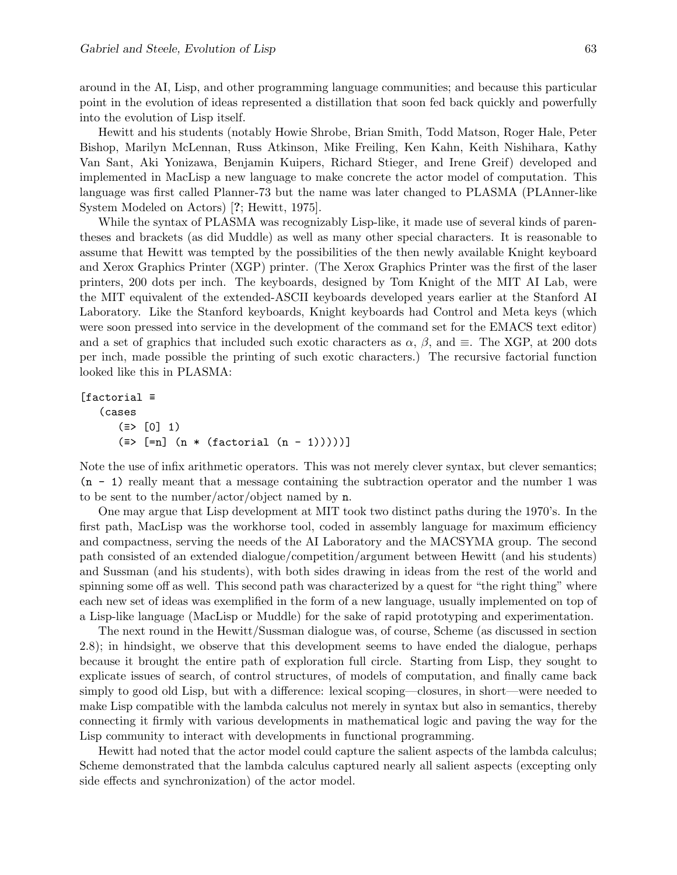around in the AI, Lisp, and other programming language communities; and because this particular point in the evolution of ideas represented a distillation that soon fed back quickly and powerfully into the evolution of Lisp itself.

Hewitt and his students (notably Howie Shrobe, Brian Smith, Todd Matson, Roger Hale, Peter Bishop, Marilyn McLennan, Russ Atkinson, Mike Freiling, Ken Kahn, Keith Nishihara, Kathy Van Sant, Aki Yonizawa, Benjamin Kuipers, Richard Stieger, and Irene Greif) developed and implemented in MacLisp a new language to make concrete the actor model of computation. This language was first called Planner-73 but the name was later changed to PLASMA (PLAnner-like System Modeled on Actors) [**?**; Hewitt, 1975].

While the syntax of PLASMA was recognizably Lisp-like, it made use of several kinds of parentheses and brackets (as did Muddle) as well as many other special characters. It is reasonable to assume that Hewitt was tempted by the possibilities of the then newly available Knight keyboard and Xerox Graphics Printer (XGP) printer. (The Xerox Graphics Printer was the first of the laser printers, 200 dots per inch. The keyboards, designed by Tom Knight of the MIT AI Lab, were the MIT equivalent of the extended-ASCII keyboards developed years earlier at the Stanford AI Laboratory. Like the Stanford keyboards, Knight keyboards had Control and Meta keys (which were soon pressed into service in the development of the command set for the EMACS text editor) and a set of graphics that included such exotic characters as  $\alpha$ ,  $\beta$ , and  $\equiv$ . The XGP, at 200 dots per inch, made possible the printing of such exotic characters.) The recursive factorial function looked like this in PLASMA:

```
[factorial =(cases
       (\equiv > [0] 1)(\equiv > [m] (n * (factorial (n - 1)))))]
```
Note the use of infix arithmetic operators. This was not merely clever syntax, but clever semantics; (n - 1) really meant that a message containing the subtraction operator and the number 1 was to be sent to the number/actor/object named by n.

One may argue that Lisp development at MIT took two distinct paths during the 1970's. In the first path, MacLisp was the workhorse tool, coded in assembly language for maximum efficiency and compactness, serving the needs of the AI Laboratory and the MACSYMA group. The second path consisted of an extended dialogue/competition/argument between Hewitt (and his students) and Sussman (and his students), with both sides drawing in ideas from the rest of the world and spinning some off as well. This second path was characterized by a quest for "the right thing" where each new set of ideas was exemplified in the form of a new language, usually implemented on top of a Lisp-like language (MacLisp or Muddle) for the sake of rapid prototyping and experimentation.

The next round in the Hewitt/Sussman dialogue was, of course, Scheme (as discussed in section 2.8); in hindsight, we observe that this development seems to have ended the dialogue, perhaps because it brought the entire path of exploration full circle. Starting from Lisp, they sought to explicate issues of search, of control structures, of models of computation, and finally came back simply to good old Lisp, but with a difference: lexical scoping—closures, in short—were needed to make Lisp compatible with the lambda calculus not merely in syntax but also in semantics, thereby connecting it firmly with various developments in mathematical logic and paving the way for the Lisp community to interact with developments in functional programming.

Hewitt had noted that the actor model could capture the salient aspects of the lambda calculus; Scheme demonstrated that the lambda calculus captured nearly all salient aspects (excepting only side effects and synchronization) of the actor model.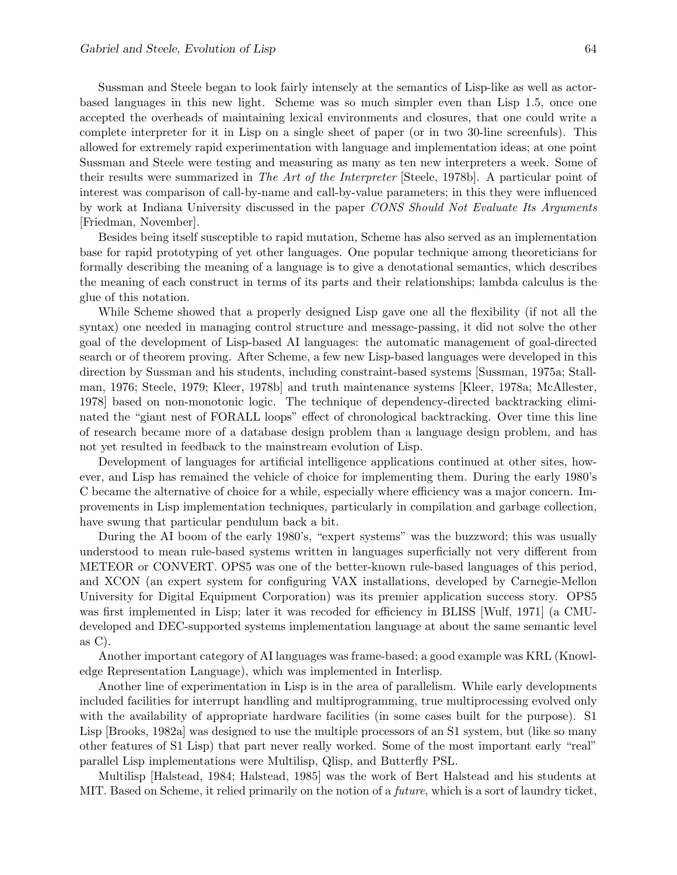Sussman and Steele began to look fairly intensely at the semantics of Lisp-like as well as actorbased languages in this new light. Scheme was so much simpler even than Lisp 1.5, once one accepted the overheads of maintaining lexical environments and closures, that one could write a complete interpreter for it in Lisp on a single sheet of paper (or in two 30-line screenfuls). This allowed for extremely rapid experimentation with language and implementation ideas; at one point Sussman and Steele were testing and measuring as many as ten new interpreters a week. Some of their results were summarized in The Art of the Interpreter [Steele, 1978b]. A particular point of interest was comparison of call-by-name and call-by-value parameters; in this they were influenced by work at Indiana University discussed in the paper CONS Should Not Evaluate Its Arguments [Friedman, November].

Besides being itself susceptible to rapid mutation, Scheme has also served as an implementation base for rapid prototyping of yet other languages. One popular technique among theoreticians for formally describing the meaning of a language is to give a denotational semantics, which describes the meaning of each construct in terms of its parts and their relationships; lambda calculus is the glue of this notation.

While Scheme showed that a properly designed Lisp gave one all the flexibility (if not all the syntax) one needed in managing control structure and message-passing, it did not solve the other goal of the development of Lisp-based AI languages: the automatic management of goal-directed search or of theorem proving. After Scheme, a few new Lisp-based languages were developed in this direction by Sussman and his students, including constraint-based systems [Sussman, 1975a; Stallman, 1976; Steele, 1979; Kleer, 1978b] and truth maintenance systems [Kleer, 1978a; McAllester, 1978] based on non-monotonic logic. The technique of dependency-directed backtracking eliminated the "giant nest of FORALL loops" effect of chronological backtracking. Over time this line of research became more of a database design problem than a language design problem, and has not yet resulted in feedback to the mainstream evolution of Lisp.

Development of languages for artificial intelligence applications continued at other sites, however, and Lisp has remained the vehicle of choice for implementing them. During the early 1980's C became the alternative of choice for a while, especially where efficiency was a major concern. Improvements in Lisp implementation techniques, particularly in compilation and garbage collection, have swung that particular pendulum back a bit.

During the AI boom of the early 1980's, "expert systems" was the buzzword; this was usually understood to mean rule-based systems written in languages superficially not very different from METEOR or CONVERT. OPS5 was one of the better-known rule-based languages of this period, and XCON (an expert system for configuring VAX installations, developed by Carnegie-Mellon University for Digital Equipment Corporation) was its premier application success story. OPS5 was first implemented in Lisp; later it was recoded for efficiency in BLISS [Wulf, 1971] (a CMUdeveloped and DEC-supported systems implementation language at about the same semantic level as  $C$ ).

Another important category of AI languages was frame-based; a good example was KRL (Knowledge Representation Language), which was implemented in Interlisp.

Another line of experimentation in Lisp is in the area of parallelism. While early developments included facilities for interrupt handling and multiprogramming, true multiprocessing evolved only with the availability of appropriate hardware facilities (in some cases built for the purpose). S1 Lisp [Brooks, 1982a] was designed to use the multiple processors of an S1 system, but (like so many other features of S1 Lisp) that part never really worked. Some of the most important early "real" parallel Lisp implementations were Multilisp, Qlisp, and Butterfly PSL.

Multilisp [Halstead, 1984; Halstead, 1985] was the work of Bert Halstead and his students at MIT. Based on Scheme, it relied primarily on the notion of a *future*, which is a sort of laundry ticket,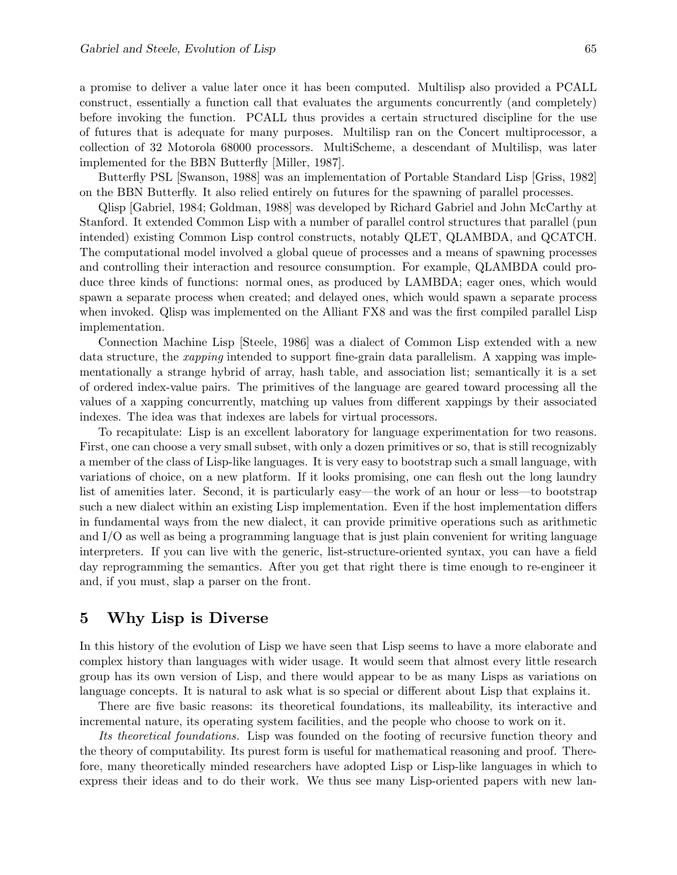a promise to deliver a value later once it has been computed. Multilisp also provided a PCALL construct, essentially a function call that evaluates the arguments concurrently (and completely) before invoking the function. PCALL thus provides a certain structured discipline for the use of futures that is adequate for many purposes. Multilisp ran on the Concert multiprocessor, a collection of 32 Motorola 68000 processors. MultiScheme, a descendant of Multilisp, was later implemented for the BBN Butterfly [Miller, 1987].

Butterfly PSL [Swanson, 1988] was an implementation of Portable Standard Lisp [Griss, 1982] on the BBN Butterfly. It also relied entirely on futures for the spawning of parallel processes.

Qlisp [Gabriel, 1984; Goldman, 1988] was developed by Richard Gabriel and John McCarthy at Stanford. It extended Common Lisp with a number of parallel control structures that parallel (pun intended) existing Common Lisp control constructs, notably QLET, QLAMBDA, and QCATCH. The computational model involved a global queue of processes and a means of spawning processes and controlling their interaction and resource consumption. For example, QLAMBDA could produce three kinds of functions: normal ones, as produced by LAMBDA; eager ones, which would spawn a separate process when created; and delayed ones, which would spawn a separate process when invoked. Qlisp was implemented on the Alliant FX8 and was the first compiled parallel Lisp implementation.

Connection Machine Lisp [Steele, 1986] was a dialect of Common Lisp extended with a new data structure, the *xapping* intended to support fine-grain data parallelism. A xapping was implementationally a strange hybrid of array, hash table, and association list; semantically it is a set of ordered index-value pairs. The primitives of the language are geared toward processing all the values of a xapping concurrently, matching up values from different xappings by their associated indexes. The idea was that indexes are labels for virtual processors.

To recapitulate: Lisp is an excellent laboratory for language experimentation for two reasons. First, one can choose a very small subset, with only a dozen primitives or so, that is still recognizably a member of the class of Lisp-like languages. It is very easy to bootstrap such a small language, with variations of choice, on a new platform. If it looks promising, one can flesh out the long laundry list of amenities later. Second, it is particularly easy—the work of an hour or less—to bootstrap such a new dialect within an existing Lisp implementation. Even if the host implementation differs in fundamental ways from the new dialect, it can provide primitive operations such as arithmetic and I/O as well as being a programming language that is just plain convenient for writing language interpreters. If you can live with the generic, list-structure-oriented syntax, you can have a field day reprogramming the semantics. After you get that right there is time enough to re-engineer it and, if you must, slap a parser on the front.

# **5 Why Lisp is Diverse**

In this history of the evolution of Lisp we have seen that Lisp seems to have a more elaborate and complex history than languages with wider usage. It would seem that almost every little research group has its own version of Lisp, and there would appear to be as many Lisps as variations on language concepts. It is natural to ask what is so special or different about Lisp that explains it.

There are five basic reasons: its theoretical foundations, its malleability, its interactive and incremental nature, its operating system facilities, and the people who choose to work on it.

Its theoretical foundations. Lisp was founded on the footing of recursive function theory and the theory of computability. Its purest form is useful for mathematical reasoning and proof. Therefore, many theoretically minded researchers have adopted Lisp or Lisp-like languages in which to express their ideas and to do their work. We thus see many Lisp-oriented papers with new lan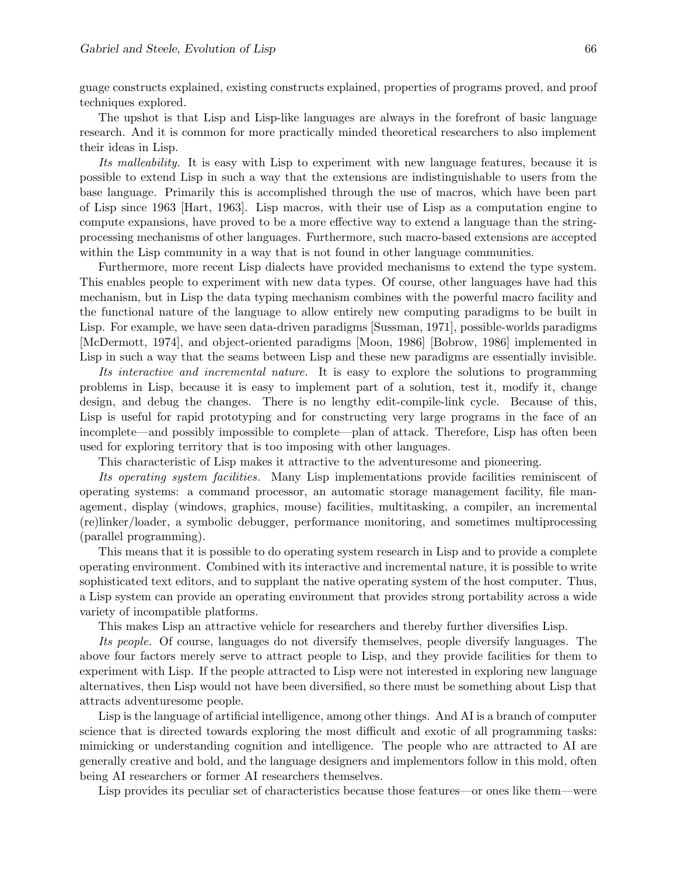guage constructs explained, existing constructs explained, properties of programs proved, and proof techniques explored.

The upshot is that Lisp and Lisp-like languages are always in the forefront of basic language research. And it is common for more practically minded theoretical researchers to also implement their ideas in Lisp.

Its malleability. It is easy with Lisp to experiment with new language features, because it is possible to extend Lisp in such a way that the extensions are indistinguishable to users from the base language. Primarily this is accomplished through the use of macros, which have been part of Lisp since 1963 [Hart, 1963]. Lisp macros, with their use of Lisp as a computation engine to compute expansions, have proved to be a more effective way to extend a language than the stringprocessing mechanisms of other languages. Furthermore, such macro-based extensions are accepted within the Lisp community in a way that is not found in other language communities.

Furthermore, more recent Lisp dialects have provided mechanisms to extend the type system. This enables people to experiment with new data types. Of course, other languages have had this mechanism, but in Lisp the data typing mechanism combines with the powerful macro facility and the functional nature of the language to allow entirely new computing paradigms to be built in Lisp. For example, we have seen data-driven paradigms [Sussman, 1971], possible-worlds paradigms [McDermott, 1974], and object-oriented paradigms [Moon, 1986] [Bobrow, 1986] implemented in Lisp in such a way that the seams between Lisp and these new paradigms are essentially invisible.

Its interactive and incremental nature. It is easy to explore the solutions to programming problems in Lisp, because it is easy to implement part of a solution, test it, modify it, change design, and debug the changes. There is no lengthy edit-compile-link cycle. Because of this, Lisp is useful for rapid prototyping and for constructing very large programs in the face of an incomplete—and possibly impossible to complete—plan of attack. Therefore, Lisp has often been used for exploring territory that is too imposing with other languages.

This characteristic of Lisp makes it attractive to the adventuresome and pioneering.

Its operating system facilities. Many Lisp implementations provide facilities reminiscent of operating systems: a command processor, an automatic storage management facility, file management, display (windows, graphics, mouse) facilities, multitasking, a compiler, an incremental (re)linker/loader, a symbolic debugger, performance monitoring, and sometimes multiprocessing (parallel programming).

This means that it is possible to do operating system research in Lisp and to provide a complete operating environment. Combined with its interactive and incremental nature, it is possible to write sophisticated text editors, and to supplant the native operating system of the host computer. Thus, a Lisp system can provide an operating environment that provides strong portability across a wide variety of incompatible platforms.

This makes Lisp an attractive vehicle for researchers and thereby further diversifies Lisp.

Its people. Of course, languages do not diversify themselves, people diversify languages. The above four factors merely serve to attract people to Lisp, and they provide facilities for them to experiment with Lisp. If the people attracted to Lisp were not interested in exploring new language alternatives, then Lisp would not have been diversified, so there must be something about Lisp that attracts adventuresome people.

Lisp is the language of artificial intelligence, among other things. And AI is a branch of computer science that is directed towards exploring the most difficult and exotic of all programming tasks: mimicking or understanding cognition and intelligence. The people who are attracted to AI are generally creative and bold, and the language designers and implementors follow in this mold, often being AI researchers or former AI researchers themselves.

Lisp provides its peculiar set of characteristics because those features—or ones like them—were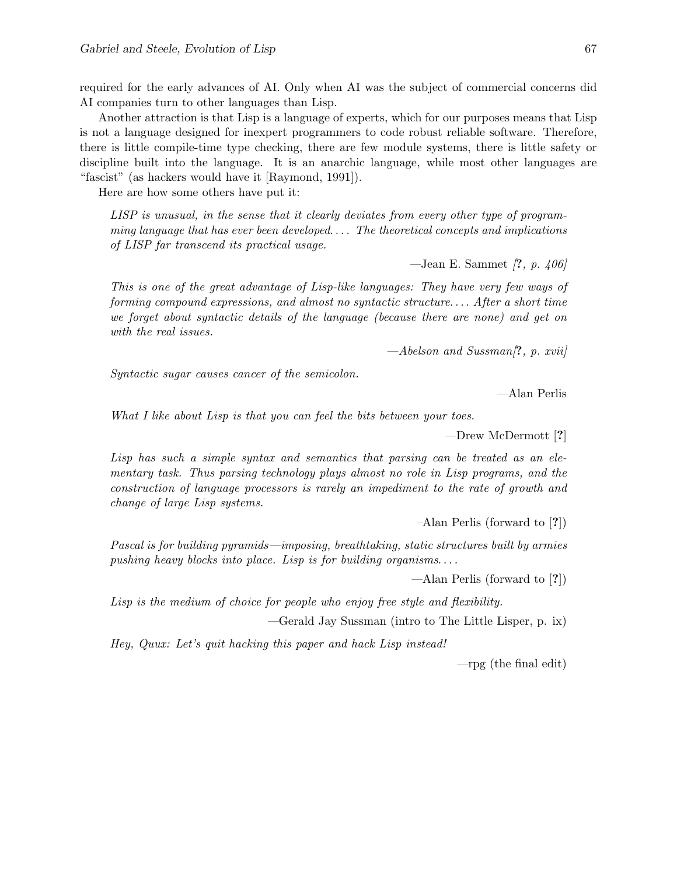required for the early advances of AI. Only when AI was the subject of commercial concerns did AI companies turn to other languages than Lisp.

Another attraction is that Lisp is a language of experts, which for our purposes means that Lisp is not a language designed for inexpert programmers to code robust reliable software. Therefore, there is little compile-time type checking, there are few module systems, there is little safety or discipline built into the language. It is an anarchic language, while most other languages are "fascist" (as hackers would have it [Raymond, 1991]).

Here are how some others have put it:

LISP is unusual, in the sense that it clearly deviates from every other type of programming language that has ever been developed*...* . The theoretical concepts and implications of LISP far transcend its practical usage.

—Jean E. Sammet [**?**, p. 406]

This is one of the great advantage of Lisp-like languages: They have very few ways of forming compound expressions, and almost no syntactic structure*....* After a short time we forget about syntactic details of the language (because there are none) and get on with the real issues.

—Abelson and Sussman[**?**, p. xvii]

Syntactic sugar causes cancer of the semicolon.

—Alan Perlis

What I like about Lisp is that you can feel the bits between your toes.

—Drew McDermott [**?**]

Lisp has such a simple syntax and semantics that parsing can be treated as an elementary task. Thus parsing technology plays almost no role in Lisp programs, and the construction of language processors is rarely an impediment to the rate of growth and change of large Lisp systems.

–Alan Perlis (forward to [**?**])

Pascal is for building pyramids—imposing, breathtaking, static structures built by armies pushing heavy blocks into place. Lisp is for building organisms*...* .

—Alan Perlis (forward to [**?**])

Lisp is the medium of choice for people who enjoy free style and flexibility.

—Gerald Jay Sussman (intro to The Little Lisper, p. ix)

Hey, Quux: Let's quit hacking this paper and hack Lisp instead!

—rpg (the final edit)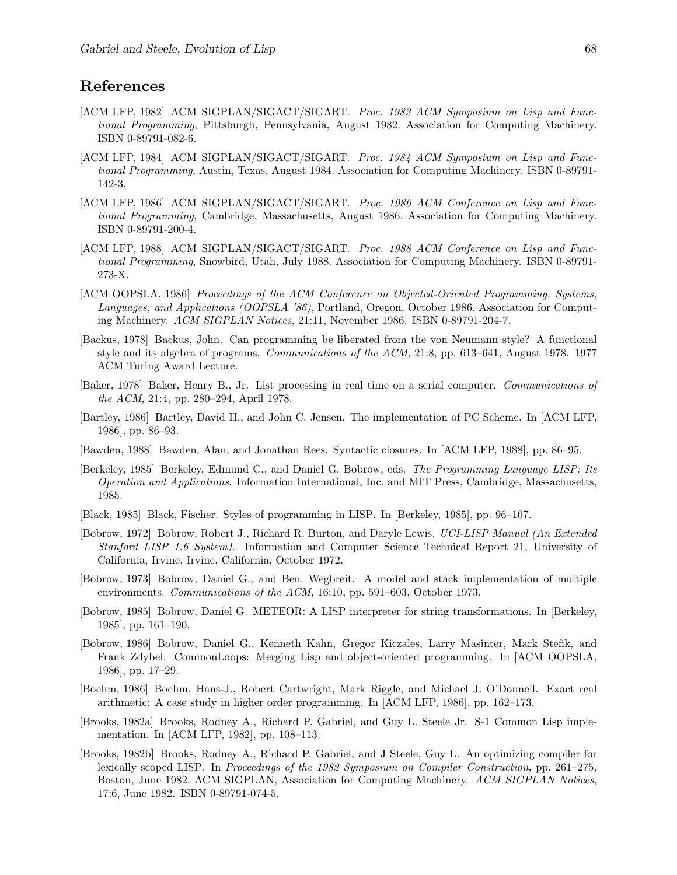## **References**

- [ACM LFP, 1982] ACM SIGPLAN/SIGACT/SIGART. Proc. 1982 ACM Symposium on Lisp and Functional Programming, Pittsburgh, Pennsylvania, August 1982. Association for Computing Machinery. ISBN 0-89791-082-6.
- [ACM LFP, 1984] ACM SIGPLAN/SIGACT/SIGART. Proc. 1984 ACM Symposium on Lisp and Functional Programming, Austin, Texas, August 1984. Association for Computing Machinery. ISBN 0-89791- 142-3.
- [ACM LFP, 1986] ACM SIGPLAN/SIGACT/SIGART. Proc. 1986 ACM Conference on Lisp and Functional Programming, Cambridge, Massachusetts, August 1986. Association for Computing Machinery. ISBN 0-89791-200-4.
- [ACM LFP, 1988] ACM SIGPLAN/SIGACT/SIGART. Proc. 1988 ACM Conference on Lisp and Functional Programming, Snowbird, Utah, July 1988. Association for Computing Machinery. ISBN 0-89791- 273-X.
- [ACM OOPSLA, 1986] Proceedings of the ACM Conference on Objected-Oriented Programming, Systems, Languages, and Applications (OOPSLA '86), Portland, Oregon, October 1986. Association for Computing Machinery. ACM SIGPLAN Notices, 21:11, November 1986. ISBN 0-89791-204-7.
- [Backus, 1978] Backus, John. Can programming be liberated from the von Neumann style? A functional style and its algebra of programs. Communications of the ACM, 21:8, pp. 613–641, August 1978. 1977 ACM Turing Award Lecture.
- [Baker, 1978] Baker, Henry B., Jr. List processing in real time on a serial computer. Communications of the ACM, 21:4, pp. 280–294, April 1978.
- [Bartley, 1986] Bartley, David H., and John C. Jensen. The implementation of PC Scheme. In [ACM LFP, 1986], pp. 86–93.
- [Bawden, 1988] Bawden, Alan, and Jonathan Rees. Syntactic closures. In [ACM LFP, 1988], pp. 86–95.
- [Berkeley, 1985] Berkeley, Edmund C., and Daniel G. Bobrow, eds. The Programming Language LISP: Its Operation and Applications. Information International, Inc. and MIT Press, Cambridge, Massachusetts, 1985.
- [Black, 1985] Black, Fischer. Styles of programming in LISP. In [Berkeley, 1985], pp. 96–107.
- [Bobrow, 1972] Bobrow, Robert J., Richard R. Burton, and Daryle Lewis. UCI-LISP Manual (An Extended Stanford LISP 1.6 System). Information and Computer Science Technical Report 21, University of California, Irvine, Irvine, California, October 1972.
- [Bobrow, 1973] Bobrow, Daniel G., and Ben. Wegbreit. A model and stack implementation of multiple environments. Communications of the ACM, 16:10, pp. 591–603, October 1973.
- [Bobrow, 1985] Bobrow, Daniel G. METEOR: A LISP interpreter for string transformations. In [Berkeley, 1985], pp. 161–190.
- [Bobrow, 1986] Bobrow, Daniel G., Kenneth Kahn, Gregor Kiczales, Larry Masinter, Mark Stefik, and Frank Zdybel. CommonLoops: Merging Lisp and object-oriented programming. In [ACM OOPSLA, 1986], pp. 17–29.
- [Boehm, 1986] Boehm, Hans-J., Robert Cartwright, Mark Riggle, and Michael J. O'Donnell. Exact real arithmetic: A case study in higher order programming. In [ACM LFP, 1986], pp. 162–173.
- [Brooks, 1982a] Brooks, Rodney A., Richard P. Gabriel, and Guy L. Steele Jr. S-1 Common Lisp implementation. In [ACM LFP, 1982], pp. 108–113.
- [Brooks, 1982b] Brooks, Rodney A., Richard P. Gabriel, and J Steele, Guy L. An optimizing compiler for lexically scoped LISP. In Proceedings of the 1982 Symposium on Compiler Construction, pp. 261–275, Boston, June 1982. ACM SIGPLAN, Association for Computing Machinery. ACM SIGPLAN Notices, 17:6, June 1982. ISBN 0-89791-074-5.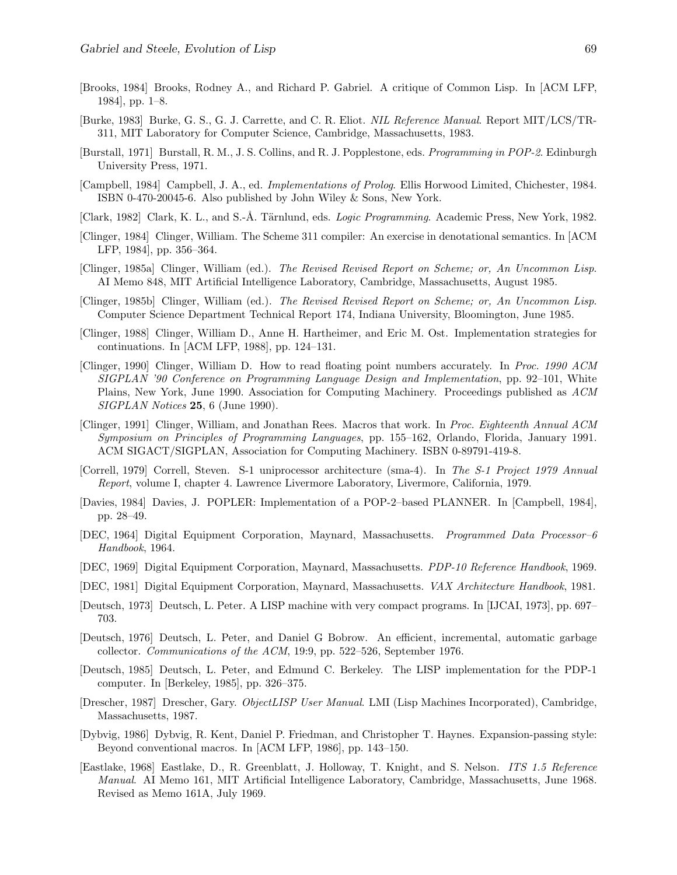- [Brooks, 1984] Brooks, Rodney A., and Richard P. Gabriel. A critique of Common Lisp. In [ACM LFP, 1984], pp. 1–8.
- [Burke, 1983] Burke, G. S., G. J. Carrette, and C. R. Eliot. NIL Reference Manual. Report MIT/LCS/TR-311, MIT Laboratory for Computer Science, Cambridge, Massachusetts, 1983.
- [Burstall, 1971] Burstall, R. M., J. S. Collins, and R. J. Popplestone, eds. Programming in POP-2. Edinburgh University Press, 1971.
- [Campbell, 1984] Campbell, J. A., ed. Implementations of Prolog. Ellis Horwood Limited, Chichester, 1984. ISBN 0-470-20045-6. Also published by John Wiley & Sons, New York.
- [Clark, 1982] Clark, K. L., and S.-Å. Tärnlund, eds. *Logic Programming*. Academic Press, New York, 1982.
- [Clinger, 1984] Clinger, William. The Scheme 311 compiler: An exercise in denotational semantics. In [ACM LFP, 1984], pp. 356–364.
- [Clinger, 1985a] Clinger, William (ed.). The Revised Revised Report on Scheme; or, An Uncommon Lisp. AI Memo 848, MIT Artificial Intelligence Laboratory, Cambridge, Massachusetts, August 1985.
- [Clinger, 1985b] Clinger, William (ed.). The Revised Revised Report on Scheme; or, An Uncommon Lisp. Computer Science Department Technical Report 174, Indiana University, Bloomington, June 1985.
- [Clinger, 1988] Clinger, William D., Anne H. Hartheimer, and Eric M. Ost. Implementation strategies for continuations. In [ACM LFP, 1988], pp. 124–131.
- [Clinger, 1990] Clinger, William D. How to read floating point numbers accurately. In Proc. 1990 ACM SIGPLAN '90 Conference on Programming Language Design and Implementation, pp. 92–101, White Plains, New York, June 1990. Association for Computing Machinery. Proceedings published as ACM SIGPLAN Notices **25**, 6 (June 1990).
- [Clinger, 1991] Clinger, William, and Jonathan Rees. Macros that work. In Proc. Eighteenth Annual ACM Symposium on Principles of Programming Languages, pp. 155–162, Orlando, Florida, January 1991. ACM SIGACT/SIGPLAN, Association for Computing Machinery. ISBN 0-89791-419-8.
- [Correll, 1979] Correll, Steven. S-1 uniprocessor architecture (sma-4). In The S-1 Project 1979 Annual Report, volume I, chapter 4. Lawrence Livermore Laboratory, Livermore, California, 1979.
- [Davies, 1984] Davies, J. POPLER: Implementation of a POP-2–based PLANNER. In [Campbell, 1984], pp. 28–49.
- [DEC, 1964] Digital Equipment Corporation, Maynard, Massachusetts. Programmed Data Processor–6 Handbook, 1964.
- [DEC, 1969] Digital Equipment Corporation, Maynard, Massachusetts. PDP-10 Reference Handbook, 1969.
- [DEC, 1981] Digital Equipment Corporation, Maynard, Massachusetts. VAX Architecture Handbook, 1981.
- [Deutsch, 1973] Deutsch, L. Peter. A LISP machine with very compact programs. In [IJCAI, 1973], pp. 697– 703.
- [Deutsch, 1976] Deutsch, L. Peter, and Daniel G Bobrow. An efficient, incremental, automatic garbage collector. Communications of the ACM, 19:9, pp. 522–526, September 1976.
- [Deutsch, 1985] Deutsch, L. Peter, and Edmund C. Berkeley. The LISP implementation for the PDP-1 computer. In [Berkeley, 1985], pp. 326–375.
- [Drescher, 1987] Drescher, Gary. ObjectLISP User Manual. LMI (Lisp Machines Incorporated), Cambridge, Massachusetts, 1987.
- [Dybvig, 1986] Dybvig, R. Kent, Daniel P. Friedman, and Christopher T. Haynes. Expansion-passing style: Beyond conventional macros. In [ACM LFP, 1986], pp. 143–150.
- [Eastlake, 1968] Eastlake, D., R. Greenblatt, J. Holloway, T. Knight, and S. Nelson. ITS 1.5 Reference Manual. AI Memo 161, MIT Artificial Intelligence Laboratory, Cambridge, Massachusetts, June 1968. Revised as Memo 161A, July 1969.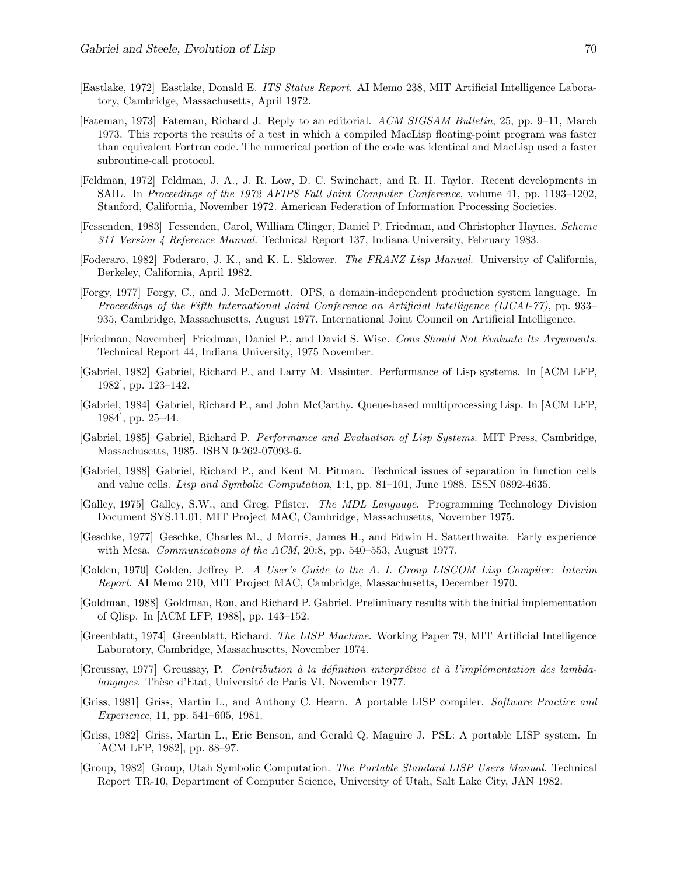- [Eastlake, 1972] Eastlake, Donald E. ITS Status Report. AI Memo 238, MIT Artificial Intelligence Laboratory, Cambridge, Massachusetts, April 1972.
- [Fateman, 1973] Fateman, Richard J. Reply to an editorial. ACM SIGSAM Bulletin, 25, pp. 9–11, March 1973. This reports the results of a test in which a compiled MacLisp floating-point program was faster than equivalent Fortran code. The numerical portion of the code was identical and MacLisp used a faster subroutine-call protocol.
- [Feldman, 1972] Feldman, J. A., J. R. Low, D. C. Swinehart, and R. H. Taylor. Recent developments in SAIL. In Proceedings of the 1972 AFIPS Fall Joint Computer Conference, volume 41, pp. 1193–1202, Stanford, California, November 1972. American Federation of Information Processing Societies.
- [Fessenden, 1983] Fessenden, Carol, William Clinger, Daniel P. Friedman, and Christopher Haynes. Scheme 311 Version 4 Reference Manual. Technical Report 137, Indiana University, February 1983.
- [Foderaro, 1982] Foderaro, J. K., and K. L. Sklower. The FRANZ Lisp Manual. University of California, Berkeley, California, April 1982.
- [Forgy, 1977] Forgy, C., and J. McDermott. OPS, a domain-independent production system language. In Proceedings of the Fifth International Joint Conference on Artificial Intelligence (IJCAI-77), pp. 933– 935, Cambridge, Massachusetts, August 1977. International Joint Council on Artificial Intelligence.
- [Friedman, November] Friedman, Daniel P., and David S. Wise. Cons Should Not Evaluate Its Arguments. Technical Report 44, Indiana University, 1975 November.
- [Gabriel, 1982] Gabriel, Richard P., and Larry M. Masinter. Performance of Lisp systems. In [ACM LFP, 1982], pp. 123–142.
- [Gabriel, 1984] Gabriel, Richard P., and John McCarthy. Queue-based multiprocessing Lisp. In [ACM LFP, 1984], pp. 25–44.
- [Gabriel, 1985] Gabriel, Richard P. Performance and Evaluation of Lisp Systems. MIT Press, Cambridge, Massachusetts, 1985. ISBN 0-262-07093-6.
- [Gabriel, 1988] Gabriel, Richard P., and Kent M. Pitman. Technical issues of separation in function cells and value cells. Lisp and Symbolic Computation, 1:1, pp. 81–101, June 1988. ISSN 0892-4635.
- [Galley, 1975] Galley, S.W., and Greg. Pfister. The MDL Language. Programming Technology Division Document SYS.11.01, MIT Project MAC, Cambridge, Massachusetts, November 1975.
- [Geschke, 1977] Geschke, Charles M., J Morris, James H., and Edwin H. Satterthwaite. Early experience with Mesa. *Communications of the ACM*, 20:8, pp. 540–553, August 1977.
- [Golden, 1970] Golden, Jeffrey P. A User's Guide to the A. I. Group LISCOM Lisp Compiler: Interim Report. AI Memo 210, MIT Project MAC, Cambridge, Massachusetts, December 1970.
- [Goldman, 1988] Goldman, Ron, and Richard P. Gabriel. Preliminary results with the initial implementation of Qlisp. In [ACM LFP, 1988], pp. 143–152.
- [Greenblatt, 1974] Greenblatt, Richard. The LISP Machine. Working Paper 79, MIT Artificial Intelligence Laboratory, Cambridge, Massachusetts, November 1974.
- [Greussay, 1977] Greussay, P. Contribution à la définition interprétive et à l'implémentation des lambdalangages. Thèse d'Etat, Université de Paris VI, November 1977.
- [Griss, 1981] Griss, Martin L., and Anthony C. Hearn. A portable LISP compiler. Software Practice and Experience, 11, pp. 541–605, 1981.
- [Griss, 1982] Griss, Martin L., Eric Benson, and Gerald Q. Maguire J. PSL: A portable LISP system. In [ACM LFP, 1982], pp. 88–97.
- [Group, 1982] Group, Utah Symbolic Computation. The Portable Standard LISP Users Manual. Technical Report TR-10, Department of Computer Science, University of Utah, Salt Lake City, JAN 1982.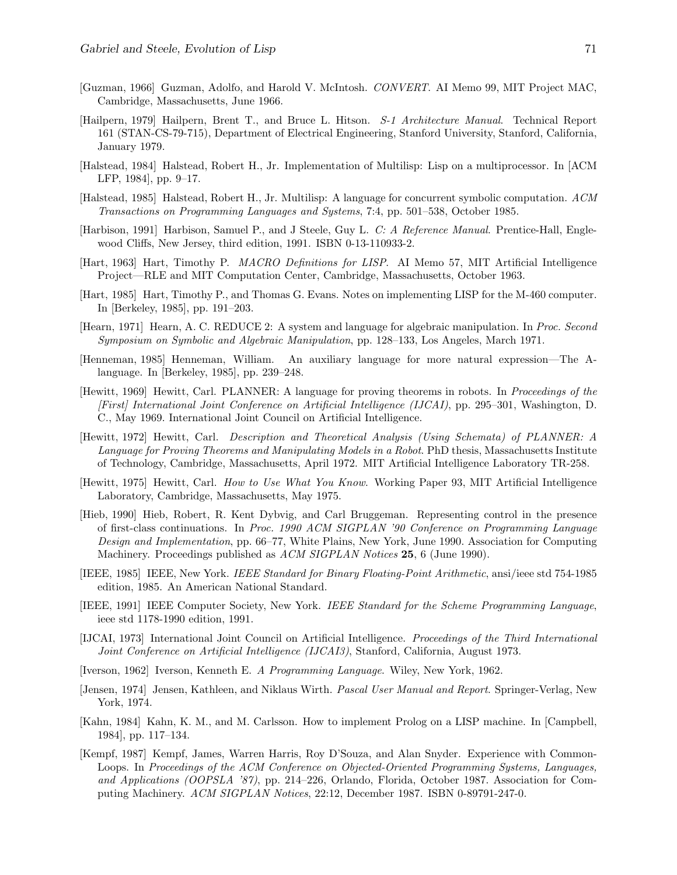- [Guzman, 1966] Guzman, Adolfo, and Harold V. McIntosh. CONVERT. AI Memo 99, MIT Project MAC, Cambridge, Massachusetts, June 1966.
- [Hailpern, 1979] Hailpern, Brent T., and Bruce L. Hitson. S-1 Architecture Manual. Technical Report 161 (STAN-CS-79-715), Department of Electrical Engineering, Stanford University, Stanford, California, January 1979.
- [Halstead, 1984] Halstead, Robert H., Jr. Implementation of Multilisp: Lisp on a multiprocessor. In [ACM LFP, 1984], pp. 9–17.
- [Halstead, 1985] Halstead, Robert H., Jr. Multilisp: A language for concurrent symbolic computation. ACM Transactions on Programming Languages and Systems, 7:4, pp. 501–538, October 1985.
- [Harbison, 1991] Harbison, Samuel P., and J Steele, Guy L. C: A Reference Manual. Prentice-Hall, Englewood Cliffs, New Jersey, third edition, 1991. ISBN 0-13-110933-2.
- [Hart, 1963] Hart, Timothy P. MACRO Definitions for LISP. AI Memo 57, MIT Artificial Intelligence Project—RLE and MIT Computation Center, Cambridge, Massachusetts, October 1963.
- [Hart, 1985] Hart, Timothy P., and Thomas G. Evans. Notes on implementing LISP for the M-460 computer. In [Berkeley, 1985], pp. 191–203.
- [Hearn, 1971] Hearn, A. C. REDUCE 2: A system and language for algebraic manipulation. In Proc. Second Symposium on Symbolic and Algebraic Manipulation, pp. 128–133, Los Angeles, March 1971.
- [Henneman, 1985] Henneman, William. An auxiliary language for more natural expression—The Alanguage. In [Berkeley, 1985], pp. 239–248.
- [Hewitt, 1969] Hewitt, Carl. PLANNER: A language for proving theorems in robots. In Proceedings of the [First] International Joint Conference on Artificial Intelligence (IJCAI), pp. 295–301, Washington, D. C., May 1969. International Joint Council on Artificial Intelligence.
- [Hewitt, 1972] Hewitt, Carl. Description and Theoretical Analysis (Using Schemata) of PLANNER: A Language for Proving Theorems and Manipulating Models in a Robot. PhD thesis, Massachusetts Institute of Technology, Cambridge, Massachusetts, April 1972. MIT Artificial Intelligence Laboratory TR-258.
- [Hewitt, 1975] Hewitt, Carl. How to Use What You Know. Working Paper 93, MIT Artificial Intelligence Laboratory, Cambridge, Massachusetts, May 1975.
- [Hieb, 1990] Hieb, Robert, R. Kent Dybvig, and Carl Bruggeman. Representing control in the presence of first-class continuations. In Proc. 1990 ACM SIGPLAN '90 Conference on Programming Language Design and Implementation, pp. 66–77, White Plains, New York, June 1990. Association for Computing Machinery. Proceedings published as ACM SIGPLAN Notices **25**, 6 (June 1990).
- [IEEE, 1985] IEEE, New York. IEEE Standard for Binary Floating-Point Arithmetic, ansi/ieee std 754-1985 edition, 1985. An American National Standard.
- [IEEE, 1991] IEEE Computer Society, New York. IEEE Standard for the Scheme Programming Language, ieee std 1178-1990 edition, 1991.
- [IJCAI, 1973] International Joint Council on Artificial Intelligence. Proceedings of the Third International Joint Conference on Artificial Intelligence (IJCAI3), Stanford, California, August 1973.
- [Iverson, 1962] Iverson, Kenneth E. A Programming Language. Wiley, New York, 1962.
- [Jensen, 1974] Jensen, Kathleen, and Niklaus Wirth. Pascal User Manual and Report. Springer-Verlag, New York, 1974.
- [Kahn, 1984] Kahn, K. M., and M. Carlsson. How to implement Prolog on a LISP machine. In [Campbell, 1984], pp. 117–134.
- [Kempf, 1987] Kempf, James, Warren Harris, Roy D'Souza, and Alan Snyder. Experience with Common-Loops. In Proceedings of the ACM Conference on Objected-Oriented Programming Systems, Languages, and Applications (OOPSLA '87), pp. 214–226, Orlando, Florida, October 1987. Association for Computing Machinery. ACM SIGPLAN Notices, 22:12, December 1987. ISBN 0-89791-247-0.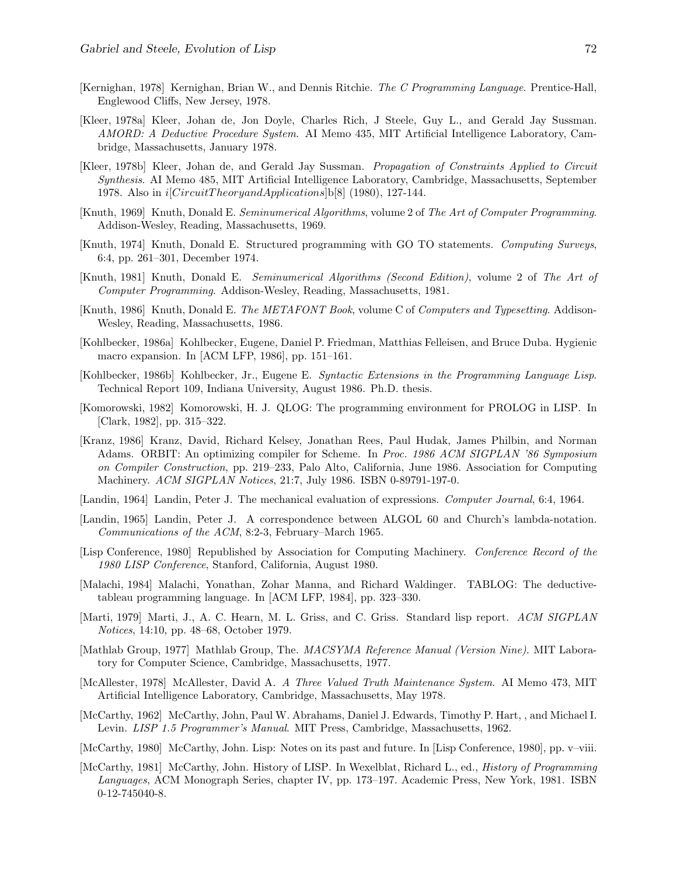- [Kernighan, 1978] Kernighan, Brian W., and Dennis Ritchie. The C Programming Language. Prentice-Hall, Englewood Cliffs, New Jersey, 1978.
- [Kleer, 1978a] Kleer, Johan de, Jon Doyle, Charles Rich, J Steele, Guy L., and Gerald Jay Sussman. AMORD: A Deductive Procedure System. AI Memo 435, MIT Artificial Intelligence Laboratory, Cambridge, Massachusetts, January 1978.
- [Kleer, 1978b] Kleer, Johan de, and Gerald Jay Sussman. Propagation of Constraints Applied to Circuit Synthesis. AI Memo 485, MIT Artificial Intelligence Laboratory, Cambridge, Massachusetts, September 1978. Also in *i*[*CircuitT heoryandApplications*]b[8] (1980), 127-144.
- [Knuth, 1969] Knuth, Donald E. Seminumerical Algorithms, volume 2 of The Art of Computer Programming. Addison-Wesley, Reading, Massachusetts, 1969.
- [Knuth, 1974] Knuth, Donald E. Structured programming with GO TO statements. Computing Surveys, 6:4, pp. 261–301, December 1974.
- [Knuth, 1981] Knuth, Donald E. Seminumerical Algorithms (Second Edition), volume 2 of The Art of Computer Programming. Addison-Wesley, Reading, Massachusetts, 1981.
- [Knuth, 1986] Knuth, Donald E. The METAFONT Book, volume C of Computers and Typesetting. Addison-Wesley, Reading, Massachusetts, 1986.
- [Kohlbecker, 1986a] Kohlbecker, Eugene, Daniel P. Friedman, Matthias Felleisen, and Bruce Duba. Hygienic macro expansion. In [ACM LFP, 1986], pp. 151–161.
- [Kohlbecker, 1986b] Kohlbecker, Jr., Eugene E. Syntactic Extensions in the Programming Language Lisp. Technical Report 109, Indiana University, August 1986. Ph.D. thesis.
- [Komorowski, 1982] Komorowski, H. J. QLOG: The programming environment for PROLOG in LISP. In [Clark, 1982], pp. 315–322.
- [Kranz, 1986] Kranz, David, Richard Kelsey, Jonathan Rees, Paul Hudak, James Philbin, and Norman Adams. ORBIT: An optimizing compiler for Scheme. In *Proc. 1986 ACM SIGPLAN '86 Symposium* on Compiler Construction, pp. 219–233, Palo Alto, California, June 1986. Association for Computing Machinery. ACM SIGPLAN Notices, 21:7, July 1986. ISBN 0-89791-197-0.
- [Landin, 1964] Landin, Peter J. The mechanical evaluation of expressions. Computer Journal, 6:4, 1964.
- [Landin, 1965] Landin, Peter J. A correspondence between ALGOL 60 and Church's lambda-notation. Communications of the ACM, 8:2-3, February–March 1965.
- [Lisp Conference, 1980] Republished by Association for Computing Machinery. Conference Record of the 1980 LISP Conference, Stanford, California, August 1980.
- [Malachi, 1984] Malachi, Yonathan, Zohar Manna, and Richard Waldinger. TABLOG: The deductivetableau programming language. In [ACM LFP, 1984], pp. 323–330.
- [Marti, 1979] Marti, J., A. C. Hearn, M. L. Griss, and C. Griss. Standard lisp report. ACM SIGPLAN Notices, 14:10, pp. 48–68, October 1979.
- [Mathlab Group, 1977] Mathlab Group, The. MACSYMA Reference Manual (Version Nine). MIT Laboratory for Computer Science, Cambridge, Massachusetts, 1977.
- [McAllester, 1978] McAllester, David A. A Three Valued Truth Maintenance System. AI Memo 473, MIT Artificial Intelligence Laboratory, Cambridge, Massachusetts, May 1978.
- [McCarthy, 1962] McCarthy, John, Paul W. Abrahams, Daniel J. Edwards, Timothy P. Hart, , and Michael I. Levin. LISP 1.5 Programmer's Manual. MIT Press, Cambridge, Massachusetts, 1962.
- [McCarthy, 1980] McCarthy, John. Lisp: Notes on its past and future. In [Lisp Conference, 1980], pp. v–viii.
- [McCarthy, 1981] McCarthy, John. History of LISP. In Wexelblat, Richard L., ed., History of Programming Languages, ACM Monograph Series, chapter IV, pp. 173–197. Academic Press, New York, 1981. ISBN 0-12-745040-8.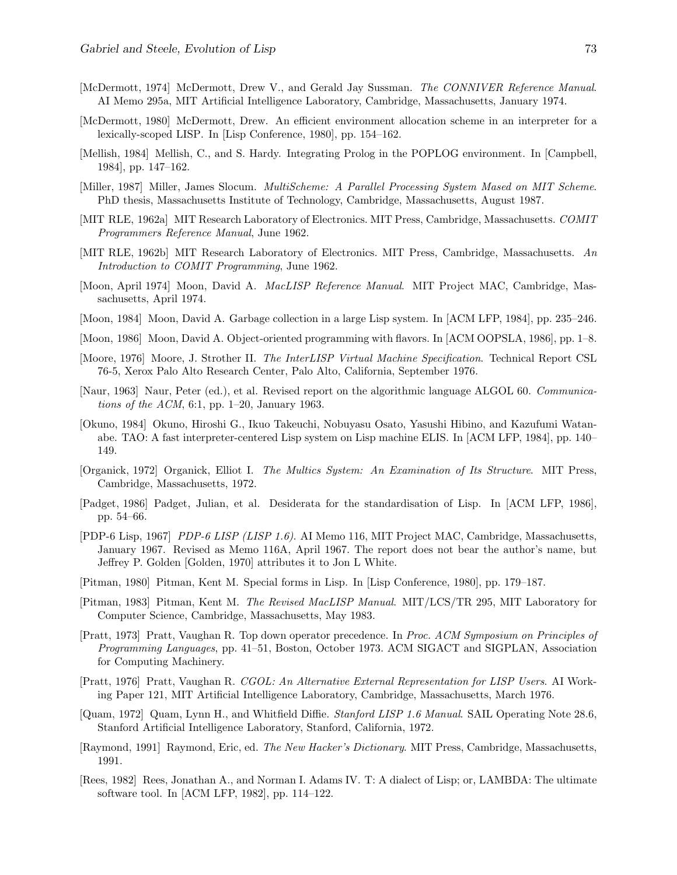- [McDermott, 1974] McDermott, Drew V., and Gerald Jay Sussman. The CONNIVER Reference Manual. AI Memo 295a, MIT Artificial Intelligence Laboratory, Cambridge, Massachusetts, January 1974.
- [McDermott, 1980] McDermott, Drew. An efficient environment allocation scheme in an interpreter for a lexically-scoped LISP. In [Lisp Conference, 1980], pp. 154–162.
- [Mellish, 1984] Mellish, C., and S. Hardy. Integrating Prolog in the POPLOG environment. In [Campbell, 1984], pp. 147–162.
- [Miller, 1987] Miller, James Slocum. MultiScheme: A Parallel Processing System Mased on MIT Scheme. PhD thesis, Massachusetts Institute of Technology, Cambridge, Massachusetts, August 1987.
- [MIT RLE, 1962a] MIT Research Laboratory of Electronics. MIT Press, Cambridge, Massachusetts. COMIT Programmers Reference Manual, June 1962.
- [MIT RLE, 1962b] MIT Research Laboratory of Electronics. MIT Press, Cambridge, Massachusetts. An Introduction to COMIT Programming, June 1962.
- [Moon, April 1974] Moon, David A. MacLISP Reference Manual. MIT Project MAC, Cambridge, Massachusetts, April 1974.
- [Moon, 1984] Moon, David A. Garbage collection in a large Lisp system. In [ACM LFP, 1984], pp. 235–246.
- [Moon, 1986] Moon, David A. Object-oriented programming with flavors. In [ACM OOPSLA, 1986], pp. 1–8.
- [Moore, 1976] Moore, J. Strother II. The InterLISP Virtual Machine Specification. Technical Report CSL 76-5, Xerox Palo Alto Research Center, Palo Alto, California, September 1976.
- [Naur, 1963] Naur, Peter (ed.), et al. Revised report on the algorithmic language ALGOL 60. Communications of the ACM, 6:1, pp. 1–20, January 1963.
- [Okuno, 1984] Okuno, Hiroshi G., Ikuo Takeuchi, Nobuyasu Osato, Yasushi Hibino, and Kazufumi Watanabe. TAO: A fast interpreter-centered Lisp system on Lisp machine ELIS. In [ACM LFP, 1984], pp. 140– 149.
- [Organick, 1972] Organick, Elliot I. The Multics System: An Examination of Its Structure. MIT Press, Cambridge, Massachusetts, 1972.
- [Padget, 1986] Padget, Julian, et al. Desiderata for the standardisation of Lisp. In [ACM LFP, 1986], pp. 54–66.
- [PDP-6 Lisp, 1967] PDP-6 LISP (LISP 1.6). AI Memo 116, MIT Project MAC, Cambridge, Massachusetts, January 1967. Revised as Memo 116A, April 1967. The report does not bear the author's name, but Jeffrey P. Golden [Golden, 1970] attributes it to Jon L White.
- [Pitman, 1980] Pitman, Kent M. Special forms in Lisp. In [Lisp Conference, 1980], pp. 179–187.
- [Pitman, 1983] Pitman, Kent M. The Revised MacLISP Manual. MIT/LCS/TR 295, MIT Laboratory for Computer Science, Cambridge, Massachusetts, May 1983.
- [Pratt, 1973] Pratt, Vaughan R. Top down operator precedence. In Proc. ACM Symposium on Principles of Programming Languages, pp. 41–51, Boston, October 1973. ACM SIGACT and SIGPLAN, Association for Computing Machinery.
- [Pratt, 1976] Pratt, Vaughan R. CGOL: An Alternative External Representation for LISP Users. AI Working Paper 121, MIT Artificial Intelligence Laboratory, Cambridge, Massachusetts, March 1976.
- [Quam, 1972] Quam, Lynn H., and Whitfield Diffie. Stanford LISP 1.6 Manual. SAIL Operating Note 28.6, Stanford Artificial Intelligence Laboratory, Stanford, California, 1972.
- [Raymond, 1991] Raymond, Eric, ed. The New Hacker's Dictionary. MIT Press, Cambridge, Massachusetts, 1991.
- [Rees, 1982] Rees, Jonathan A., and Norman I. Adams IV. T: A dialect of Lisp; or, LAMBDA: The ultimate software tool. In [ACM LFP, 1982], pp. 114–122.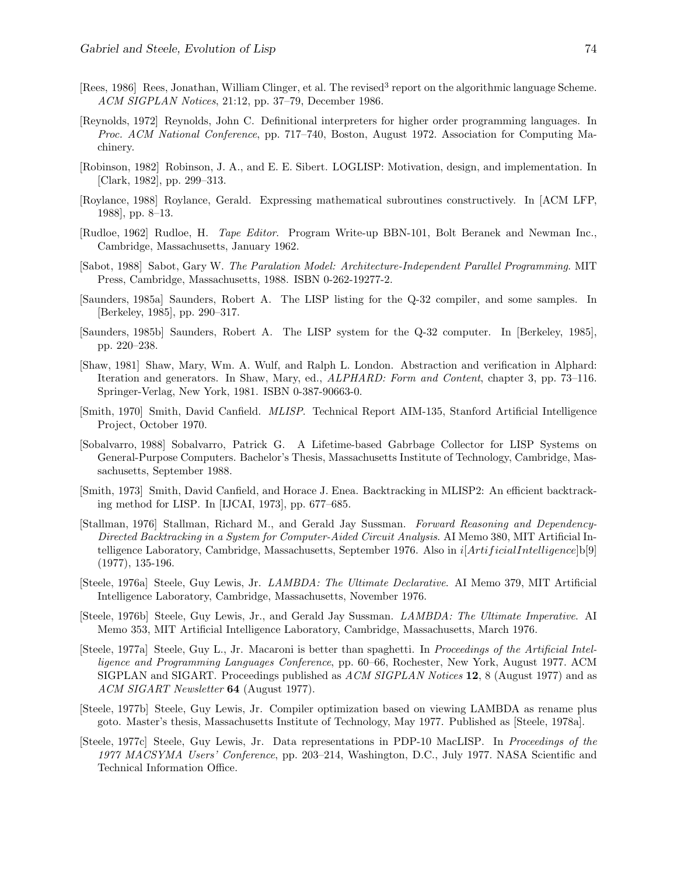- [Rees, 1986] Rees, Jonathan, William Clinger, et al. The revised<sup>3</sup> report on the algorithmic language Scheme. ACM SIGPLAN Notices, 21:12, pp. 37–79, December 1986.
- [Reynolds, 1972] Reynolds, John C. Definitional interpreters for higher order programming languages. In Proc. ACM National Conference, pp. 717–740, Boston, August 1972. Association for Computing Machinery.
- [Robinson, 1982] Robinson, J. A., and E. E. Sibert. LOGLISP: Motivation, design, and implementation. In [Clark, 1982], pp. 299–313.
- [Roylance, 1988] Roylance, Gerald. Expressing mathematical subroutines constructively. In [ACM LFP, 1988], pp. 8–13.
- [Rudloe, 1962] Rudloe, H. Tape Editor. Program Write-up BBN-101, Bolt Beranek and Newman Inc., Cambridge, Massachusetts, January 1962.
- [Sabot, 1988] Sabot, Gary W. The Paralation Model: Architecture-Independent Parallel Programming. MIT Press, Cambridge, Massachusetts, 1988. ISBN 0-262-19277-2.
- [Saunders, 1985a] Saunders, Robert A. The LISP listing for the Q-32 compiler, and some samples. In [Berkeley, 1985], pp. 290–317.
- [Saunders, 1985b] Saunders, Robert A. The LISP system for the Q-32 computer. In [Berkeley, 1985], pp. 220–238.
- [Shaw, 1981] Shaw, Mary, Wm. A. Wulf, and Ralph L. London. Abstraction and verification in Alphard: Iteration and generators. In Shaw, Mary, ed., ALPHARD: Form and Content, chapter 3, pp. 73–116. Springer-Verlag, New York, 1981. ISBN 0-387-90663-0.
- [Smith, 1970] Smith, David Canfield. MLISP. Technical Report AIM-135, Stanford Artificial Intelligence Project, October 1970.
- [Sobalvarro, 1988] Sobalvarro, Patrick G. A Lifetime-based Gabrbage Collector for LISP Systems on General-Purpose Computers. Bachelor's Thesis, Massachusetts Institute of Technology, Cambridge, Massachusetts, September 1988.
- [Smith, 1973] Smith, David Canfield, and Horace J. Enea. Backtracking in MLISP2: An efficient backtracking method for LISP. In [IJCAI, 1973], pp. 677–685.
- [Stallman, 1976] Stallman, Richard M., and Gerald Jay Sussman. Forward Reasoning and Dependency-Directed Backtracking in a System for Computer-Aided Circuit Analysis. AI Memo 380, MIT Artificial Intelligence Laboratory, Cambridge, Massachusetts, September 1976. Also in *i*[*Artif icialIntelligence*]b[9] (1977), 135-196.
- [Steele, 1976a] Steele, Guy Lewis, Jr. LAMBDA: The Ultimate Declarative. AI Memo 379, MIT Artificial Intelligence Laboratory, Cambridge, Massachusetts, November 1976.
- [Steele, 1976b] Steele, Guy Lewis, Jr., and Gerald Jay Sussman. LAMBDA: The Ultimate Imperative. AI Memo 353, MIT Artificial Intelligence Laboratory, Cambridge, Massachusetts, March 1976.
- [Steele, 1977a] Steele, Guy L., Jr. Macaroni is better than spaghetti. In Proceedings of the Artificial Intelligence and Programming Languages Conference, pp. 60–66, Rochester, New York, August 1977. ACM SIGPLAN and SIGART. Proceedings published as ACM SIGPLAN Notices **12**, 8 (August 1977) and as ACM SIGART Newsletter **64** (August 1977).
- [Steele, 1977b] Steele, Guy Lewis, Jr. Compiler optimization based on viewing LAMBDA as rename plus goto. Master's thesis, Massachusetts Institute of Technology, May 1977. Published as [Steele, 1978a].
- [Steele, 1977c] Steele, Guy Lewis, Jr. Data representations in PDP-10 MacLISP. In Proceedings of the 1977 MACSYMA Users' Conference, pp. 203–214, Washington, D.C., July 1977. NASA Scientific and Technical Information Office.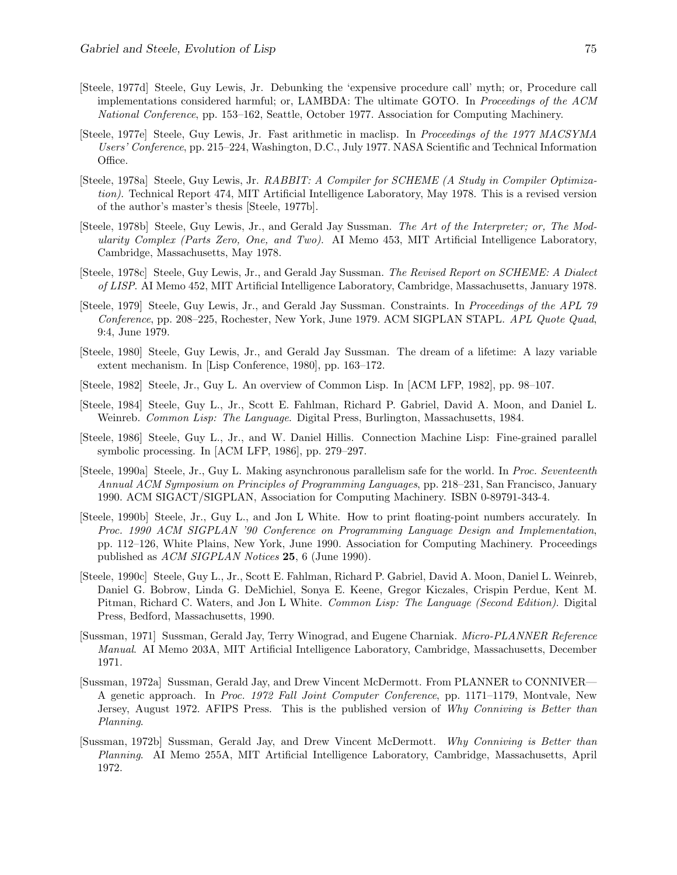- [Steele, 1977d] Steele, Guy Lewis, Jr. Debunking the 'expensive procedure call' myth; or, Procedure call implementations considered harmful; or, LAMBDA: The ultimate GOTO. In *Proceedings of the ACM* National Conference, pp. 153–162, Seattle, October 1977. Association for Computing Machinery.
- [Steele, 1977e] Steele, Guy Lewis, Jr. Fast arithmetic in maclisp. In Proceedings of the 1977 MACSYMA Users' Conference, pp. 215–224, Washington, D.C., July 1977. NASA Scientific and Technical Information Office.
- [Steele, 1978a] Steele, Guy Lewis, Jr. RABBIT: A Compiler for SCHEME (A Study in Compiler Optimization). Technical Report 474, MIT Artificial Intelligence Laboratory, May 1978. This is a revised version of the author's master's thesis [Steele, 1977b].
- [Steele, 1978b] Steele, Guy Lewis, Jr., and Gerald Jay Sussman. The Art of the Interpreter; or, The Modularity Complex (Parts Zero, One, and Two). AI Memo 453, MIT Artificial Intelligence Laboratory, Cambridge, Massachusetts, May 1978.
- [Steele, 1978c] Steele, Guy Lewis, Jr., and Gerald Jay Sussman. The Revised Report on SCHEME: A Dialect of LISP. AI Memo 452, MIT Artificial Intelligence Laboratory, Cambridge, Massachusetts, January 1978.
- [Steele, 1979] Steele, Guy Lewis, Jr., and Gerald Jay Sussman. Constraints. In Proceedings of the APL 79 Conference, pp. 208–225, Rochester, New York, June 1979. ACM SIGPLAN STAPL. APL Quote Quad, 9:4, June 1979.
- [Steele, 1980] Steele, Guy Lewis, Jr., and Gerald Jay Sussman. The dream of a lifetime: A lazy variable extent mechanism. In [Lisp Conference, 1980], pp. 163–172.
- [Steele, 1982] Steele, Jr., Guy L. An overview of Common Lisp. In [ACM LFP, 1982], pp. 98–107.
- [Steele, 1984] Steele, Guy L., Jr., Scott E. Fahlman, Richard P. Gabriel, David A. Moon, and Daniel L. Weinreb. Common Lisp: The Language. Digital Press, Burlington, Massachusetts, 1984.
- [Steele, 1986] Steele, Guy L., Jr., and W. Daniel Hillis. Connection Machine Lisp: Fine-grained parallel symbolic processing. In [ACM LFP, 1986], pp. 279–297.
- [Steele, 1990a] Steele, Jr., Guy L. Making asynchronous parallelism safe for the world. In Proc. Seventeenth Annual ACM Symposium on Principles of Programming Languages, pp. 218–231, San Francisco, January 1990. ACM SIGACT/SIGPLAN, Association for Computing Machinery. ISBN 0-89791-343-4.
- [Steele, 1990b] Steele, Jr., Guy L., and Jon L White. How to print floating-point numbers accurately. In Proc. 1990 ACM SIGPLAN '90 Conference on Programming Language Design and Implementation, pp. 112–126, White Plains, New York, June 1990. Association for Computing Machinery. Proceedings published as ACM SIGPLAN Notices **25**, 6 (June 1990).
- [Steele, 1990c] Steele, Guy L., Jr., Scott E. Fahlman, Richard P. Gabriel, David A. Moon, Daniel L. Weinreb, Daniel G. Bobrow, Linda G. DeMichiel, Sonya E. Keene, Gregor Kiczales, Crispin Perdue, Kent M. Pitman, Richard C. Waters, and Jon L White. Common Lisp: The Language (Second Edition). Digital Press, Bedford, Massachusetts, 1990.
- [Sussman, 1971] Sussman, Gerald Jay, Terry Winograd, and Eugene Charniak. Micro-PLANNER Reference Manual. AI Memo 203A, MIT Artificial Intelligence Laboratory, Cambridge, Massachusetts, December 1971.
- [Sussman, 1972a] Sussman, Gerald Jay, and Drew Vincent McDermott. From PLANNER to CONNIVER— A genetic approach. In Proc. 1972 Fall Joint Computer Conference, pp. 1171–1179, Montvale, New Jersey, August 1972. AFIPS Press. This is the published version of Why Conniving is Better than Planning.
- [Sussman, 1972b] Sussman, Gerald Jay, and Drew Vincent McDermott. Why Conniving is Better than Planning. AI Memo 255A, MIT Artificial Intelligence Laboratory, Cambridge, Massachusetts, April 1972.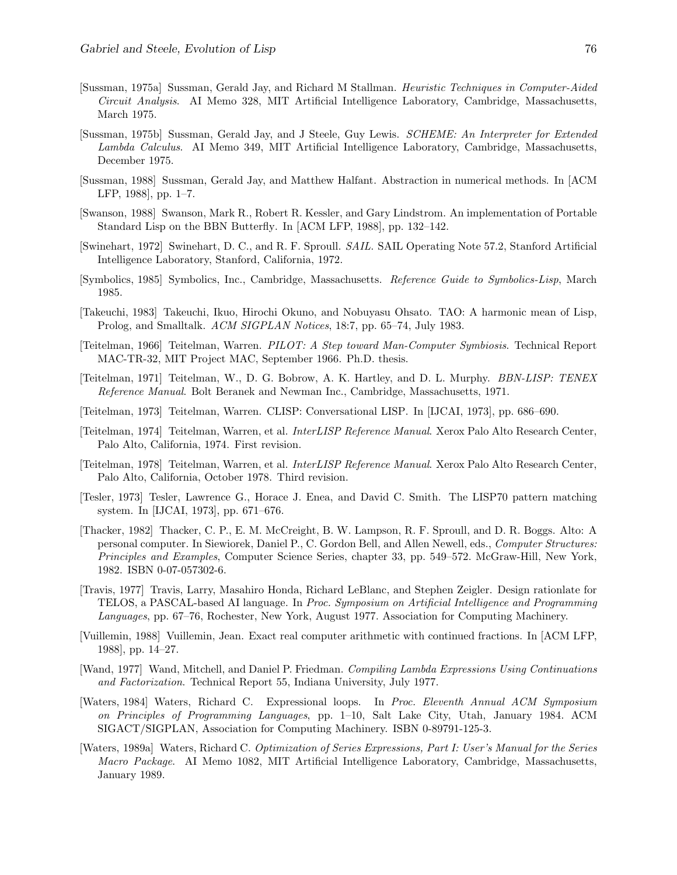- [Sussman, 1975a] Sussman, Gerald Jay, and Richard M Stallman. Heuristic Techniques in Computer-Aided Circuit Analysis. AI Memo 328, MIT Artificial Intelligence Laboratory, Cambridge, Massachusetts, March 1975.
- [Sussman, 1975b] Sussman, Gerald Jay, and J Steele, Guy Lewis. SCHEME: An Interpreter for Extended Lambda Calculus. AI Memo 349, MIT Artificial Intelligence Laboratory, Cambridge, Massachusetts, December 1975.
- [Sussman, 1988] Sussman, Gerald Jay, and Matthew Halfant. Abstraction in numerical methods. In [ACM LFP, 1988], pp. 1–7.
- [Swanson, 1988] Swanson, Mark R., Robert R. Kessler, and Gary Lindstrom. An implementation of Portable Standard Lisp on the BBN Butterfly. In [ACM LFP, 1988], pp. 132–142.
- [Swinehart, 1972] Swinehart, D. C., and R. F. Sproull. SAIL. SAIL Operating Note 57.2, Stanford Artificial Intelligence Laboratory, Stanford, California, 1972.
- [Symbolics, 1985] Symbolics, Inc., Cambridge, Massachusetts. Reference Guide to Symbolics-Lisp, March 1985.
- [Takeuchi, 1983] Takeuchi, Ikuo, Hirochi Okuno, and Nobuyasu Ohsato. TAO: A harmonic mean of Lisp, Prolog, and Smalltalk. ACM SIGPLAN Notices, 18:7, pp. 65–74, July 1983.
- [Teitelman, 1966] Teitelman, Warren. PILOT: A Step toward Man-Computer Symbiosis. Technical Report MAC-TR-32, MIT Project MAC, September 1966. Ph.D. thesis.
- [Teitelman, 1971] Teitelman, W., D. G. Bobrow, A. K. Hartley, and D. L. Murphy. BBN-LISP: TENEX Reference Manual. Bolt Beranek and Newman Inc., Cambridge, Massachusetts, 1971.
- [Teitelman, 1973] Teitelman, Warren. CLISP: Conversational LISP. In [IJCAI, 1973], pp. 686–690.
- [Teitelman, 1974] Teitelman, Warren, et al. InterLISP Reference Manual. Xerox Palo Alto Research Center, Palo Alto, California, 1974. First revision.
- [Teitelman, 1978] Teitelman, Warren, et al. InterLISP Reference Manual. Xerox Palo Alto Research Center, Palo Alto, California, October 1978. Third revision.
- [Tesler, 1973] Tesler, Lawrence G., Horace J. Enea, and David C. Smith. The LISP70 pattern matching system. In [IJCAI, 1973], pp. 671–676.
- [Thacker, 1982] Thacker, C. P., E. M. McCreight, B. W. Lampson, R. F. Sproull, and D. R. Boggs. Alto: A personal computer. In Siewiorek, Daniel P., C. Gordon Bell, and Allen Newell, eds., Computer Structures: Principles and Examples, Computer Science Series, chapter 33, pp. 549–572. McGraw-Hill, New York, 1982. ISBN 0-07-057302-6.
- [Travis, 1977] Travis, Larry, Masahiro Honda, Richard LeBlanc, and Stephen Zeigler. Design rationlate for TELOS, a PASCAL-based AI language. In Proc. Symposium on Artificial Intelligence and Programming Languages, pp. 67–76, Rochester, New York, August 1977. Association for Computing Machinery.
- [Vuillemin, 1988] Vuillemin, Jean. Exact real computer arithmetic with continued fractions. In [ACM LFP, 1988], pp. 14–27.
- [Wand, 1977] Wand, Mitchell, and Daniel P. Friedman. Compiling Lambda Expressions Using Continuations and Factorization. Technical Report 55, Indiana University, July 1977.
- [Waters, 1984] Waters, Richard C. Expressional loops. In Proc. Eleventh Annual ACM Symposium on Principles of Programming Languages, pp. 1–10, Salt Lake City, Utah, January 1984. ACM SIGACT/SIGPLAN, Association for Computing Machinery. ISBN 0-89791-125-3.
- [Waters, 1989a] Waters, Richard C. Optimization of Series Expressions, Part I: User's Manual for the Series Macro Package. AI Memo 1082, MIT Artificial Intelligence Laboratory, Cambridge, Massachusetts, January 1989.